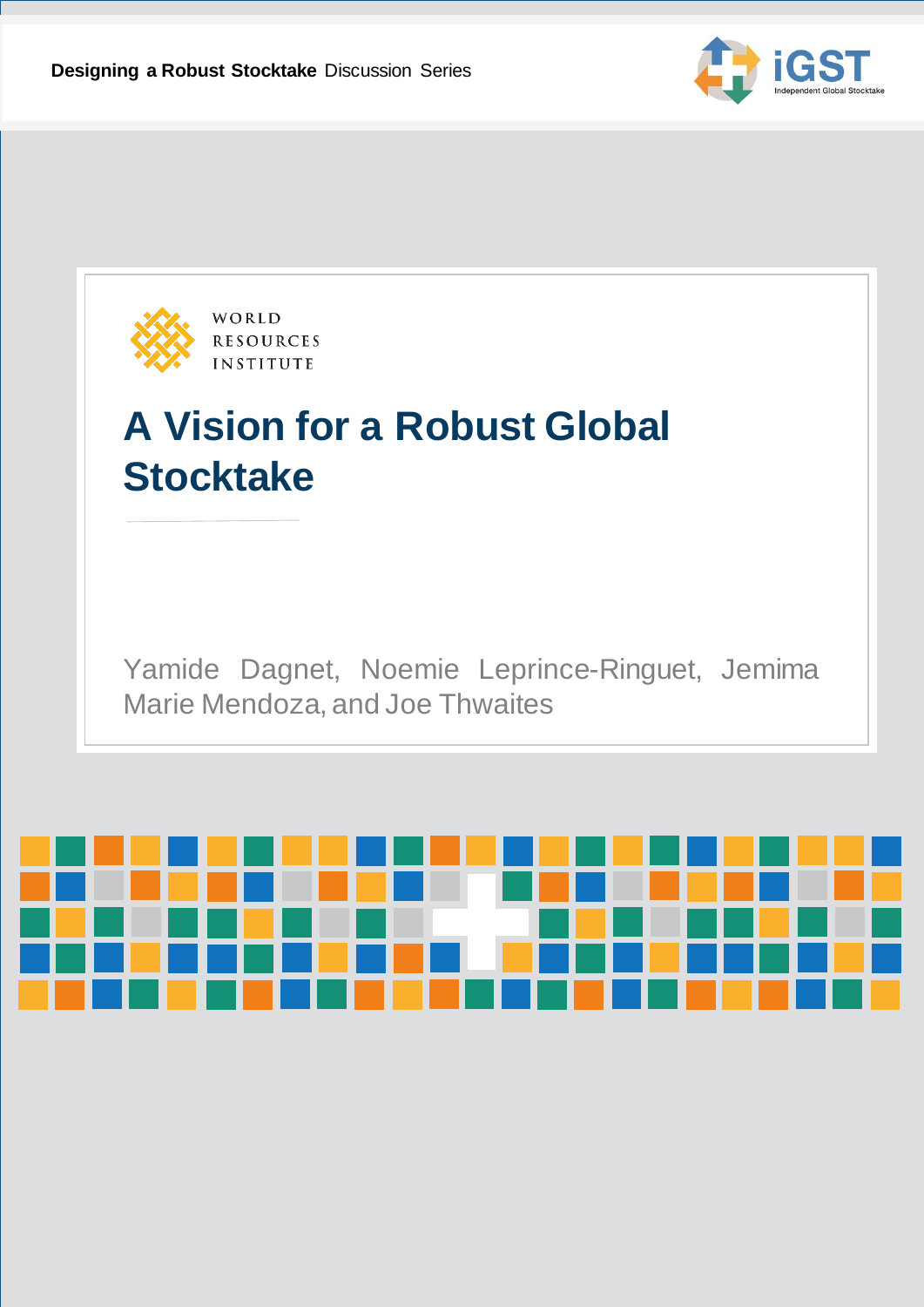



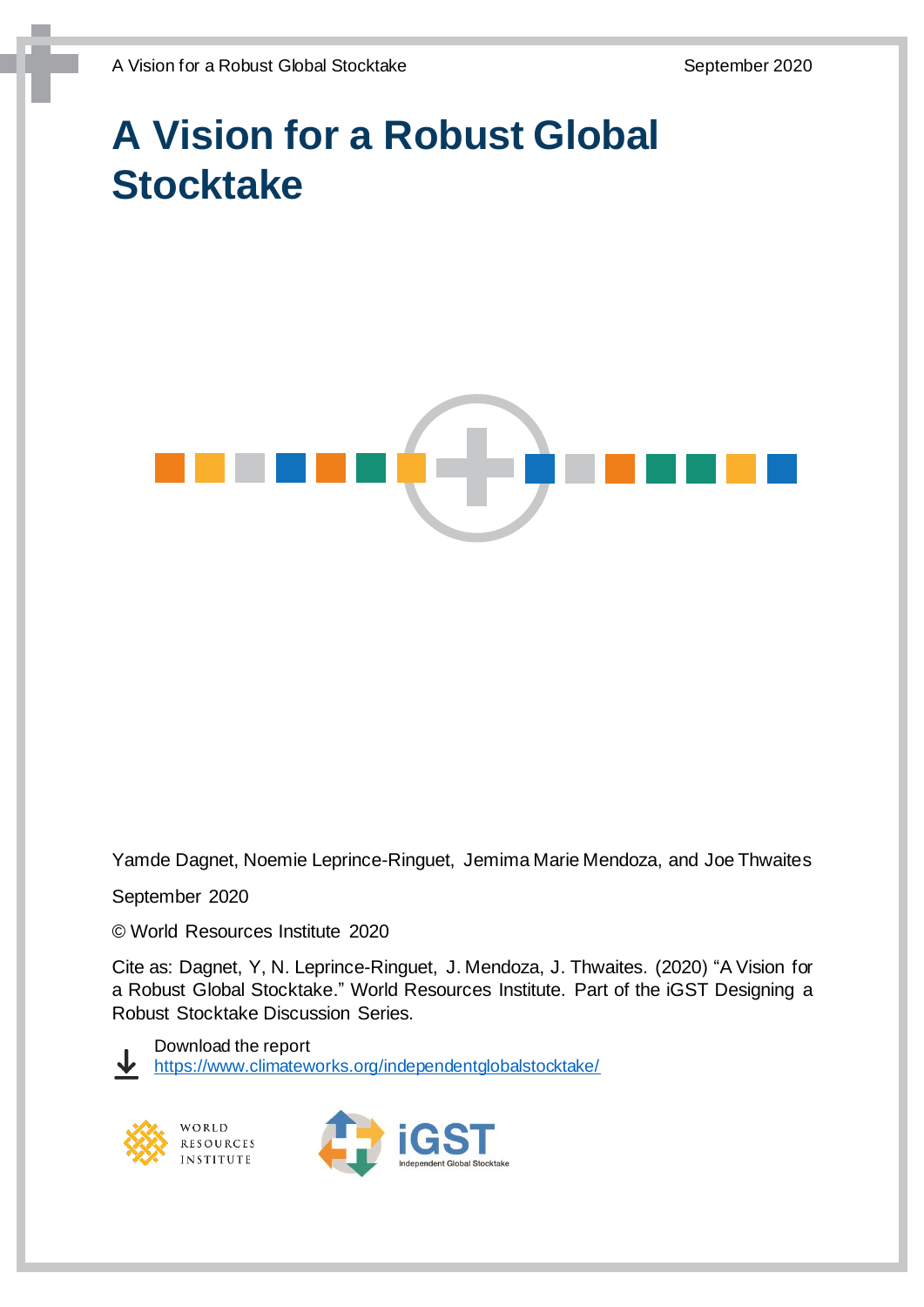# **A Vision for a Robust Global Stocktake**



Yamde Dagnet, Noemie Leprince-Ringuet, Jemima Marie Mendoza, and Joe Thwaites

September 2020

© World Resources Institute 2020

Cite as: Dagnet, Y, N. Leprince-Ringuet, J. Mendoza, J. Thwaites. (2020) "A Vision for a Robust Global Stocktake." World Resources Institute. Part of the iGST Designing a Robust Stocktake Discussion Series.

Download the report <https://www.climateworks.org/independentglobalstocktake/>

WORLD **RESOURCES INSTITUTE** 

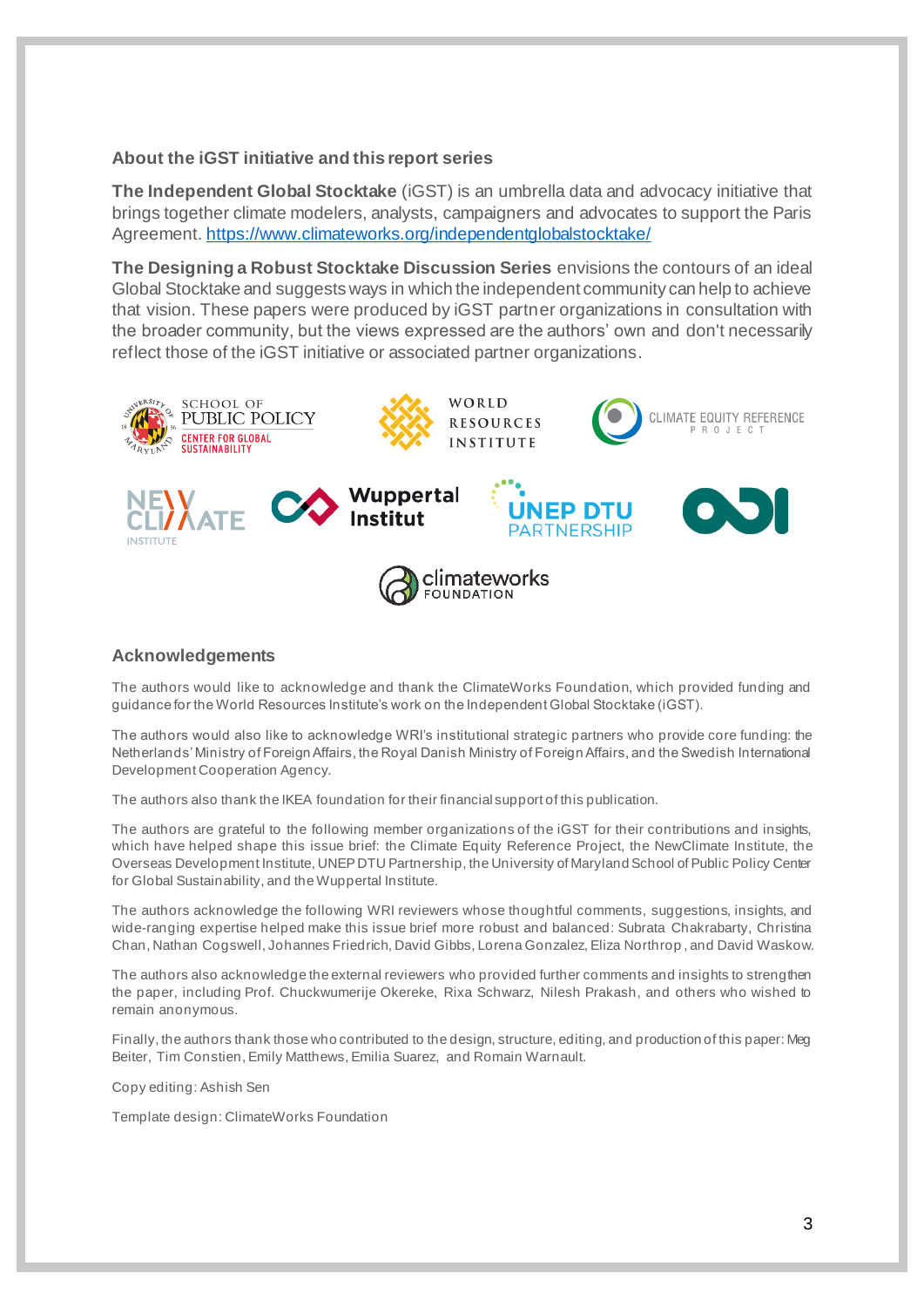#### **About the iGST initiative and this report series**

**The Independent Global Stocktake** (iGST) is an umbrella data and advocacy initiative that brings together climate modelers, analysts, campaigners and advocates to support the Paris Agreement[. https://www.climateworks.org/independentglobalstocktake/](https://www.climateworks.org/independentglobalstocktake/)

**The Designing a Robust Stocktake Discussion Series** envisions the contours of an ideal Global Stocktake and suggests ways in which the independent community can help to achieve that vision. These papers were produced by iGST partner organizations in consultation with the broader community, but the views expressed are the authors' own and don't necessarily reflect those of the iGST initiative or associated partner organizations.



#### **Acknowledgements**

The authors would like to acknowledge and thank the ClimateWorks Foundation, which provided funding and guidance for the World Resources Institute's work on the Independent Global Stocktake (iGST).

The authors would also like to acknowledge WRI's institutional strategic partners who provide core funding: the Netherlands' Ministry of Foreign Affairs, the Royal Danish Ministry of Foreign Affairs, and the Swedish International Development Cooperation Agency.

The authors also thank the IKEA foundation for their financial support of this publication.

The authors are grateful to the following member organizations of the iGST for their contributions and insights, which have helped shape this issue brief: the Climate Equity Reference Project, the NewClimate Institute, the Overseas Development Institute, UNEP DTU Partnership, the University of Maryland School of Public Policy Center for Global Sustainability, and the Wuppertal Institute.

The authors acknowledge the following WRI reviewers whose thoughtful comments, suggestions, insights, and wide-ranging expertise helped make this issue brief more robust and balanced: Subrata Chakrabarty, Christina Chan, Nathan Cogswell, Johannes Friedrich, David Gibbs, Lorena Gonzalez, Eliza Northrop , and David Waskow.

The authors also acknowledge the external reviewers who provided further comments and insights to strengthen the paper, including Prof. Chuckwumerije Okereke, Rixa Schwarz, Nilesh Prakash, and others who wished to remain anonymous.

Finally, the authors thank those who contributed to the design, structure, editing, and production of this paper: Meg Beiter, Tim Constien, Emily Matthews, Emilia Suarez, and Romain Warnault.

Copy editing: Ashish Sen

Template design: ClimateWorks Foundation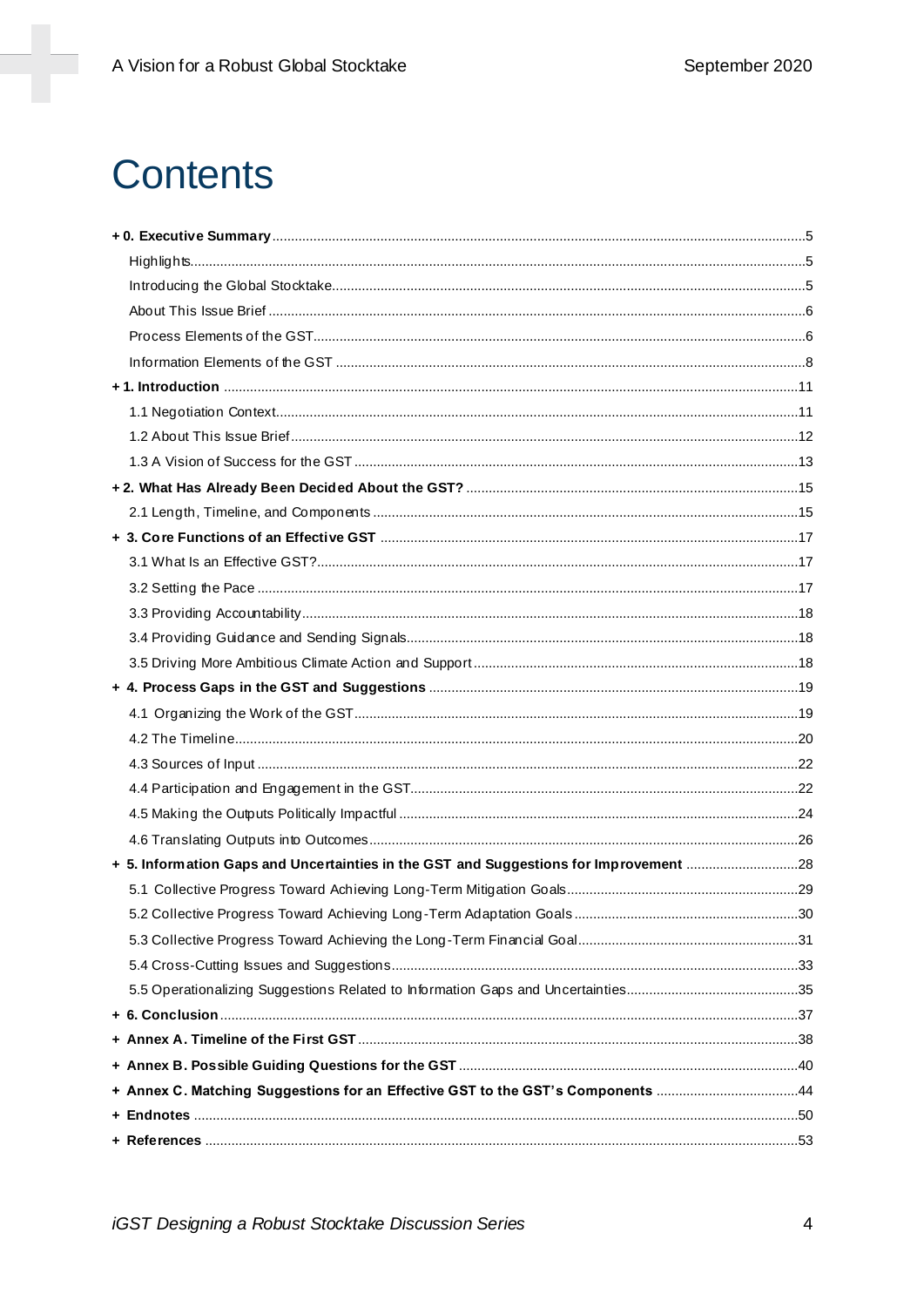# **Contents**

| + 5. Information Gaps and Uncertainties in the GST and Suggestions for Improvement 28 |  |
|---------------------------------------------------------------------------------------|--|
|                                                                                       |  |
|                                                                                       |  |
|                                                                                       |  |
|                                                                                       |  |
|                                                                                       |  |
|                                                                                       |  |
|                                                                                       |  |
|                                                                                       |  |
|                                                                                       |  |
|                                                                                       |  |
|                                                                                       |  |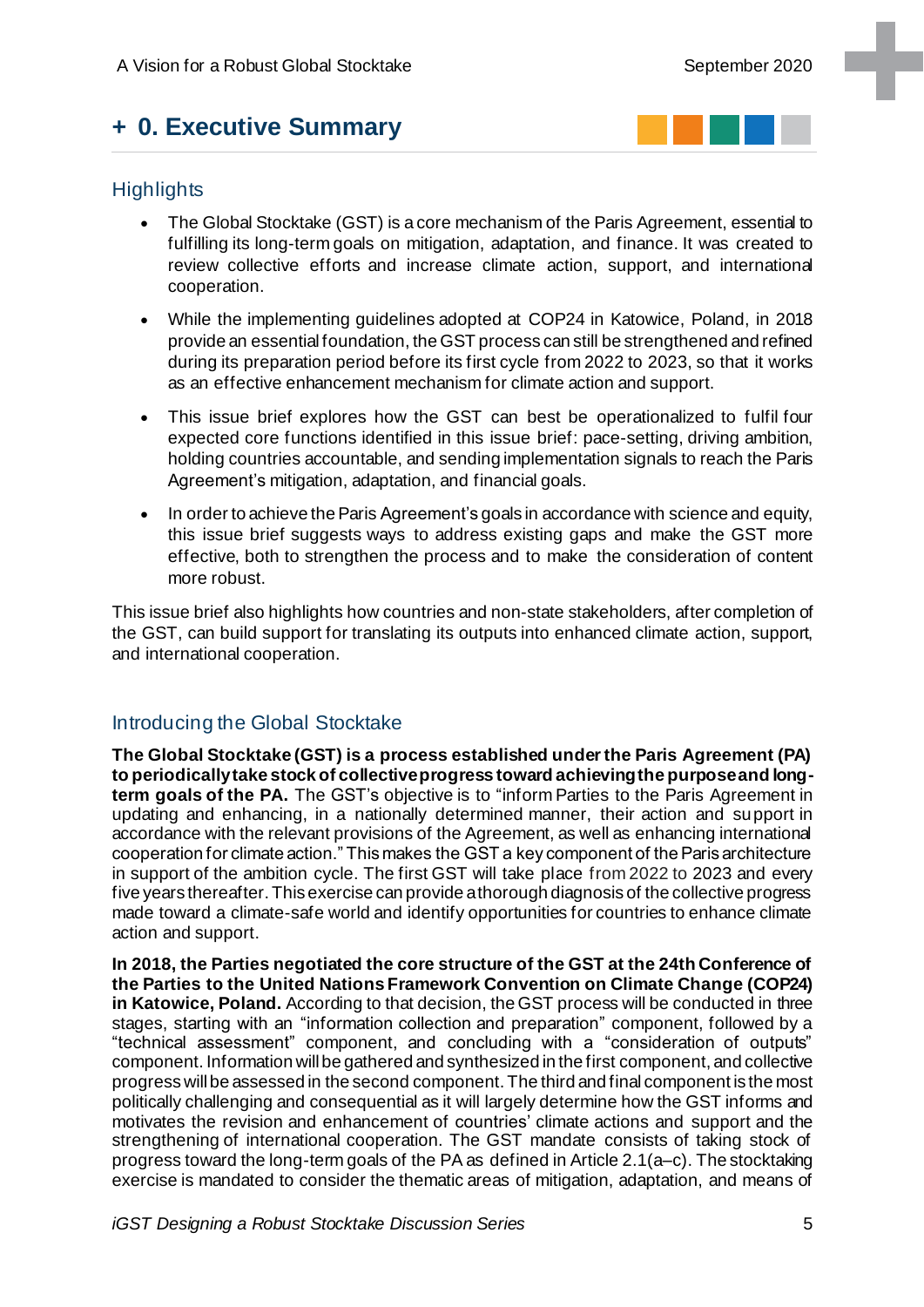# <span id="page-4-0"></span>**+ 0. Executive Summary**



### <span id="page-4-1"></span>**Highlights**

- The Global Stocktake (GST) is a core mechanism of the Paris Agreement, essential to fulfilling its long-term goals on mitigation, adaptation, and finance. It was created to review collective efforts and increase climate action, support, and international cooperation.
- While the implementing guidelines adopted at COP24 in Katowice, Poland, in 2018 provide an essential foundation, the GST process can still be strengthened and refined during its preparation period before its first cycle from 2022 to 2023, so that it works as an effective enhancement mechanism for climate action and support.
- This issue brief explores how the GST can best be operationalized to fulfil four expected core functions identified in this issue brief: pace-setting, driving ambition, holding countries accountable, and sending implementation signals to reach the Paris Agreement's mitigation, adaptation, and financial goals.
- In order to achieve the Paris Agreement's goals in accordance with science and equity, this issue brief suggests ways to address existing gaps and make the GST more effective, both to strengthen the process and to make the consideration of content more robust.

This issue brief also highlights how countries and non-state stakeholders, after completion of the GST, can build support for translating its outputs into enhanced climate action, support, and international cooperation.

# <span id="page-4-2"></span>Introducing the Global Stocktake

**The Global Stocktake (GST) is a process established under the Paris Agreement (PA) to periodically take stock of collective progress toward achieving the purpose and longterm goals of the PA.** The GST's objective is to "inform Parties to the Paris Agreement in updating and enhancing, in a nationally determined manner, their action and support in accordance with the relevant provisions of the Agreement, as well as enhancing international cooperation for climate action." This makes the GST a key component of the Paris architecture in support of the ambition cycle. The first GST will take place from 2022 to 2023 and every five years thereafter. This exercise can provide a thorough diagnosis of the collective progress made toward a climate-safe world and identify opportunities for countries to enhance climate action and support.

**In 2018, the Parties negotiated the core structure of the GST at the 24th Conference of the Parties to the United Nations Framework Convention on Climate Change (COP24) in Katowice, Poland.** According to that decision, the GST process will be conducted in three stages, starting with an "information collection and preparation" component, followed by a "technical assessment" component, and concluding with a "consideration of outputs" component. Information will be gathered and synthesized in the first component, and collective progress will be assessed in the second component. The third and final component is the most politically challenging and consequential as it will largely determine how the GST informs and motivates the revision and enhancement of countries' climate actions and support and the strengthening of international cooperation. The GST mandate consists of taking stock of progress toward the long-term goals of the PA as defined in Article 2.1(a–c). The stocktaking exercise is mandated to consider the thematic areas of mitigation, adaptation, and means of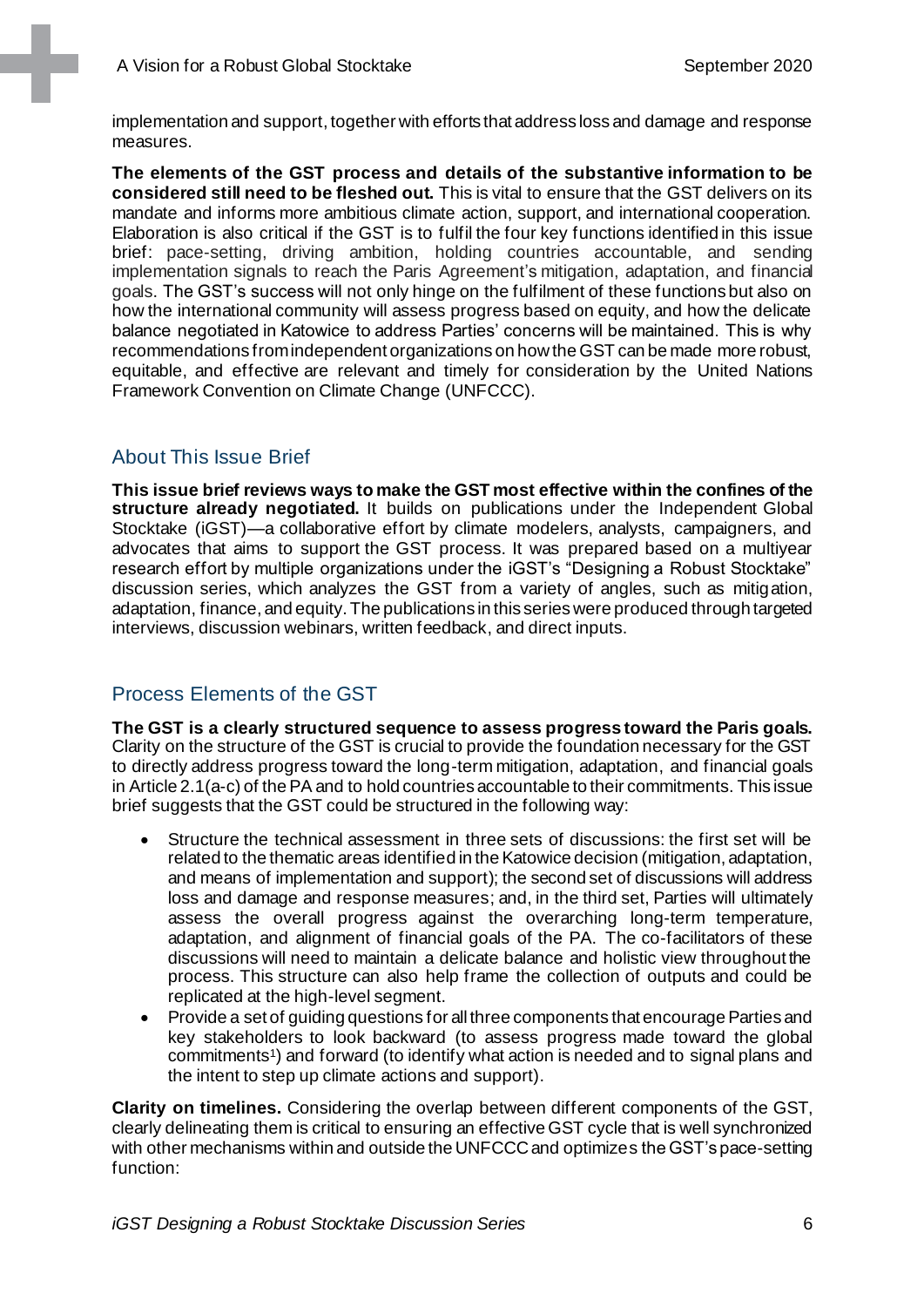implementation and support, together with efforts that address loss and damage and response measures.

**The elements of the GST process and details of the substantive information to be considered still need to be fleshed out.** This is vital to ensure that the GST delivers on its mandate and informs more ambitious climate action, support, and international cooperation. Elaboration is also critical if the GST is to fulfil the four key functions identified in this issue brief: pace-setting, driving ambition, holding countries accountable, and sending implementation signals to reach the Paris Agreement's mitigation, adaptation, and financial goals. The GST's success will not only hinge on the fulfilment of these functions but also on how the international community will assess progress based on equity, and how the delicate balance negotiated in Katowice to address Parties' concerns will be maintained. This is why recommendations from independent organizations on how the GST can be made more robust, equitable, and effective are relevant and timely for consideration by the United Nations Framework Convention on Climate Change (UNFCCC).

### <span id="page-5-0"></span>About This Issue Brief

**This issue brief reviews ways to make the GST most effective within the confines of the structure already negotiated.** It builds on publications under the Independent Global Stocktake (iGST)—a collaborative effort by climate modelers, analysts, campaigners, and advocates that aims to support the GST process. It was prepared based on a multiyear research effort by multiple organizations under the iGST's "Designing a Robust Stocktake" discussion series, which analyzes the GST from a variety of angles, such as mitigation, adaptation, finance, and equity. The publications in this series were produced through targeted interviews, discussion webinars, written feedback, and direct inputs.

# <span id="page-5-1"></span>Process Elements of the GST

**The GST is a clearly structured sequence to assess progress toward the Paris goals.**  Clarity on the structure of the GST is crucial to provide the foundation necessary for the GST to directly address progress toward the long-term mitigation, adaptation, and financial goals in Article 2.1(a-c) of the PA and to hold countries accountable to their commitments. This issue brief suggests that the GST could be structured in the following way:

- Structure the technical assessment in three sets of discussions: the first set will be related to the thematic areas identified in the Katowice decision (mitigation, adaptation, and means of implementation and support); the second set of discussions will address loss and damage and response measures; and, in the third set, Parties will ultimately assess the overall progress against the overarching long-term temperature, adaptation, and alignment of financial goals of the PA. The co-facilitators of these discussions will need to maintain a delicate balance and holistic view throughout the process. This structure can also help frame the collection of outputs and could be replicated at the high-level segment.
- Provide a set of guiding questions for all three components that encourage Parties and key stakeholders to look backward (to assess progress made toward the global commitments<sup>1</sup>) and forward (to identify what action is needed and to signal plans and the intent to step up climate actions and support).

**Clarity on timelines.** Considering the overlap between different components of the GST, clearly delineating them is critical to ensuring an effective GST cycle that is well synchronized with other mechanisms within and outside the UNFCCC and optimizes the GST's pace-setting function: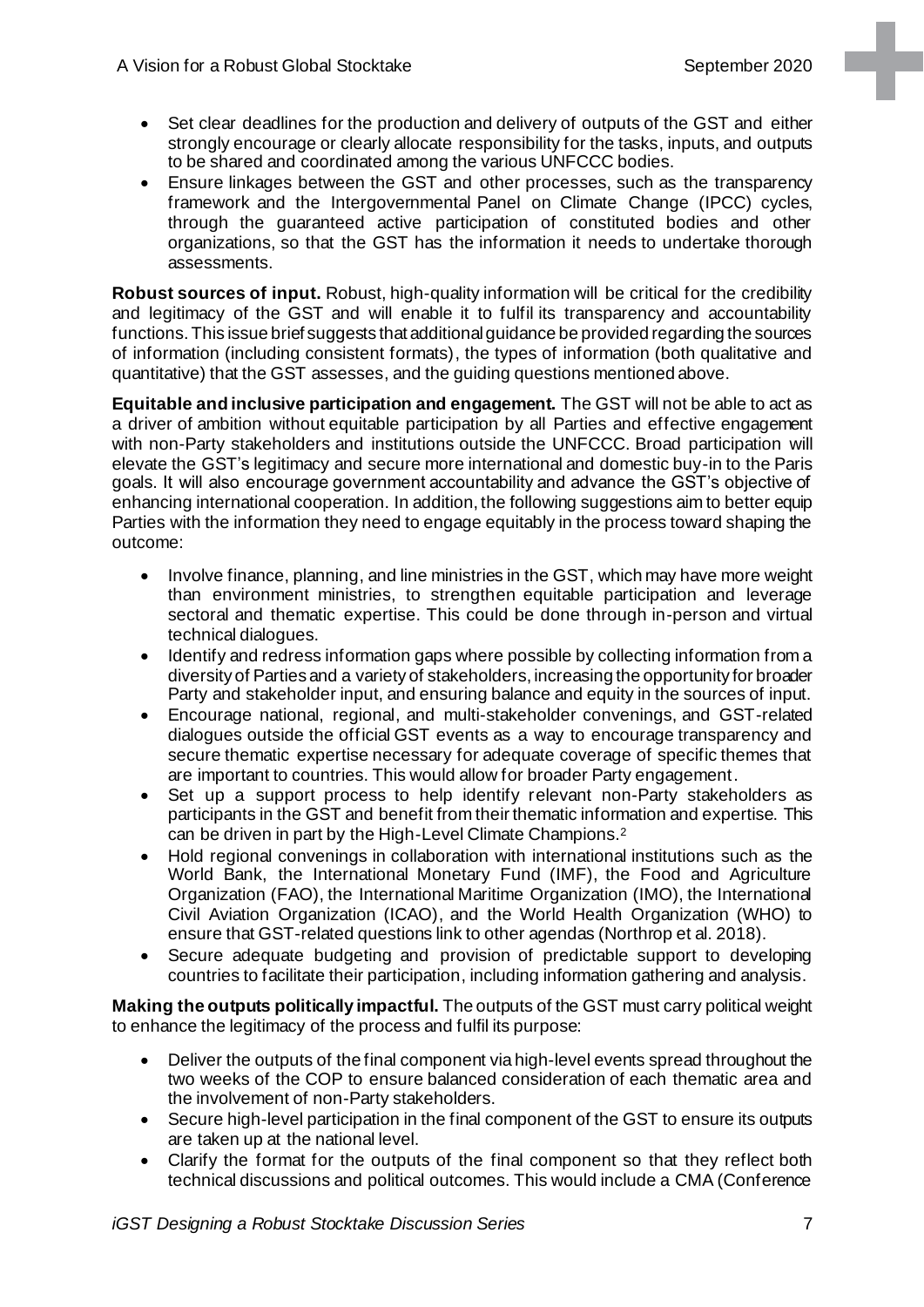- Set clear deadlines for the production and delivery of outputs of the GST and either strongly encourage or clearly allocate responsibility for the tasks, inputs, and outputs to be shared and coordinated among the various UNFCCC bodies.
- Ensure linkages between the GST and other processes, such as the transparency framework and the Intergovernmental Panel on Climate Change (IPCC) cycles, through the guaranteed active participation of constituted bodies and other organizations, so that the GST has the information it needs to undertake thorough assessments.

**Robust sources of input.** Robust, high-quality information will be critical for the credibility and legitimacy of the GST and will enable it to fulfil its transparency and accountability functions. This issue brief suggests that additional guidance be provided regarding the sources of information (including consistent formats), the types of information (both qualitative and quantitative) that the GST assesses, and the guiding questions mentioned above.

**Equitable and inclusive participation and engagement.** The GST will not be able to act as a driver of ambition without equitable participation by all Parties and effective engagement with non-Party stakeholders and institutions outside the UNFCCC. Broad participation will elevate the GST's legitimacy and secure more international and domestic buy-in to the Paris goals. It will also encourage government accountability and advance the GST's objective of enhancing international cooperation. In addition, the following suggestions aim to better equip Parties with the information they need to engage equitably in the process toward shaping the outcome:

- Involve finance, planning, and line ministries in the GST, which may have more weight than environment ministries, to strengthen equitable participation and leverage sectoral and thematic expertise. This could be done through in-person and virtual technical dialogues.
- Identify and redress information gaps where possible by collecting information from a diversity of Parties and a variety of stakeholders, increasing the opportunity for broader Party and stakeholder input, and ensuring balance and equity in the sources of input.
- Encourage national, regional, and multi-stakeholder convenings, and GST-related dialogues outside the official GST events as a way to encourage transparency and secure thematic expertise necessary for adequate coverage of specific themes that are important to countries. This would allow for broader Party engagement.
- Set up a support process to help identify relevant non-Party stakeholders as participants in the GST and benefit from their thematic information and expertise. This can be driven in part by the High-Level Climate Champions.<sup>2</sup>
- Hold regional convenings in collaboration with international institutions such as the World Bank, the International Monetary Fund (IMF), the Food and Agriculture Organization (FAO), the International Maritime Organization (IMO), the International Civil Aviation Organization (ICAO), and the World Health Organization (WHO) to ensure that GST-related questions link to other agendas (Northrop et al. 2018).
- Secure adequate budgeting and provision of predictable support to developing countries to facilitate their participation, including information gathering and analysis.

**Making the outputs politically impactful.** The outputs of the GST must carry political weight to enhance the legitimacy of the process and fulfil its purpose:

- Deliver the outputs of the final component via high-level events spread throughout the two weeks of the COP to ensure balanced consideration of each thematic area and the involvement of non-Party stakeholders.
- Secure high-level participation in the final component of the GST to ensure its outputs are taken up at the national level.
- Clarify the format for the outputs of the final component so that they reflect both technical discussions and political outcomes. This would include a CMA (Conference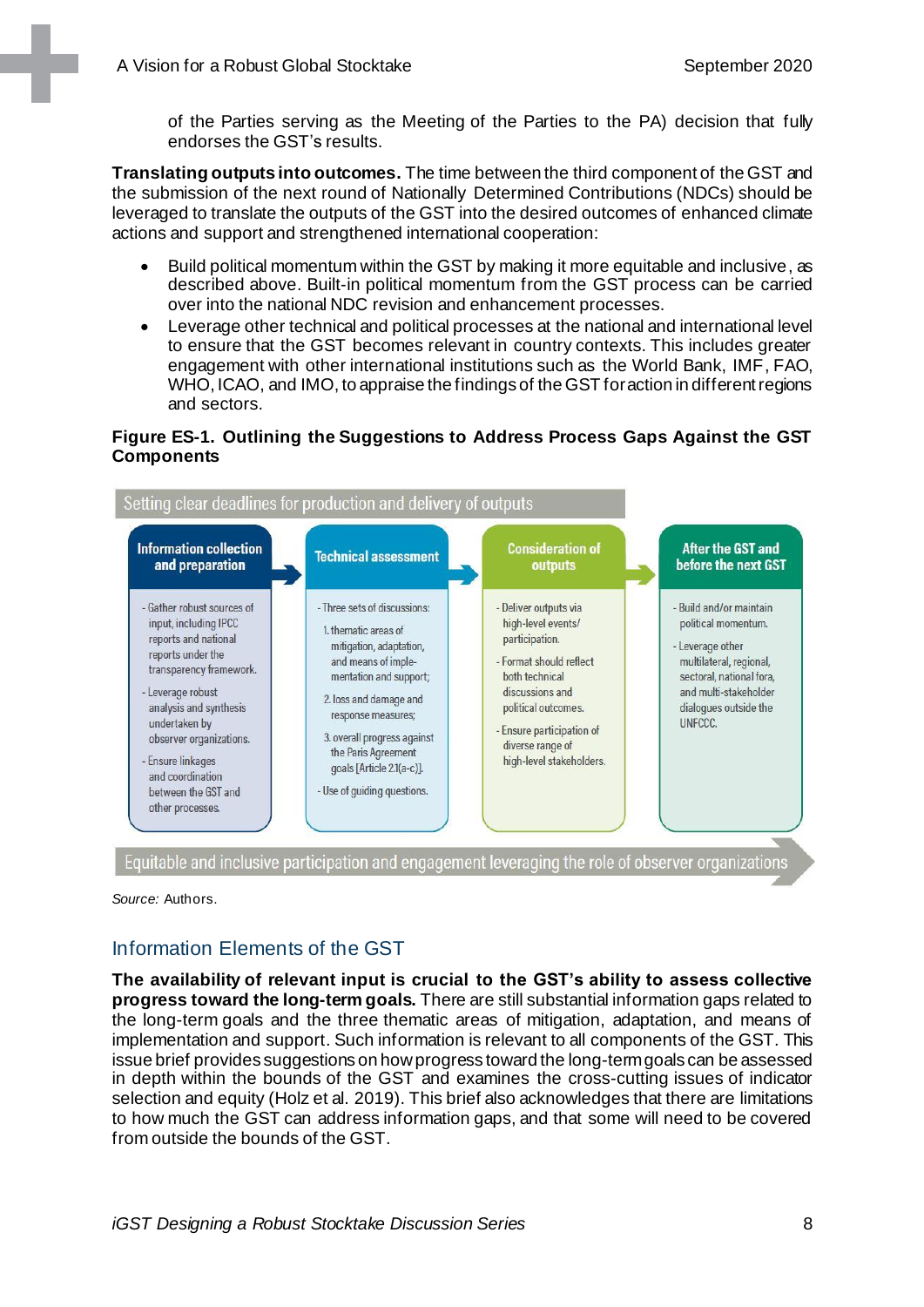of the Parties serving as the Meeting of the Parties to the PA) decision that fully endorses the GST's results.

**Translating outputs into outcomes.** The time between the third component of the GST and the submission of the next round of Nationally Determined Contributions (NDCs) should be leveraged to translate the outputs of the GST into the desired outcomes of enhanced climate actions and support and strengthened international cooperation:

- Build political momentum within the GST by making it more equitable and inclusive, as described above. Built-in political momentum from the GST process can be carried over into the national NDC revision and enhancement processes.
- Leverage other technical and political processes at the national and international level to ensure that the GST becomes relevant in country contexts. This includes greater engagement with other international institutions such as the World Bank, IMF, FAO, WHO, ICAO, and IMO, to appraise the findings of the GST for action in different regions and sectors.

### **Figure ES-1. Outlining the Suggestions to Address Process Gaps Against the GST Components**



*Source:* Authors.

# <span id="page-7-0"></span>Information Elements of the GST

**The availability of relevant input is crucial to the GST's ability to assess collective progress toward the long-term goals.** There are still substantial information gaps related to the long-term goals and the three thematic areas of mitigation, adaptation, and means of implementation and support. Such information is relevant to all components of the GST. This issue brief provides suggestions on how progress toward the long-term goals can be assessed in depth within the bounds of the GST and examines the cross-cutting issues of indicator selection and equity (Holz et al. 2019). This brief also acknowledges that there are limitations to how much the GST can address information gaps, and that some will need to be covered from outside the bounds of the GST.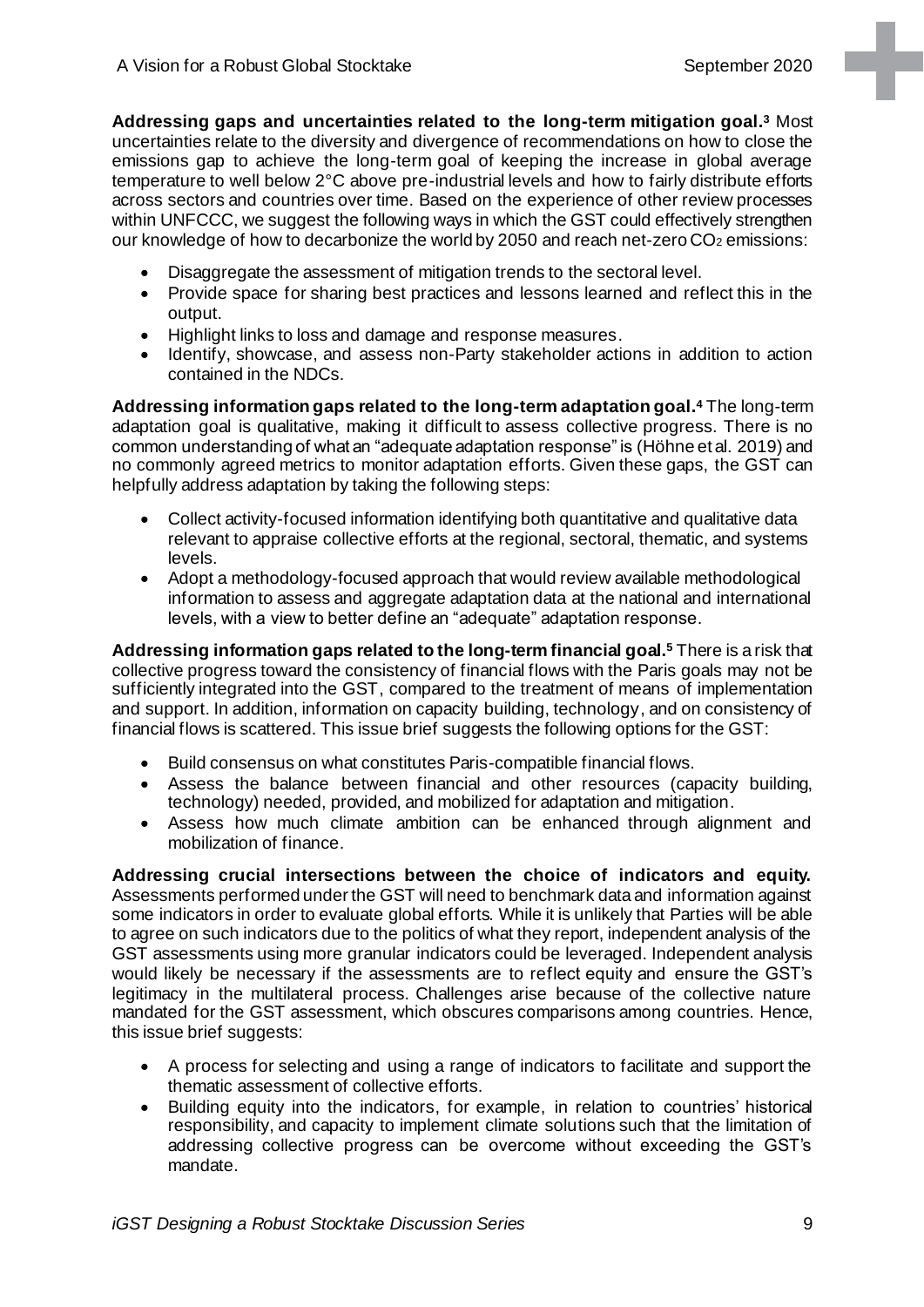**Addressing gaps and uncertainties related to the long-term mitigation goal. <sup>3</sup>** Most uncertainties relate to the diversity and divergence of recommendations on how to close the emissions gap to achieve the long-term goal of keeping the increase in global average temperature to well below 2°C above pre-industrial levels and how to fairly distribute efforts across sectors and countries over time. Based on the experience of other review processes within UNFCCC, we suggest the following ways in which the GST could effectively strengthen our knowledge of how to decarbonize the world by 2050 and reach net-zero CO<sub>2</sub> emissions:

- Disaggregate the assessment of mitigation trends to the sectoral level.
- Provide space for sharing best practices and lessons learned and reflect this in the output.
- Highlight links to loss and damage and response measures.
- Identify, showcase, and assess non-Party stakeholder actions in addition to action contained in the NDCs.

**Addressing information gaps related to the long-term adaptation goal. <sup>4</sup>** The long-term adaptation goal is qualitative, making it difficult to assess collective progress. There is no common understanding of what an "adequate adaptation response" is (Höhne et al. 2019) and no commonly agreed metrics to monitor adaptation efforts. Given these gaps, the GST can helpfully address adaptation by taking the following steps:

- Collect activity-focused information identifying both quantitative and qualitative data relevant to appraise collective efforts at the regional, sectoral, thematic, and systems levels.
- Adopt a methodology-focused approach that would review available methodological information to assess and aggregate adaptation data at the national and international levels, with a view to better define an "adequate" adaptation response.

**Addressing information gaps related to the long-term financial goal. <sup>5</sup>** There is a risk that collective progress toward the consistency of financial flows with the Paris goals may not be sufficiently integrated into the GST, compared to the treatment of means of implementation and support. In addition, information on capacity building, technology, and on consistency of financial flows is scattered. This issue brief suggests the following options for the GST:

- Build consensus on what constitutes Paris-compatible financial flows.
- Assess the balance between financial and other resources (capacity building, technology) needed, provided, and mobilized for adaptation and mitigation.
- Assess how much climate ambition can be enhanced through alignment and mobilization of finance.

**Addressing crucial intersections between the choice of indicators and equity.**  Assessments performed under the GST will need to benchmark data and information against some indicators in order to evaluate global efforts. While it is unlikely that Parties will be able to agree on such indicators due to the politics of what they report, independent analysis of the GST assessments using more granular indicators could be leveraged. Independent analysis would likely be necessary if the assessments are to reflect equity and ensure the GST's legitimacy in the multilateral process. Challenges arise because of the collective nature mandated for the GST assessment, which obscures comparisons among countries. Hence, this issue brief suggests:

- A process for selecting and using a range of indicators to facilitate and support the thematic assessment of collective efforts.
- Building equity into the indicators, for example, in relation to countries' historical responsibility, and capacity to implement climate solutions such that the limitation of addressing collective progress can be overcome without exceeding the GST's mandate.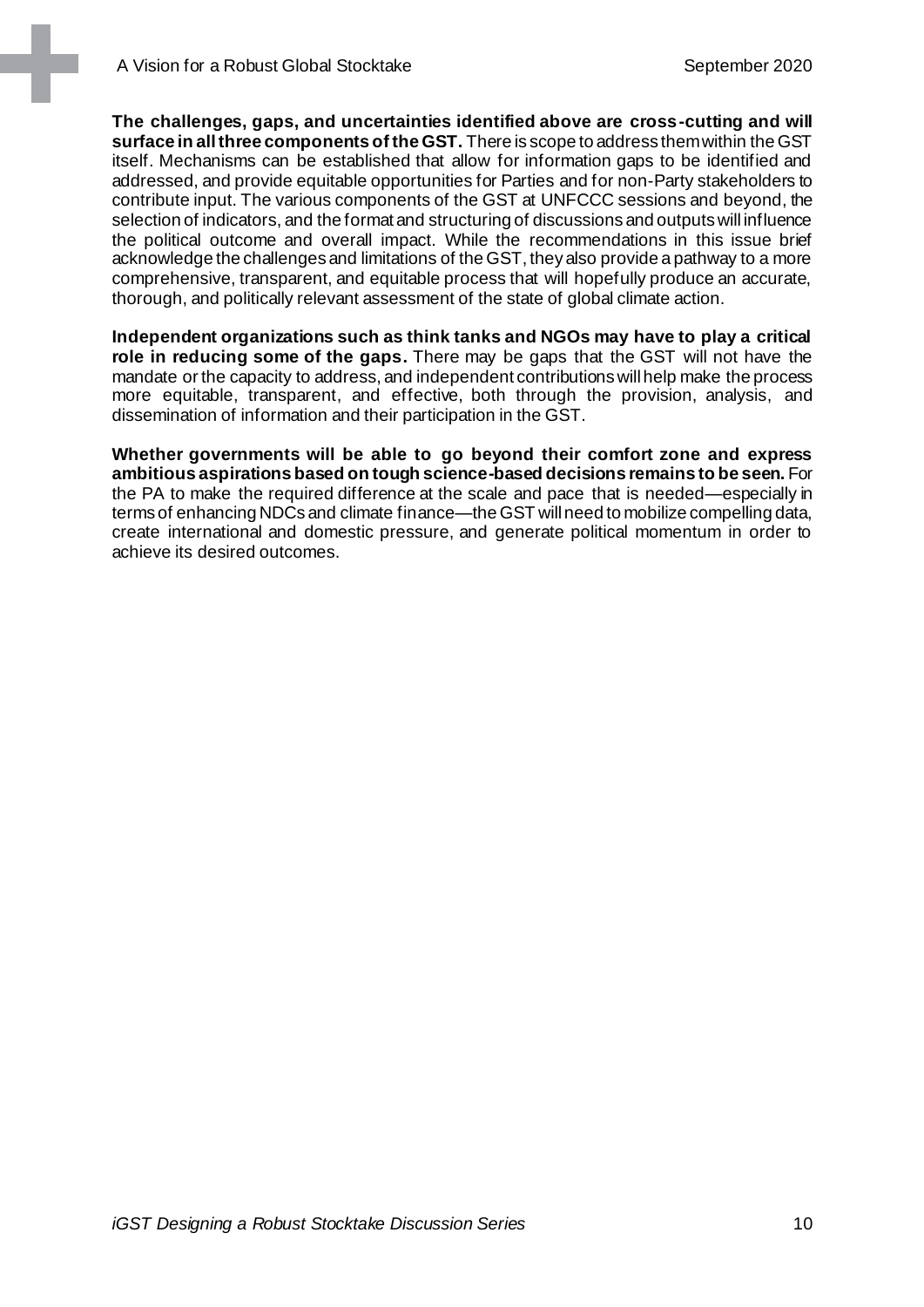**The challenges, gaps, and uncertainties identified above are cross-cutting and will surface in all three components of the GST.** There is scope to address them within the GST itself. Mechanisms can be established that allow for information gaps to be identified and addressed, and provide equitable opportunities for Parties and for non-Party stakeholders to contribute input. The various components of the GST at UNFCCC sessions and beyond, the selection of indicators, and the format and structuring of discussions and outputs will influence the political outcome and overall impact. While the recommendations in this issue brief acknowledge the challenges and limitations of the GST, they also provide a pathway to a more comprehensive, transparent, and equitable process that will hopefully produce an accurate, thorough, and politically relevant assessment of the state of global climate action.

**Independent organizations such as think tanks and NGOs may have to play a critical role in reducing some of the gaps.** There may be gaps that the GST will not have the mandate or the capacity to address, and independent contributions will help make the process more equitable, transparent, and effective, both through the provision, analysis, and dissemination of information and their participation in the GST.

**Whether governments will be able to go beyond their comfort zone and express ambitious aspirations based on tough science-based decisions remains to be seen.** For the PA to make the required difference at the scale and pace that is needed—especially in terms of enhancing NDCs and climate finance—the GST will need to mobilize compelling data, create international and domestic pressure, and generate political momentum in order to achieve its desired outcomes.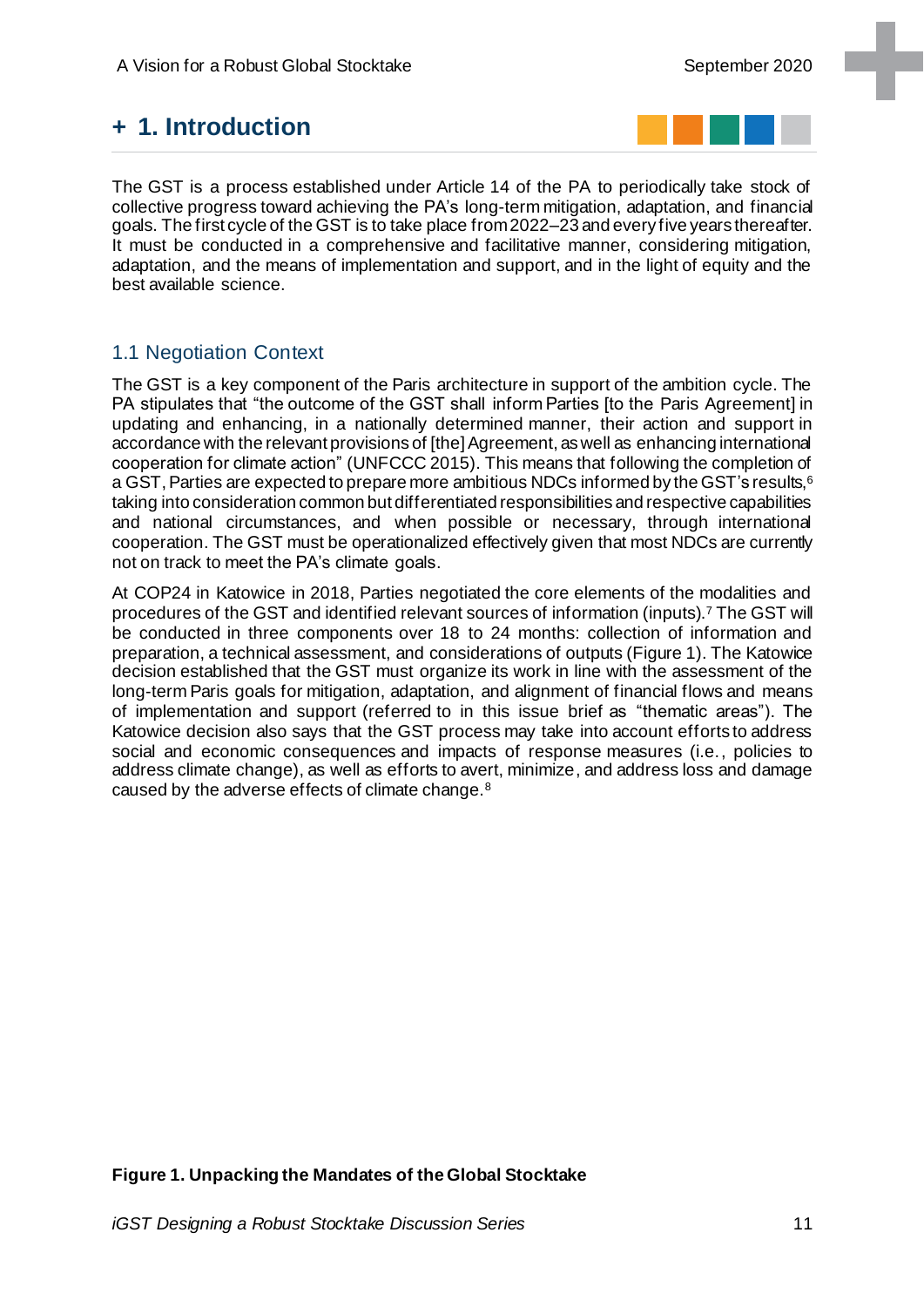# <span id="page-10-0"></span>**+ 1. Introduction**



The GST is a process established under Article 14 of the PA to periodically take stock of collective progress toward achieving the PA's long-term mitigation, adaptation, and financial goals. The first cycle of the GST is to take place from 2022–23 and every five years thereafter. It must be conducted in a comprehensive and facilitative manner, considering mitigation, adaptation, and the means of implementation and support, and in the light of equity and the best available science.

### <span id="page-10-1"></span>1.1 Negotiation Context

The GST is a key component of the Paris architecture in support of the ambition cycle. The PA stipulates that "the outcome of the GST shall inform Parties Ito the Paris AgreementI in updating and enhancing, in a nationally determined manner, their action and support in accordance with the relevant provisions of [the] Agreement, as well as enhancing international cooperation for climate action" (UNFCCC 2015). This means that following the completion of a GST, Parties are expected to prepare more ambitious NDCs informed by the GST's results,<sup>6</sup> taking into consideration common but differentiated responsibilities and respective capabilities and national circumstances, and when possible or necessary, through international cooperation. The GST must be operationalized effectively given that most NDCs are currently not on track to meet the PA's climate goals.

At COP24 in Katowice in 2018, Parties negotiated the core elements of the modalities and procedures of the GST and identified relevant sources of information (inputs).<sup>7</sup> The GST will be conducted in three components over 18 to 24 months: collection of information and preparation, a technical assessment, and considerations of outputs (Figure 1). The Katowice decision established that the GST must organize its work in line with the assessment of the long-term Paris goals for mitigation, adaptation, and alignment of financial flows and means of implementation and support (referred to in this issue brief as "thematic areas"). The Katowice decision also says that the GST process may take into account efforts to address social and economic consequences and impacts of response measures (i.e., policies to address climate change), as well as efforts to avert, minimize, and address loss and damage caused by the adverse effects of climate change.<sup>8</sup>

### **Figure 1. Unpacking the Mandates of the Global Stocktake**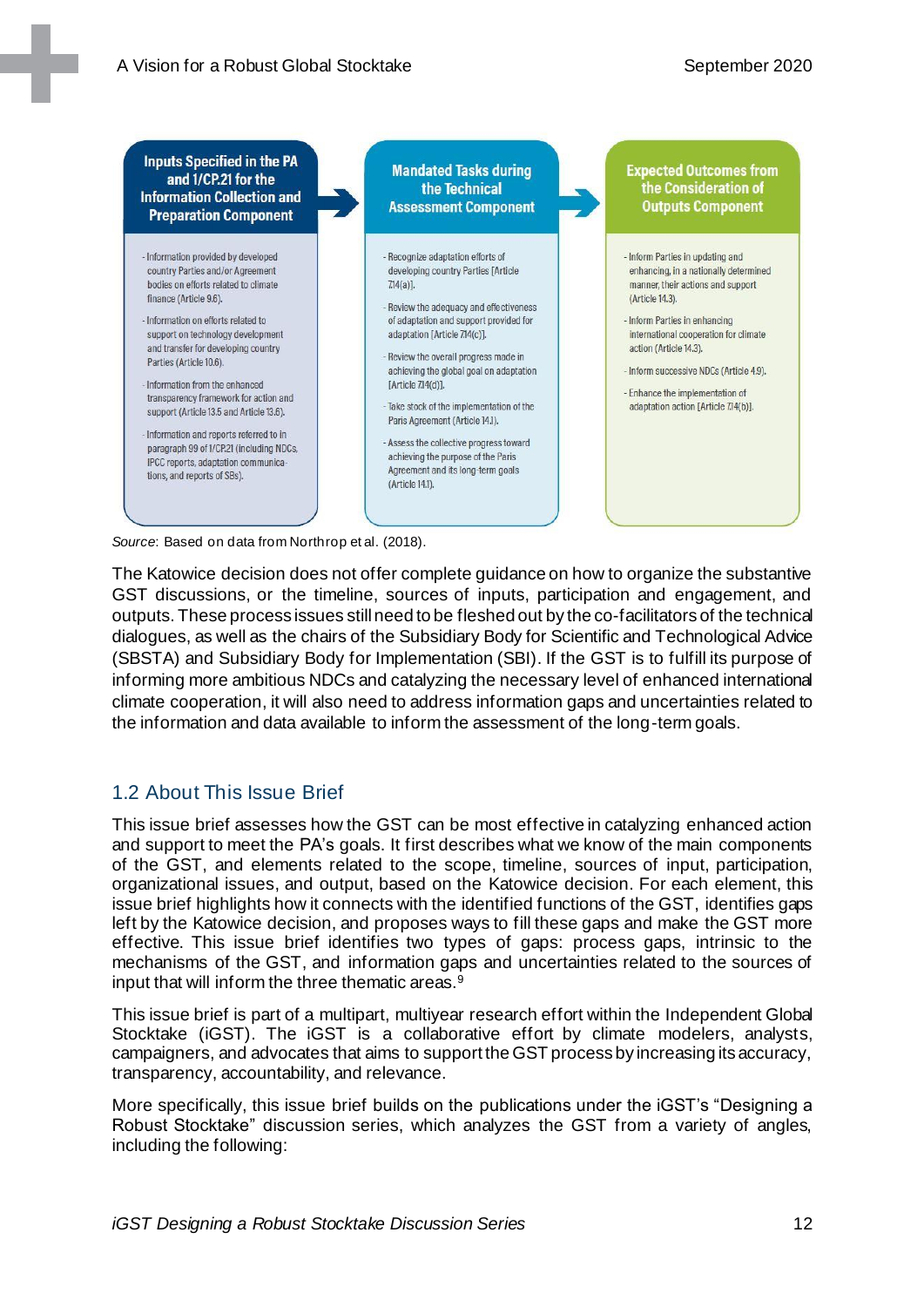

*Source*: Based on data from Northrop et al. (2018).

The Katowice decision does not offer complete guidance on how to organize the substantive GST discussions, or the timeline, sources of inputs, participation and engagement, and outputs. These process issues still need to be fleshed out by the co-facilitators of the technical dialogues, as well as the chairs of the Subsidiary Body for Scientific and Technological Advice (SBSTA) and Subsidiary Body for Implementation (SBI). If the GST is to fulfill its purpose of informing more ambitious NDCs and catalyzing the necessary level of enhanced international climate cooperation, it will also need to address information gaps and uncertainties related to the information and data available to inform the assessment of the long-term goals.

# <span id="page-11-0"></span>1.2 About This Issue Brief

This issue brief assesses how the GST can be most effective in catalyzing enhanced action and support to meet the PA's goals. It first describes what we know of the main components of the GST, and elements related to the scope, timeline, sources of input, participation, organizational issues, and output, based on the Katowice decision. For each element, this issue brief highlights how it connects with the identified functions of the GST, identifies gaps left by the Katowice decision, and proposes ways to fill these gaps and make the GST more effective. This issue brief identifies two types of gaps: process gaps, intrinsic to the mechanisms of the GST, and information gaps and uncertainties related to the sources of input that will inform the three thematic areas.<sup>9</sup>

This issue brief is part of a multipart, multiyear research effort within the Independent Global Stocktake (iGST). The iGST is a collaborative effort by climate modelers, analysts, campaigners, and advocates that aims to support the GST process by increasing its accuracy, transparency, accountability, and relevance.

More specifically, this issue brief builds on the publications under the iGST's "Designing a Robust Stocktake" discussion series, which analyzes the GST from a variety of angles, including the following: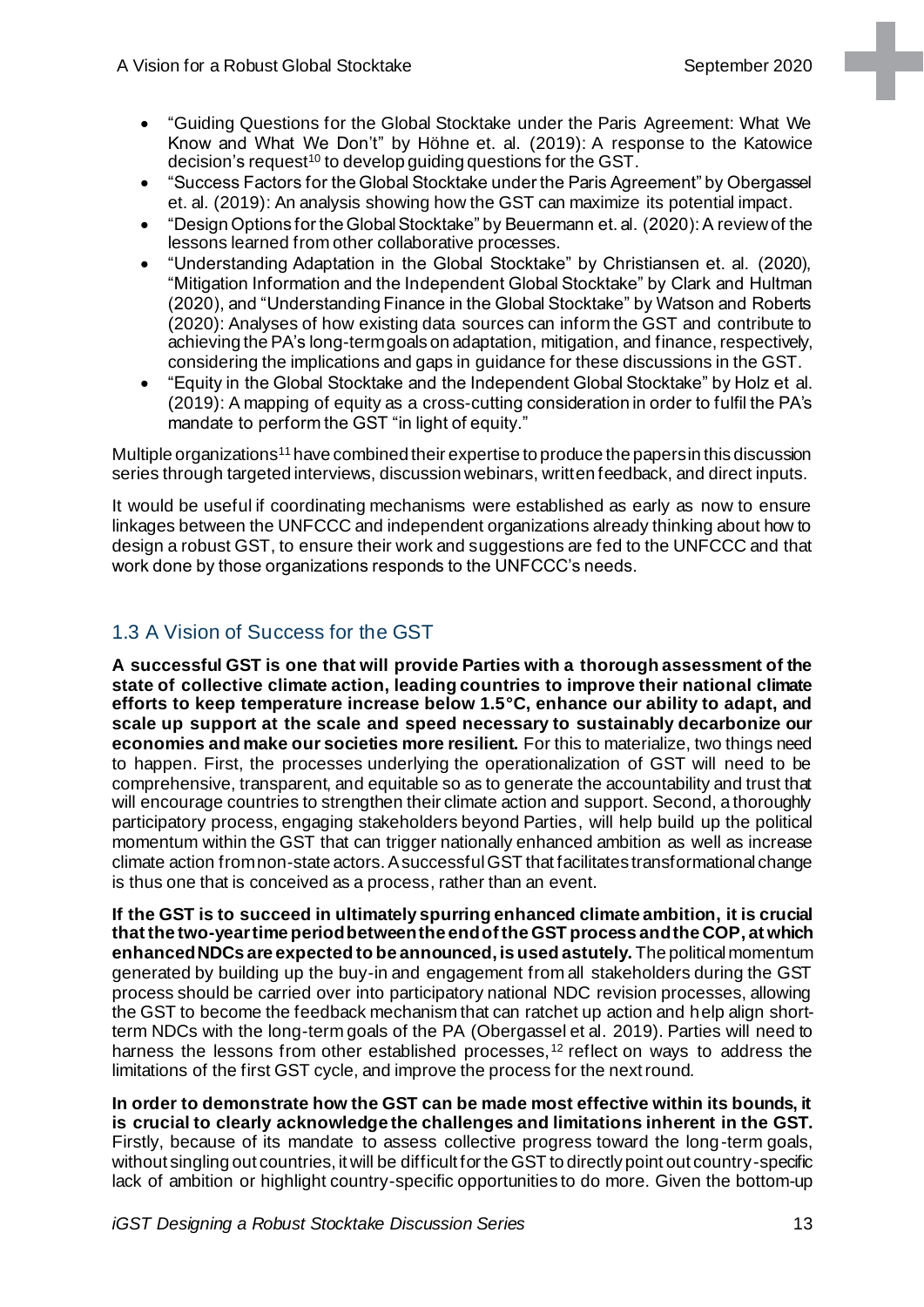- "Guiding Questions for the Global Stocktake under the Paris Agreement: What We Know and What We Don't" by Höhne et. al. (2019): A response to the Katowice decision's request<sup>10</sup> to develop quiding questions for the GST.
- "Success Factors for the Global Stocktake under the Paris Agreement" by Obergassel et. al. (2019): An analysis showing how the GST can maximize its potential impact.
- "Design Options for the Global Stocktake" by Beuermann et. al. (2020): A review of the lessons learned from other collaborative processes.
- "Understanding Adaptation in the Global Stocktake" by Christiansen et. al. (2020), "Mitigation Information and the Independent Global Stocktake" by Clark and Hultman (2020), and "Understanding Finance in the Global Stocktake" by Watson and Roberts (2020): Analyses of how existing data sources can inform the GST and contribute to achieving the PA's long-term goals on adaptation, mitigation, and finance, respectively, considering the implications and gaps in guidance for these discussions in the GST.
- "Equity in the Global Stocktake and the Independent Global Stocktake" by Holz et al. (2019): A mapping of equity as a cross-cutting consideration in order to fulfil the PA's mandate to perform the GST "in light of equity."

Multiple organizations<sup>11</sup> have combined their expertise to produce the papers in this discussion series through targeted interviews, discussion webinars, written feedback, and direct inputs.

It would be useful if coordinating mechanisms were established as early as now to ensure linkages between the UNFCCC and independent organizations already thinking about how to design a robust GST, to ensure their work and suggestions are fed to the UNFCCC and that work done by those organizations responds to the UNFCCC's needs.

# <span id="page-12-0"></span>1.3 A Vision of Success for the GST

**A successful GST is one that will provide Parties with a thorough assessment of the state of collective climate action, leading countries to improve their national climate efforts to keep temperature increase below 1.5°C, enhance our ability to adapt, and scale up support at the scale and speed necessary to sustainably decarbonize our economies and make our societies more resilient.** For this to materialize, two things need to happen. First, the processes underlying the operationalization of GST will need to be comprehensive, transparent, and equitable so as to generate the accountability and trust that will encourage countries to strengthen their climate action and support. Second, a thoroughly participatory process, engaging stakeholders beyond Parties, will help build up the political momentum within the GST that can trigger nationally enhanced ambition as well as increase climate action from non-state actors. A successful GST that facilitates transformational change is thus one that is conceived as a process, rather than an event.

**If the GST is to succeed in ultimately spurring enhanced climate ambition, it is crucial that the two-year time period between the end of the GST process and the COP, at which enhanced NDCs are expected to be announced, is used astutely.** The political momentum generated by building up the buy-in and engagement from all stakeholders during the GST process should be carried over into participatory national NDC revision processes, allowing the GST to become the feedback mechanism that can ratchet up action and help align shortterm NDCs with the long-term goals of the PA (Obergassel et al. 2019). Parties will need to harness the lessons from other established processes,<sup>12</sup> reflect on ways to address the limitations of the first GST cycle, and improve the process for the next round.

**In order to demonstrate how the GST can be made most effective within its bounds, it is crucial to clearly acknowledge the challenges and limitations inherent in the GST.** Firstly, because of its mandate to assess collective progress toward the long-term goals, without singling out countries, it will be difficult for the GST to directly point out country-specific lack of ambition or highlight country-specific opportunities to do more. Given the bottom-up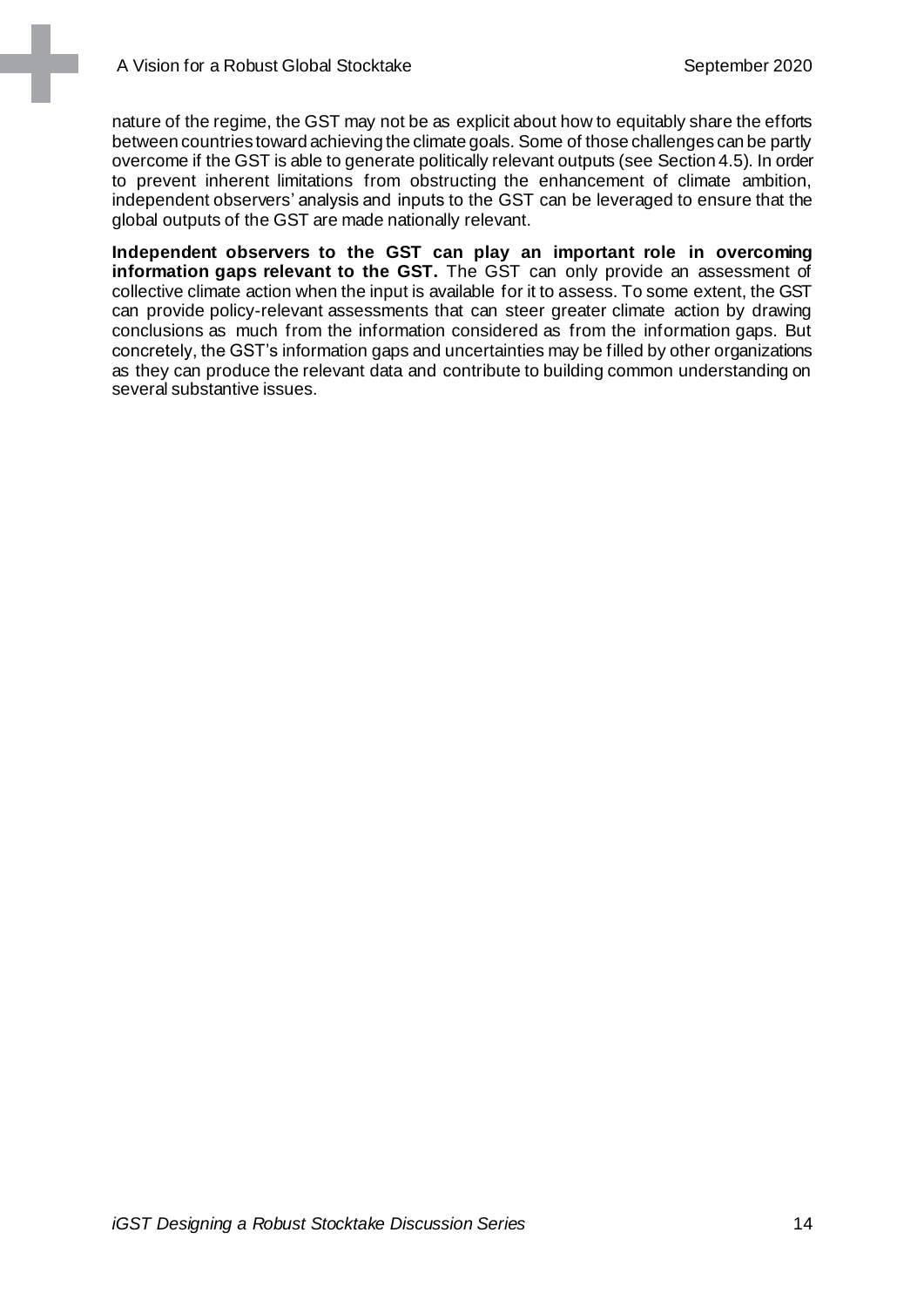nature of the regime, the GST may not be as explicit about how to equitably share the efforts between countries toward achieving the climate goals. Some of those challenges can be partly overcome if the GST is able to generate politically relevant outputs (see Section 4.5). In order to prevent inherent limitations from obstructing the enhancement of climate ambition, independent observers' analysis and inputs to the GST can be leveraged to ensure that the global outputs of the GST are made nationally relevant.

**Independent observers to the GST can play an important role in overcoming information gaps relevant to the GST.** The GST can only provide an assessment of collective climate action when the input is available for it to assess. To some extent, the GST can provide policy-relevant assessments that can steer greater climate action by drawing conclusions as much from the information considered as from the information gaps. But concretely, the GST's information gaps and uncertainties may be filled by other organizations as they can produce the relevant data and contribute to building common understanding on several substantive issues.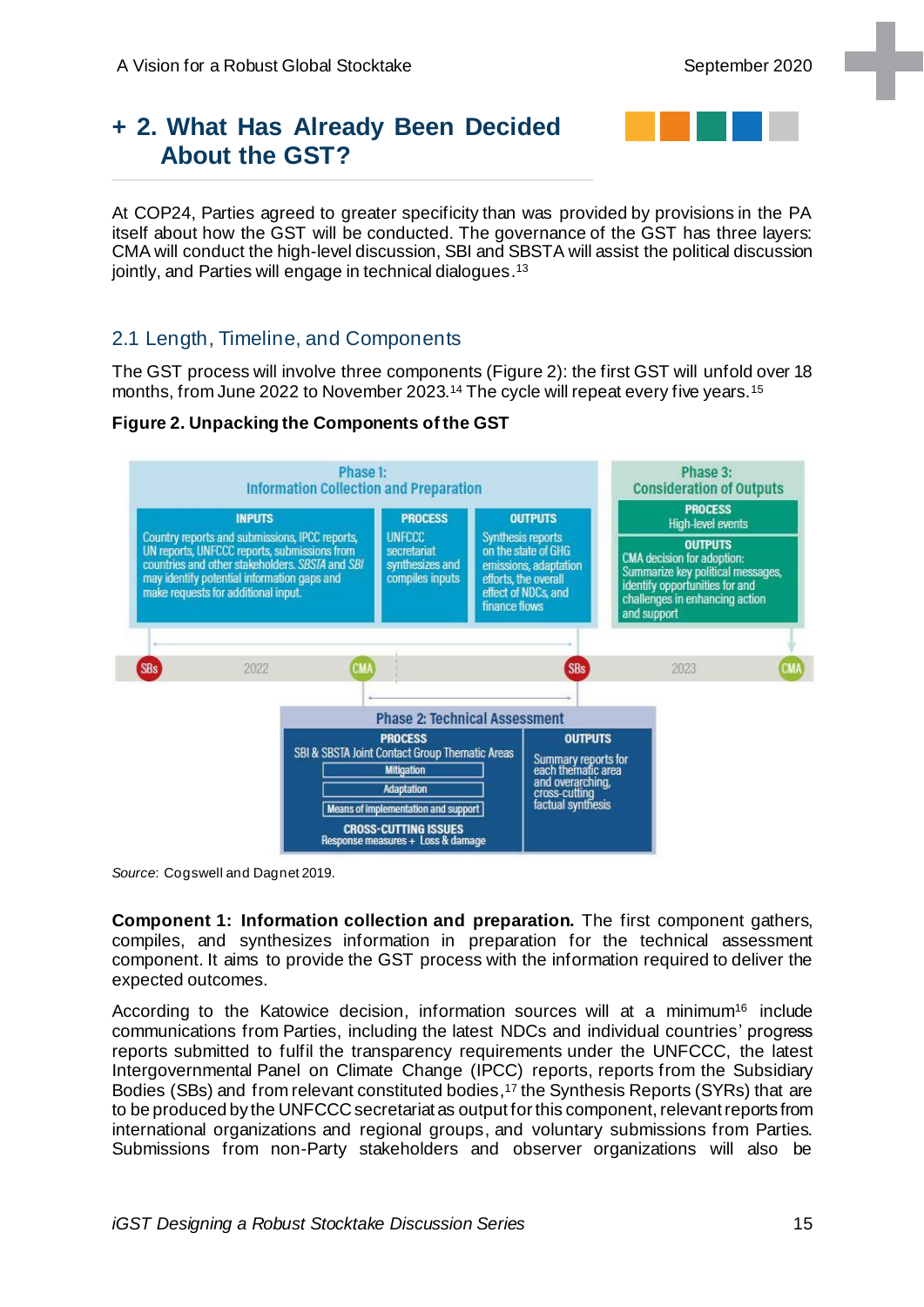# <span id="page-14-0"></span>**+ 2. What Has Already Been Decided About the GST?**



At COP24, Parties agreed to greater specificity than was provided by provisions in the PA itself about how the GST will be conducted. The governance of the GST has three layers: CMA will conduct the high-level discussion, SBI and SBSTA will assist the political discussion jointly, and Parties will engage in technical dialogues. 13

# <span id="page-14-1"></span>2.1 Length, Timeline, and Components

The GST process will involve three components (Figure 2): the first GST will unfold over 18 months, from June 2022 to November 2023.<sup>14</sup> The cycle will repeat every five years.<sup>15</sup>



**Figure 2. Unpacking the Components of the GST**

*Source*: Cogswell and Dagnet 2019.

**Component 1: Information collection and preparation.** The first component gathers, compiles, and synthesizes information in preparation for the technical assessment component. It aims to provide the GST process with the information required to deliver the expected outcomes.

According to the Katowice decision, information sources will at a minimum<sup>16</sup> include communications from Parties, including the latest NDCs and individual countries' progress reports submitted to fulfil the transparency requirements under the UNFCCC, the latest Intergovernmental Panel on Climate Change (IPCC) reports, reports from the Subsidiary Bodies (SBs) and from relevant constituted bodies, <sup>17</sup> the Synthesis Reports (SYRs) that are to be produced by the UNFCCC secretariat as output for this component, relevant reports from international organizations and regional groups, and voluntary submissions from Parties. Submissions from non-Party stakeholders and observer organizations will also be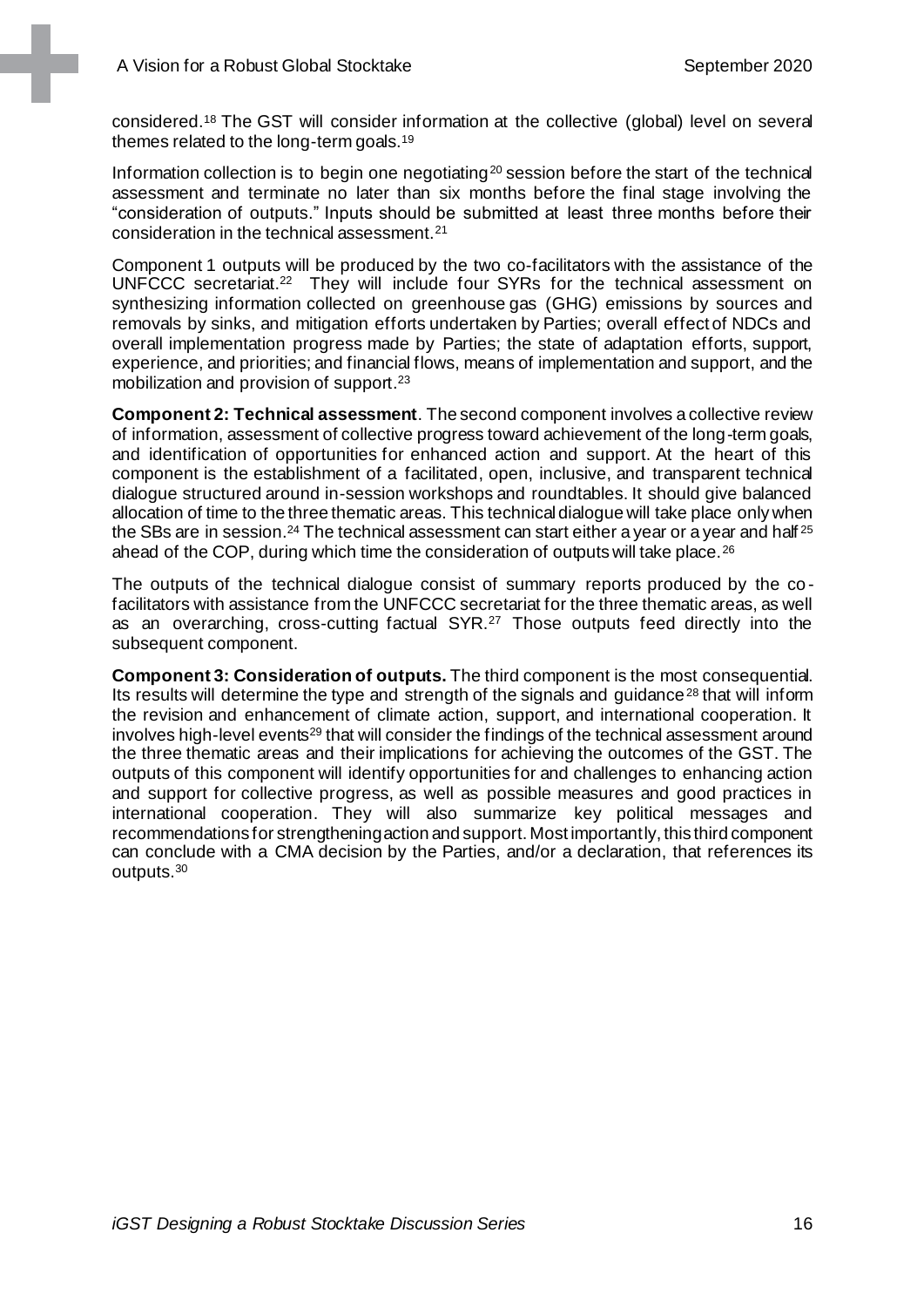considered.<sup>18</sup> The GST will consider information at the collective (global) level on several themes related to the long-term goals.<sup>19</sup>

Information collection is to begin one negotiating<sup>20</sup> session before the start of the technical assessment and terminate no later than six months before the final stage involving the "consideration of outputs." Inputs should be submitted at least three months before their consideration in the technical assessment.<sup>21</sup>

Component 1 outputs will be produced by the two co-facilitators with the assistance of the UNFCCC secretariat.<sup>22</sup> They will include four SYRs for the technical assessment on synthesizing information collected on greenhouse gas (GHG) emissions by sources and removals by sinks, and mitigation efforts undertaken by Parties; overall effect of NDCs and overall implementation progress made by Parties; the state of adaptation efforts, support, experience, and priorities; and financial flows, means of implementation and support, and the mobilization and provision of support. 23

**Component 2: Technical assessment**. The second component involves a collective review of information, assessment of collective progress toward achievement of the long-term goals, and identification of opportunities for enhanced action and support. At the heart of this component is the establishment of a facilitated, open, inclusive, and transparent technical dialogue structured around in-session workshops and roundtables. It should give balanced allocation of time to the three thematic areas. This technical dialogue will take place only when the SBs are in session. $^{24}$  The technical assessment can start either a year or a year and half  $^{25}$ ahead of the COP, during which time the consideration of outputs will take place.<sup>26</sup>

The outputs of the technical dialogue consist of summary reports produced by the cofacilitators with assistance from the UNFCCC secretariat for the three thematic areas, as well as an overarching, cross-cutting factual SYR.<sup>27</sup> Those outputs feed directly into the subsequent component.

**Component 3: Consideration of outputs.** The third component is the most consequential. Its results will determine the type and strength of the signals and guidance<sup>28</sup> that will inform the revision and enhancement of climate action, support, and international cooperation. It involves high-level events<sup>29</sup> that will consider the findings of the technical assessment around the three thematic areas and their implications for achieving the outcomes of the GST. The outputs of this component will identify opportunities for and challenges to enhancing action and support for collective progress, as well as possible measures and good practices in international cooperation. They will also summarize key political messages and recommendations for strengthening action and support. Most importantly, this third component can conclude with a CMA decision by the Parties, and/or a declaration, that references its outputs.30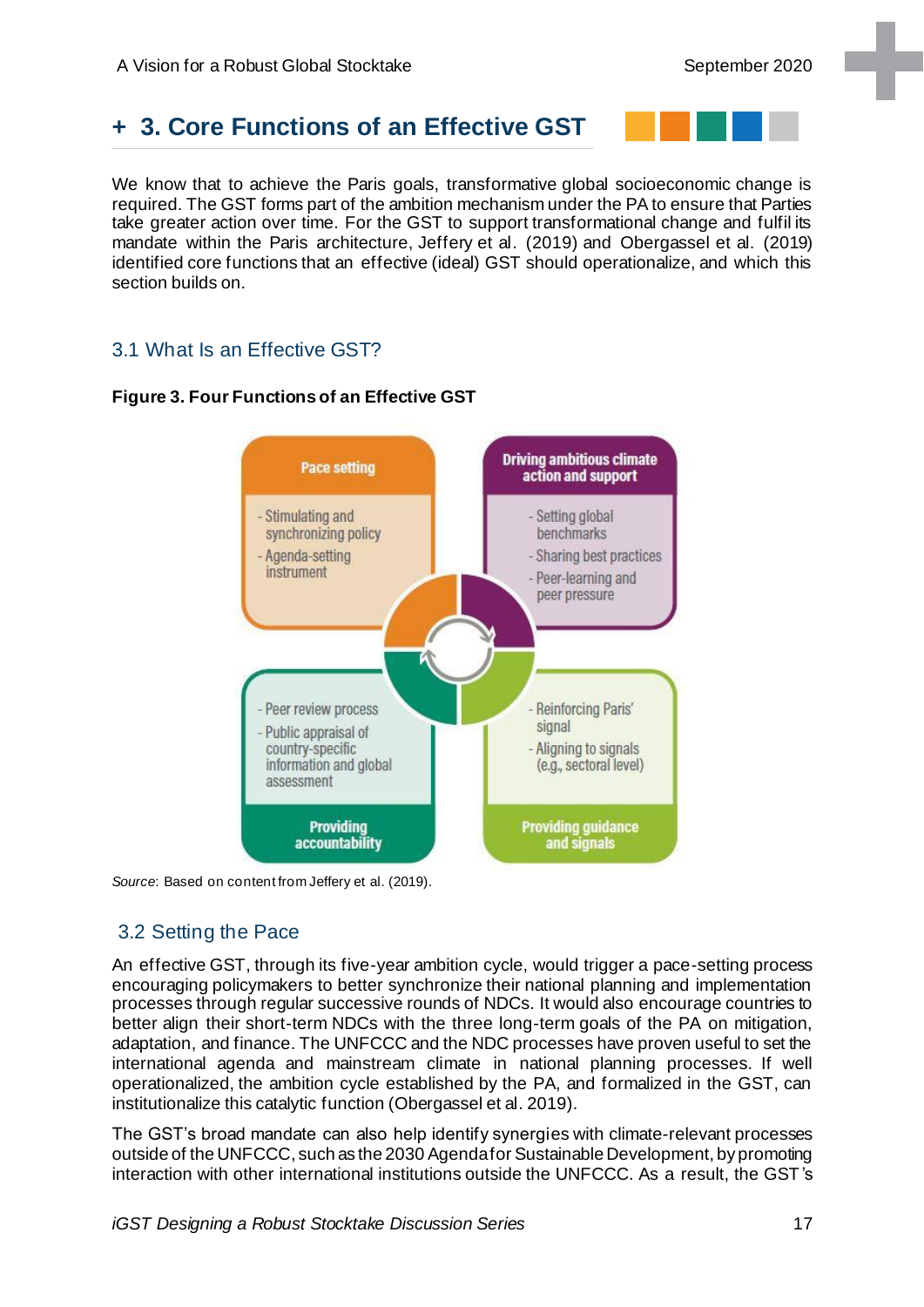<span id="page-16-0"></span>

We know that to achieve the Paris goals, transformative global socioeconomic change is required. The GST forms part of the ambition mechanism under the PA to ensure that Parties take greater action over time. For the GST to support transformational change and fulfil its mandate within the Paris architecture, Jeffery et al. (2019) and Obergassel et al. (2019) identified core functions that an effective (ideal) GST should operationalize, and which this section builds on.

# <span id="page-16-1"></span>3.1 What Is an Effective GST?



### **Figure 3. Four Functions of an Effective GST**

*Source*: Based on content from Jeffery et al. (2019).

# <span id="page-16-2"></span>3.2 Setting the Pace

An effective GST, through its five-year ambition cycle, would trigger a pace-setting process encouraging policymakers to better synchronize their national planning and implementation processes through regular successive rounds of NDCs. It would also encourage countries to better align their short-term NDCs with the three long-term goals of the PA on mitigation, adaptation, and finance. The UNFCCC and the NDC processes have proven useful to set the international agenda and mainstream climate in national planning processes. If well operationalized, the ambition cycle established by the PA, and formalized in the GST, can institutionalize this catalytic function (Obergassel et al. 2019).

The GST's broad mandate can also help identify synergies with climate-relevant processes outside of the UNFCCC, such as the 2030 Agenda for Sustainable Development, by promoting interaction with other international institutions outside the UNFCCC. As a result, the GST's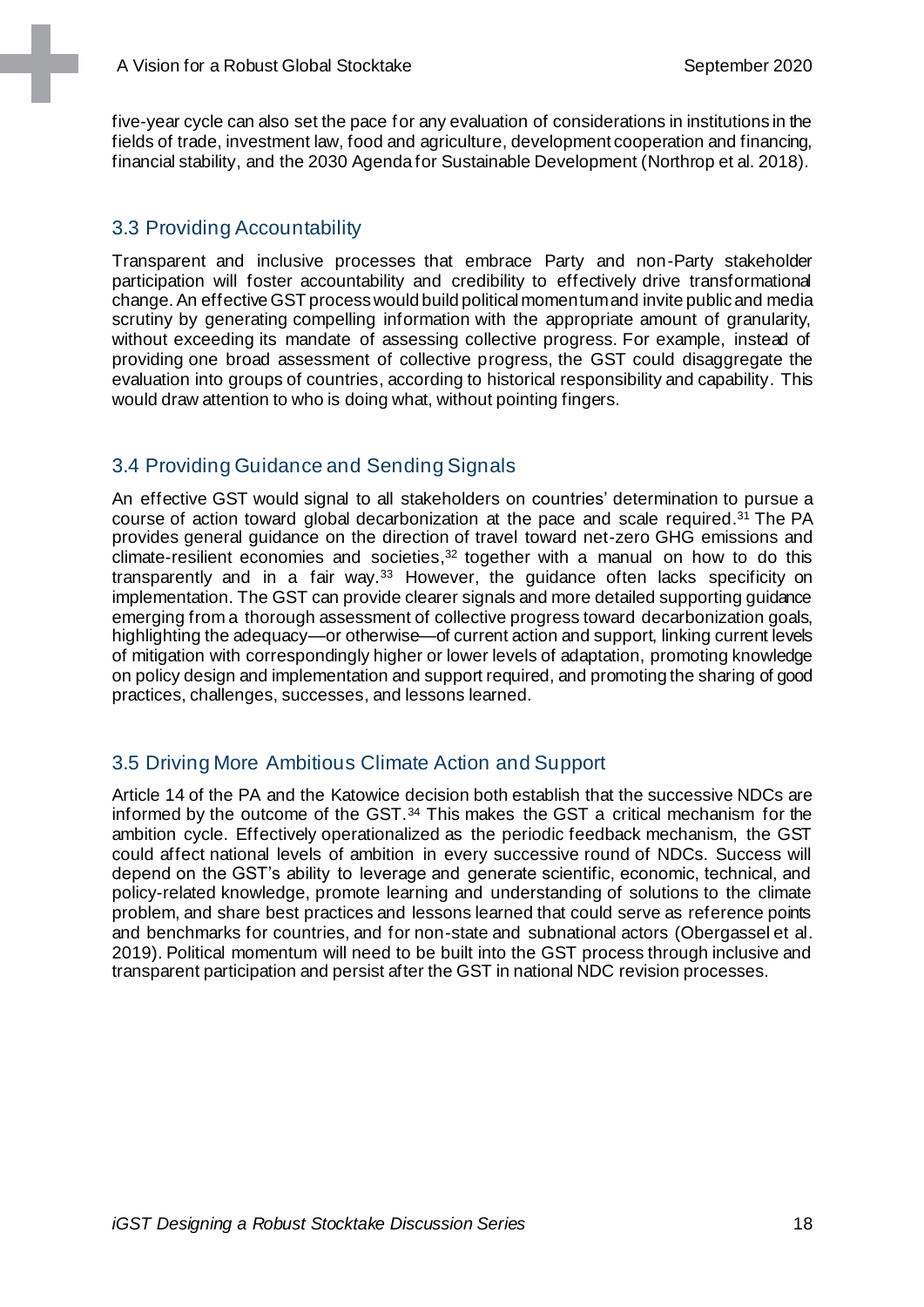five-year cycle can also set the pace for any evaluation of considerations in institutions in the fields of trade, investment law, food and agriculture, development cooperation and financing, financial stability, and the 2030 Agenda for Sustainable Development (Northrop et al. 2018).

### <span id="page-17-0"></span>3.3 Providing Accountability

Transparent and inclusive processes that embrace Party and non-Party stakeholder participation will foster accountability and credibility to effectively drive transformational change. An effective GST process would build political momentum and invite public and media scrutiny by generating compelling information with the appropriate amount of granularity, without exceeding its mandate of assessing collective progress. For example, instead of providing one broad assessment of collective progress, the GST could disaggregate the evaluation into groups of countries, according to historical responsibility and capability. This would draw attention to who is doing what, without pointing fingers.

### <span id="page-17-1"></span>3.4 Providing Guidance and Sending Signals

An effective GST would signal to all stakeholders on countries' determination to pursue a course of action toward global decarbonization at the pace and scale required.<sup>31</sup> The PA provides general guidance on the direction of travel toward net-zero GHG emissions and climate-resilient economies and societies, <sup>32</sup> together with a manual on how to do this transparently and in a fair way. $33$  However, the guidance often lacks specificity on implementation. The GST can provide clearer signals and more detailed supporting guidance emerging from a thorough assessment of collective progress toward decarbonization goals, highlighting the adequacy—or otherwise—of current action and support, linking current levels of mitigation with correspondingly higher or lower levels of adaptation, promoting knowledge on policy design and implementation and support required, and promoting the sharing of good practices, challenges, successes, and lessons learned.

### <span id="page-17-2"></span>3.5 Driving More Ambitious Climate Action and Support

Article 14 of the PA and the Katowice decision both establish that the successive NDCs are informed by the outcome of the GST. $34$  This makes the GST a critical mechanism for the ambition cycle. Effectively operationalized as the periodic feedback mechanism, the GST could affect national levels of ambition in every successive round of NDCs. Success will depend on the GST's ability to leverage and generate scientific, economic, technical, and policy-related knowledge, promote learning and understanding of solutions to the climate problem, and share best practices and lessons learned that could serve as reference points and benchmarks for countries, and for non-state and subnational actors (Obergassel et al. 2019). Political momentum will need to be built into the GST process through inclusive and transparent participation and persist after the GST in national NDC revision processes.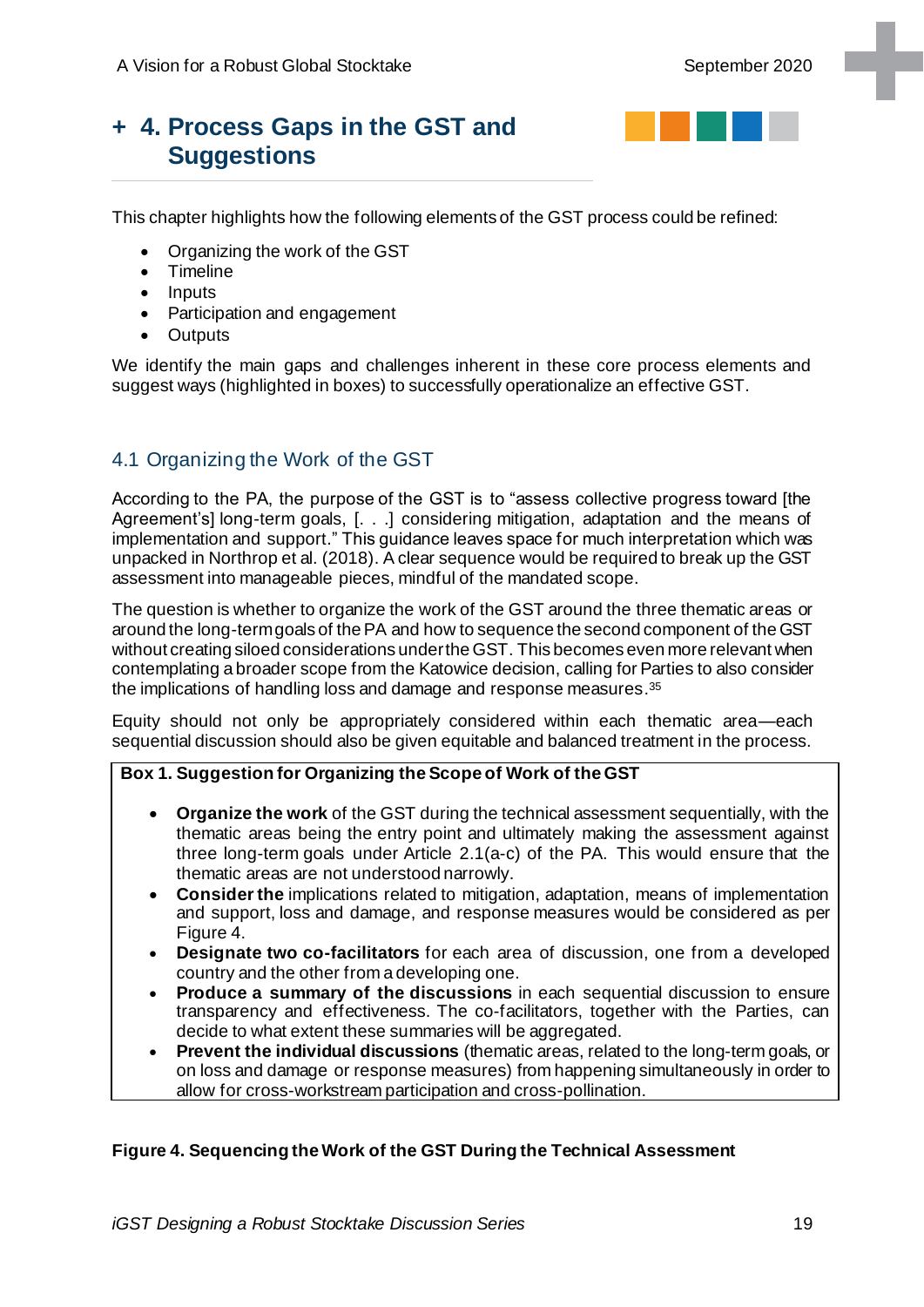# <span id="page-18-0"></span>**+ 4. Process Gaps in the GST and Suggestions**



This chapter highlights how the following elements of the GST process could be refined:

- Organizing the work of the GST
- Timeline
- Inputs
- Participation and engagement
- Outputs

We identify the main gaps and challenges inherent in these core process elements and suggest ways (highlighted in boxes) to successfully operationalize an effective GST.

# <span id="page-18-1"></span>4.1 Organizing the Work of the GST

According to the PA, the purpose of the GST is to "assess collective progress toward [the Agreement's] long-term goals, [. . .] considering mitigation, adaptation and the means of implementation and support." This guidance leaves space for much interpretation which was unpacked in Northrop et al. (2018). A clear sequence would be required to break up the GST assessment into manageable pieces, mindful of the mandated scope.

The question is whether to organize the work of the GST around the three thematic areas or around the long-term goals of the PA and how to sequence the second component of the GST without creating siloed considerations under the GST. This becomes even more relevant when contemplating a broader scope from the Katowice decision, calling for Parties to also consider the implications of handling loss and damage and response measures. 35

Equity should not only be appropriately considered within each thematic area—each sequential discussion should also be given equitable and balanced treatment in the process.

### **Box 1. Suggestion for Organizing the Scope of Work of the GST**

- **Organize the work** of the GST during the technical assessment sequentially, with the thematic areas being the entry point and ultimately making the assessment against three long-term goals under Article 2.1(a-c) of the PA. This would ensure that the thematic areas are not understood narrowly.
- **Consider the** implications related to mitigation, adaptation, means of implementation and support, loss and damage, and response measures would be considered as per Figure 4.
- **Designate two co-facilitators** for each area of discussion, one from a developed country and the other from a developing one.
- **Produce a summary of the discussions** in each sequential discussion to ensure transparency and effectiveness. The co-facilitators, together with the Parties, can decide to what extent these summaries will be aggregated.
- **Prevent the individual discussions** (thematic areas, related to the long-term goals, or on loss and damage or response measures) from happening simultaneously in order to allow for cross-workstream participation and cross-pollination.

### **Figure 4. Sequencing the Work of the GST During the Technical Assessment**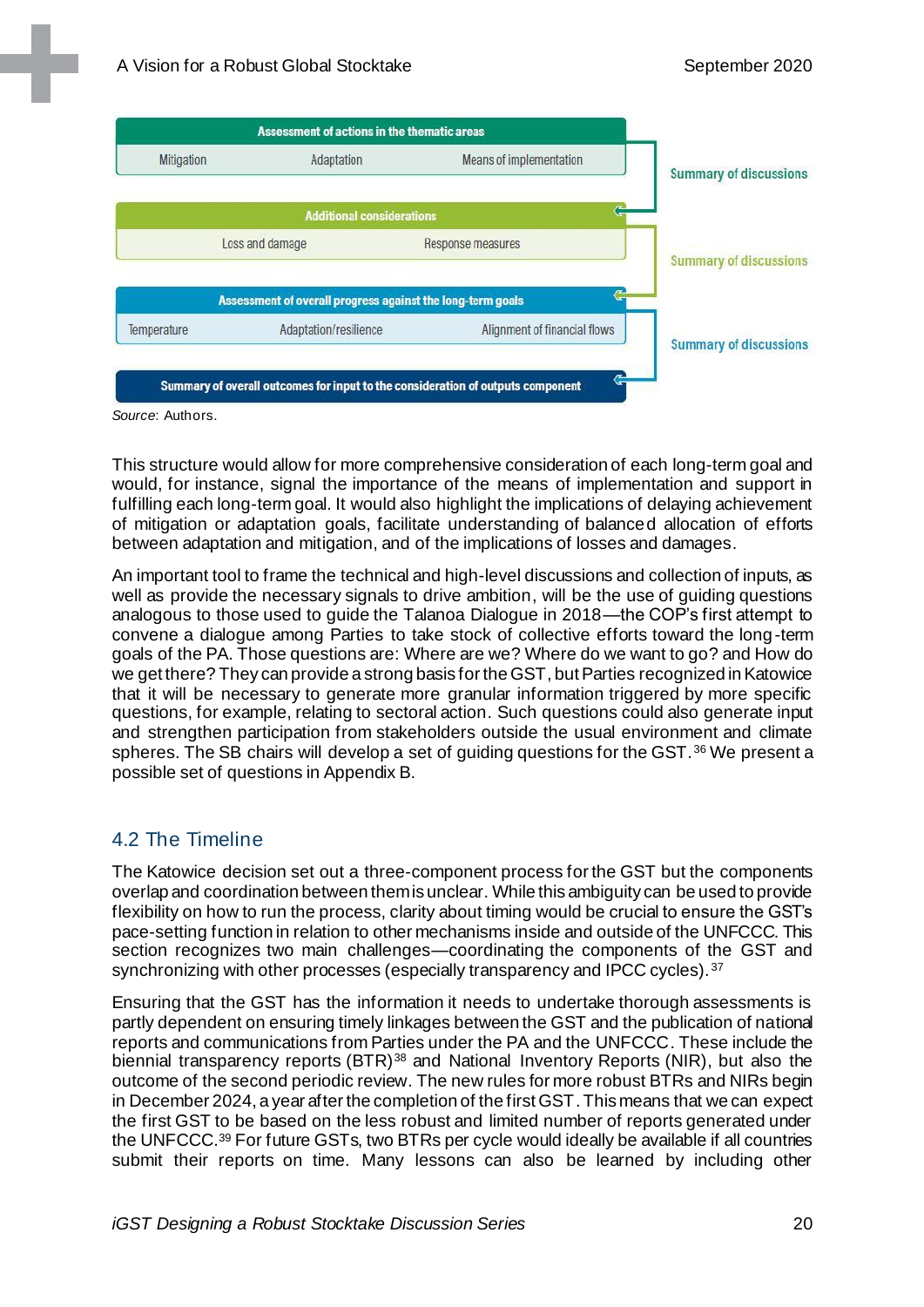

*Source*: Authors.

This structure would allow for more comprehensive consideration of each long-term goal and would, for instance, signal the importance of the means of implementation and support in fulfilling each long-term goal. It would also highlight the implications of delaying achievement of mitigation or adaptation goals, facilitate understanding of balanced allocation of efforts between adaptation and mitigation, and of the implications of losses and damages.

An important tool to frame the technical and high-level discussions and collection of inputs, as well as provide the necessary signals to drive ambition, will be the use of guiding questions analogous to those used to guide the Talanoa Dialogue in 2018—the COP's first attempt to convene a dialogue among Parties to take stock of collective efforts toward the long-term goals of the PA. Those questions are: Where are we? Where do we want to go? and How do we get there? They can provide a strong basis for the GST, but Parties recognized in Katowice that it will be necessary to generate more granular information triggered by more specific questions, for example, relating to sectoral action. Such questions could also generate input and strengthen participation from stakeholders outside the usual environment and climate spheres. The SB chairs will develop a set of quiding questions for the GST.<sup>36</sup> We present a possible set of questions in Appendix B.

### <span id="page-19-0"></span>4.2 The Timeline

The Katowice decision set out a three-component process for the GST but the components overlap and coordination between them is unclear. While this ambiguity can be used to provide flexibility on how to run the process, clarity about timing would be crucial to ensure the GST's pace-setting function in relation to other mechanisms inside and outside of the UNFCCC. This section recognizes two main challenges—coordinating the components of the GST and synchronizing with other processes (especially transparency and IPCC cycles). 37

Ensuring that the GST has the information it needs to undertake thorough assessments is partly dependent on ensuring timely linkages between the GST and the publication of national reports and communications from Parties under the PA and the UNFCCC. These include the biennial transparency reports (BTR)<sup>38</sup> and National Inventory Reports (NIR), but also the outcome of the second periodic review. The new rules for more robust BTRs and NIRs begin in December 2024, a year after the completion of the first GST.This means that we can expect the first GST to be based on the less robust and limited number of reports generated under the UNFCCC.<sup>39</sup> For future GSTs, two BTRs per cycle would ideally be available if all countries submit their reports on time. Many lessons can also be learned by including other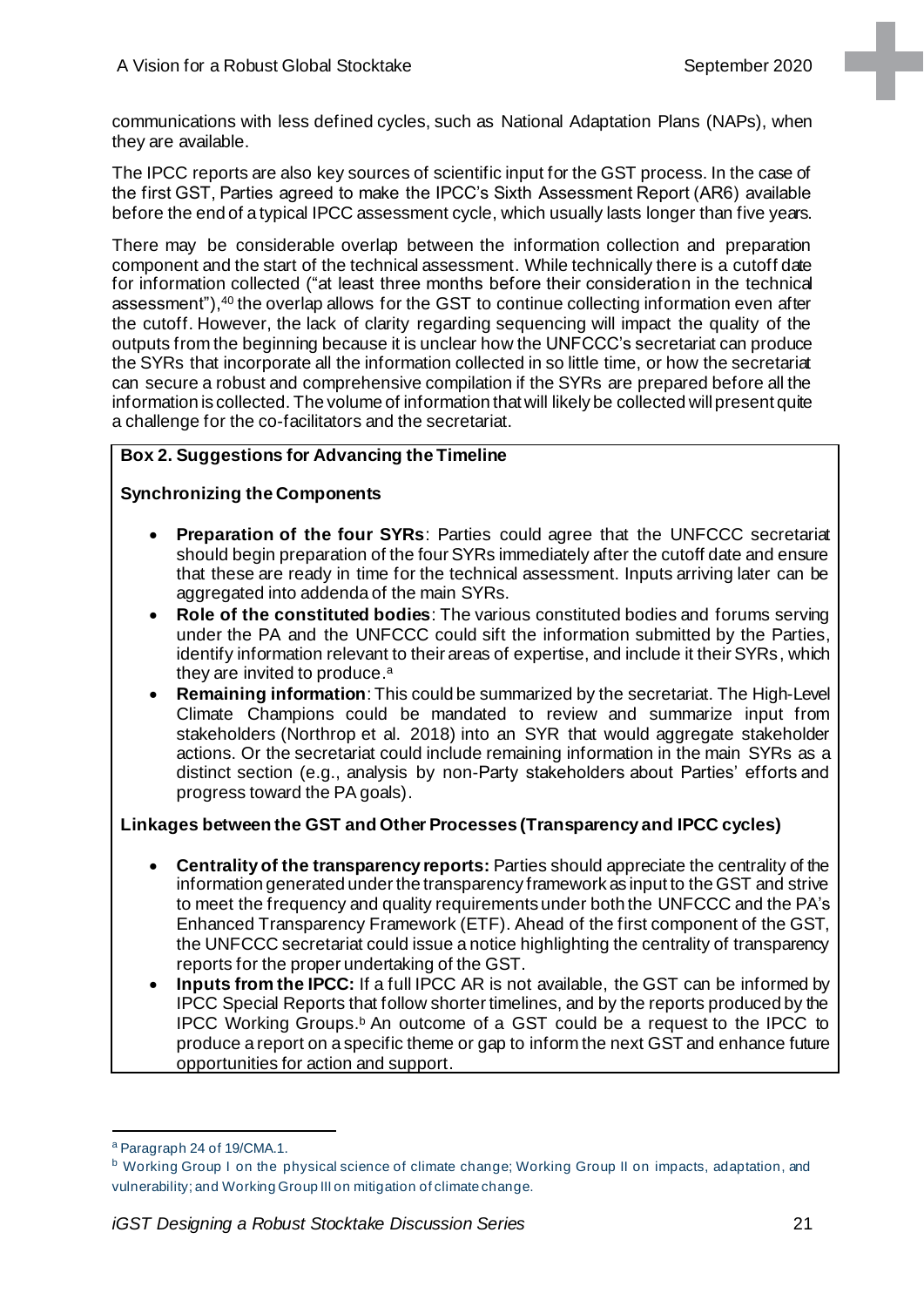communications with less defined cycles, such as National Adaptation Plans (NAPs), when they are available.

The IPCC reports are also key sources of scientific input for the GST process. In the case of the first GST, Parties agreed to make the IPCC's Sixth Assessment Report (AR6) available before the end of a typical IPCC assessment cycle, which usually lasts longer than five years.

There may be considerable overlap between the information collection and preparation component and the start of the technical assessment. While technically there is a cutoff date for information collected ("at least three months before their consideration in the technical assessment"),<sup>40</sup> the overlap allows for the GST to continue collecting information even after the cutoff. However, the lack of clarity regarding sequencing will impact the quality of the outputs from the beginning because it is unclear how the UNFCCC's secretariat can produce the SYRs that incorporate all the information collected in so little time, or how the secretariat can secure a robust and comprehensive compilation if the SYRs are prepared before all the information is collected. The volume of information that will likely be collected will present quite a challenge for the co-facilitators and the secretariat.

### **Box 2. Suggestions for Advancing the Timeline**

### **Synchronizing the Components**

- **Preparation of the four SYRs**: Parties could agree that the UNFCCC secretariat should begin preparation of the four SYRs immediately after the cutoff date and ensure that these are ready in time for the technical assessment. Inputs arriving later can be aggregated into addenda of the main SYRs.
- **Role of the constituted bodies**: The various constituted bodies and forums serving under the PA and the UNFCCC could sift the information submitted by the Parties, identify information relevant to their areas of expertise, and include it their SYRs, which they are invited to produce. a
- **Remaining information**: This could be summarized by the secretariat. The High-Level Climate Champions could be mandated to review and summarize input from stakeholders (Northrop et al. 2018) into an SYR that would aggregate stakeholder actions. Or the secretariat could include remaining information in the main SYRs as a distinct section (e.g., analysis by non-Party stakeholders about Parties' efforts and progress toward the PA goals).

### **Linkages between the GST and Other Processes (Transparency and IPCC cycles)**

- **Centrality of the transparency reports:** Parties should appreciate the centrality of the information generated under the transparency framework as input to the GST and strive to meet the frequency and quality requirements under both the UNFCCC and the PA's Enhanced Transparency Framework (ETF). Ahead of the first component of the GST, the UNFCCC secretariat could issue a notice highlighting the centrality of transparency reports for the proper undertaking of the GST.
- **Inputs from the IPCC:** If a full IPCC AR is not available, the GST can be informed by IPCC Special Reports that follow shorter timelines, and by the reports produced by the IPCC Working Groups.<sup>b</sup> An outcome of a GST could be a request to the IPCC to produce a report on a specific theme or gap to inform the next GST and enhance future opportunities for action and support.

<sup>a</sup> Paragraph 24 of 19/CMA.1.

b Working Group I on the physical science of climate change; Working Group II on impacts, adaptation, and vulnerability; and Working Group III on mitigation of climate change.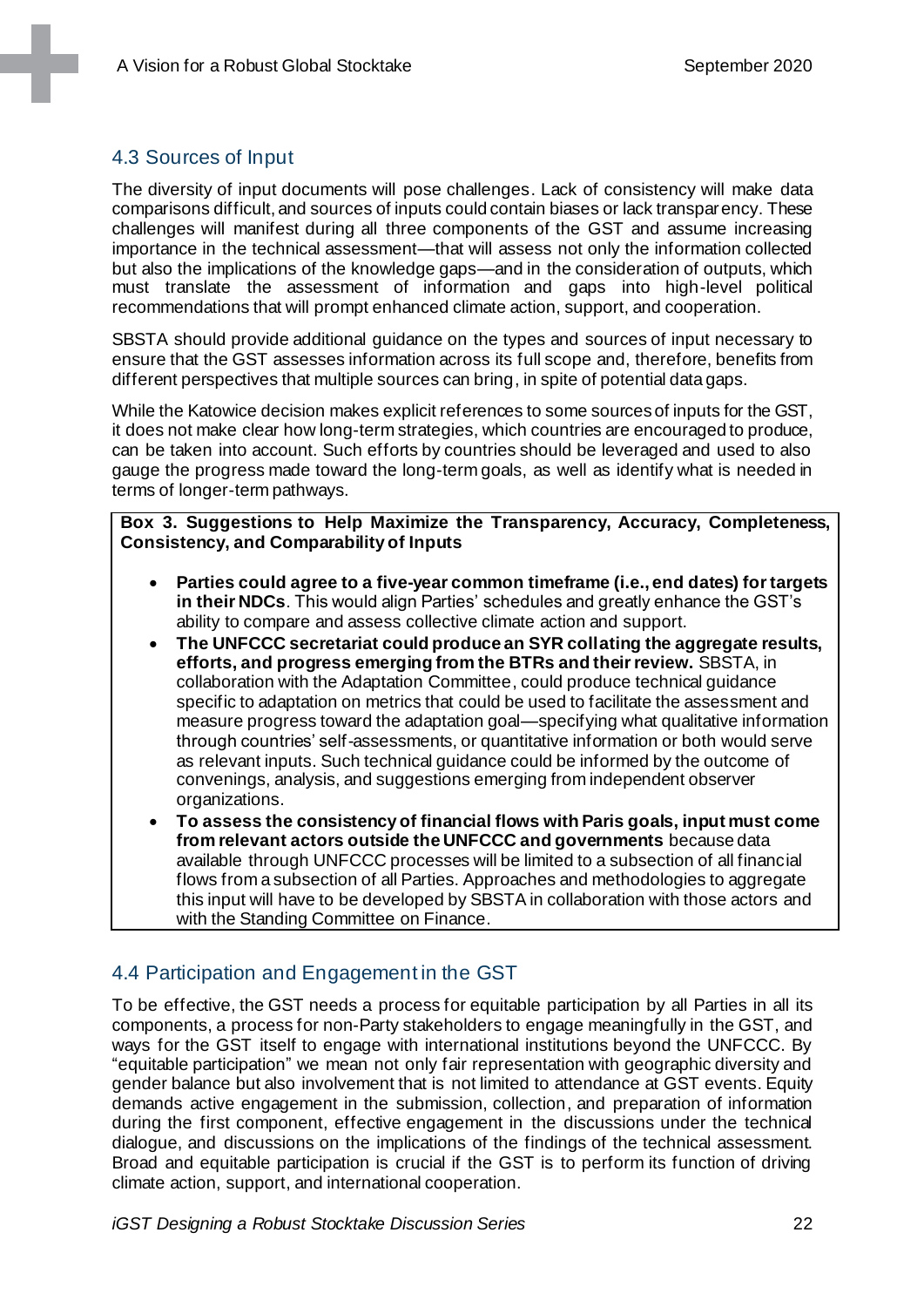# <span id="page-21-0"></span>4.3 Sources of Input

The diversity of input documents will pose challenges. Lack of consistency will make data comparisons difficult, and sources of inputs could contain biases or lack transparency. These challenges will manifest during all three components of the GST and assume increasing importance in the technical assessment—that will assess not only the information collected but also the implications of the knowledge gaps—and in the consideration of outputs, which must translate the assessment of information and gaps into high-level political recommendations that will prompt enhanced climate action, support, and cooperation.

SBSTA should provide additional guidance on the types and sources of input necessary to ensure that the GST assesses information across its full scope and, therefore, benefits from different perspectives that multiple sources can bring, in spite of potential data gaps.

While the Katowice decision makes explicit references to some sources of inputs for the GST, it does not make clear how long-term strategies, which countries are encouraged to produce, can be taken into account. Such efforts by countries should be leveraged and used to also gauge the progress made toward the long-term goals, as well as identify what is needed in terms of longer-term pathways.

### **Box 3. Suggestions to Help Maximize the Transparency, Accuracy, Completeness, Consistency, and Comparability of Inputs**

- **Parties could agree to a five-year common timeframe (i.e., end dates) for targets in their NDCs**. This would align Parties' schedules and greatly enhance the GST's ability to compare and assess collective climate action and support.
- **The UNFCCC secretariat could produce an SYR collating the aggregate results, efforts, and progress emerging from the BTRs and their review.** SBSTA, in collaboration with the Adaptation Committee, could produce technical guidance specific to adaptation on metrics that could be used to facilitate the assessment and measure progress toward the adaptation goal—specifying what qualitative information through countries' self-assessments, or quantitative information or both would serve as relevant inputs. Such technical guidance could be informed by the outcome of convenings, analysis, and suggestions emerging from independent observer organizations.
- **To assess the consistency of financial flows with Paris goals, input must come from relevant actors outside the UNFCCC and governments** because data available through UNFCCC processes will be limited to a subsection of all financial flows from a subsection of all Parties. Approaches and methodologies to aggregate this input will have to be developed by SBSTA in collaboration with those actors and with the Standing Committee on Finance.

# <span id="page-21-1"></span>4.4 Participation and Engagement in the GST

To be effective, the GST needs a process for equitable participation by all Parties in all its components, a process for non-Party stakeholders to engage meaningfully in the GST, and ways for the GST itself to engage with international institutions beyond the UNFCCC. By "equitable participation" we mean not only fair representation with geographic diversity and gender balance but also involvement that is not limited to attendance at GST events. Equity demands active engagement in the submission, collection, and preparation of information during the first component, effective engagement in the discussions under the technical dialogue, and discussions on the implications of the findings of the technical assessment. Broad and equitable participation is crucial if the GST is to perform its function of driving climate action, support, and international cooperation.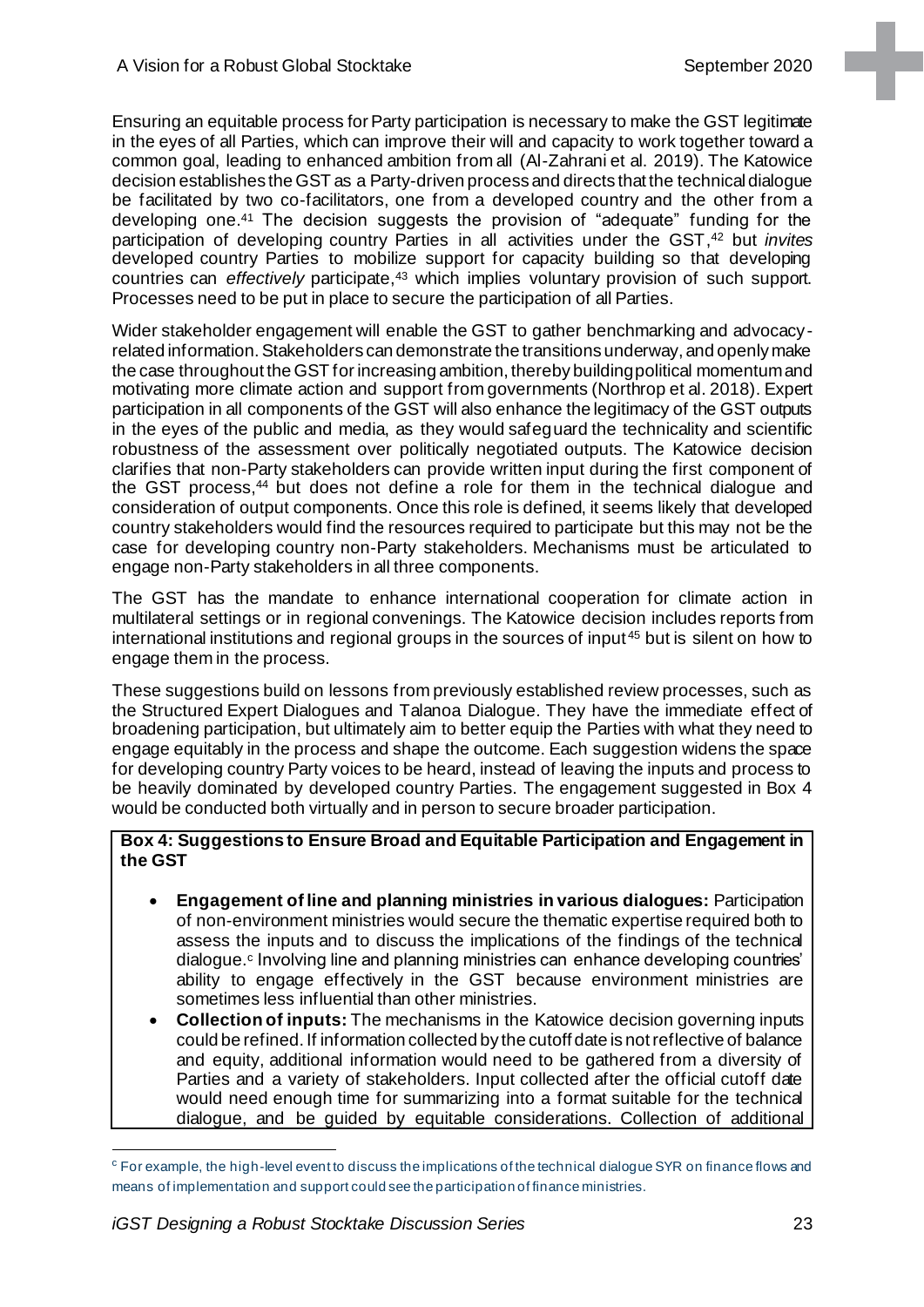Ensuring an equitable process for Party participation is necessary to make the GST legitimate in the eyes of all Parties, which can improve their will and capacity to work together toward a common goal, leading to enhanced ambition from all (Al-Zahrani et al. 2019). The Katowice decision establishes the GST as a Party-driven process and directs that the technical dialogue be facilitated by two co-facilitators, one from a developed country and the other from a developing one. <sup>41</sup> The decision suggests the provision of "adequate" funding for the participation of developing country Parties in all activities under the GST, <sup>42</sup> but *invites* developed country Parties to mobilize support for capacity building so that developing countries can *effectively* participate,<sup>43</sup> which implies voluntary provision of such support. Processes need to be put in place to secure the participation of all Parties.

Wider stakeholder engagement will enable the GST to gather benchmarking and advocacyrelated information. Stakeholders can demonstrate the transitions underway, and openly make the case throughout the GST for increasing ambition, thereby building political momentum and motivating more climate action and support from governments (Northrop et al. 2018). Expert participation in all components of the GST will also enhance the legitimacy of the GST outputs in the eyes of the public and media, as they would safeguard the technicality and scientific robustness of the assessment over politically negotiated outputs. The Katowice decision clarifies that non-Party stakeholders can provide written input during the first component of the GST process, <sup>44</sup> but does not define a role for them in the technical dialogue and consideration of output components. Once this role is defined, it seems likely that developed country stakeholders would find the resources required to participate but this may not be the case for developing country non-Party stakeholders. Mechanisms must be articulated to engage non-Party stakeholders in all three components.

The GST has the mandate to enhance international cooperation for climate action in multilateral settings or in regional convenings. The Katowice decision includes reports from international institutions and regional groups in the sources of input <sup>45</sup> but is silent on how to engage them in the process.

These suggestions build on lessons from previously established review processes, such as the Structured Expert Dialogues and Talanoa Dialogue. They have the immediate effect of broadening participation, but ultimately aim to better equip the Parties with what they need to engage equitably in the process and shape the outcome. Each suggestion widens the space for developing country Party voices to be heard, instead of leaving the inputs and process to be heavily dominated by developed country Parties. The engagement suggested in Box 4 would be conducted both virtually and in person to secure broader participation.

### **Box 4: Suggestions to Ensure Broad and Equitable Participation and Engagement in the GST**

- **Engagement of line and planning ministries in various dialogues:** Participation of non-environment ministries would secure the thematic expertise required both to assess the inputs and to discuss the implications of the findings of the technical dialogue.<sup>c</sup> Involving line and planning ministries can enhance developing countries' ability to engage effectively in the GST because environment ministries are sometimes less influential than other ministries.
- **Collection of inputs:** The mechanisms in the Katowice decision governing inputs could be refined. If information collected by the cutoff date is not reflective of balance and equity, additional information would need to be gathered from a diversity of Parties and a variety of stakeholders. Input collected after the official cutoff date would need enough time for summarizing into a format suitable for the technical dialogue, and be guided by equitable considerations. Collection of additional

<sup>c</sup> For example, the high-level event to discuss the implications of the technical dialogue SYR on finance flows and means of implementation and support could see the participation of finance ministries.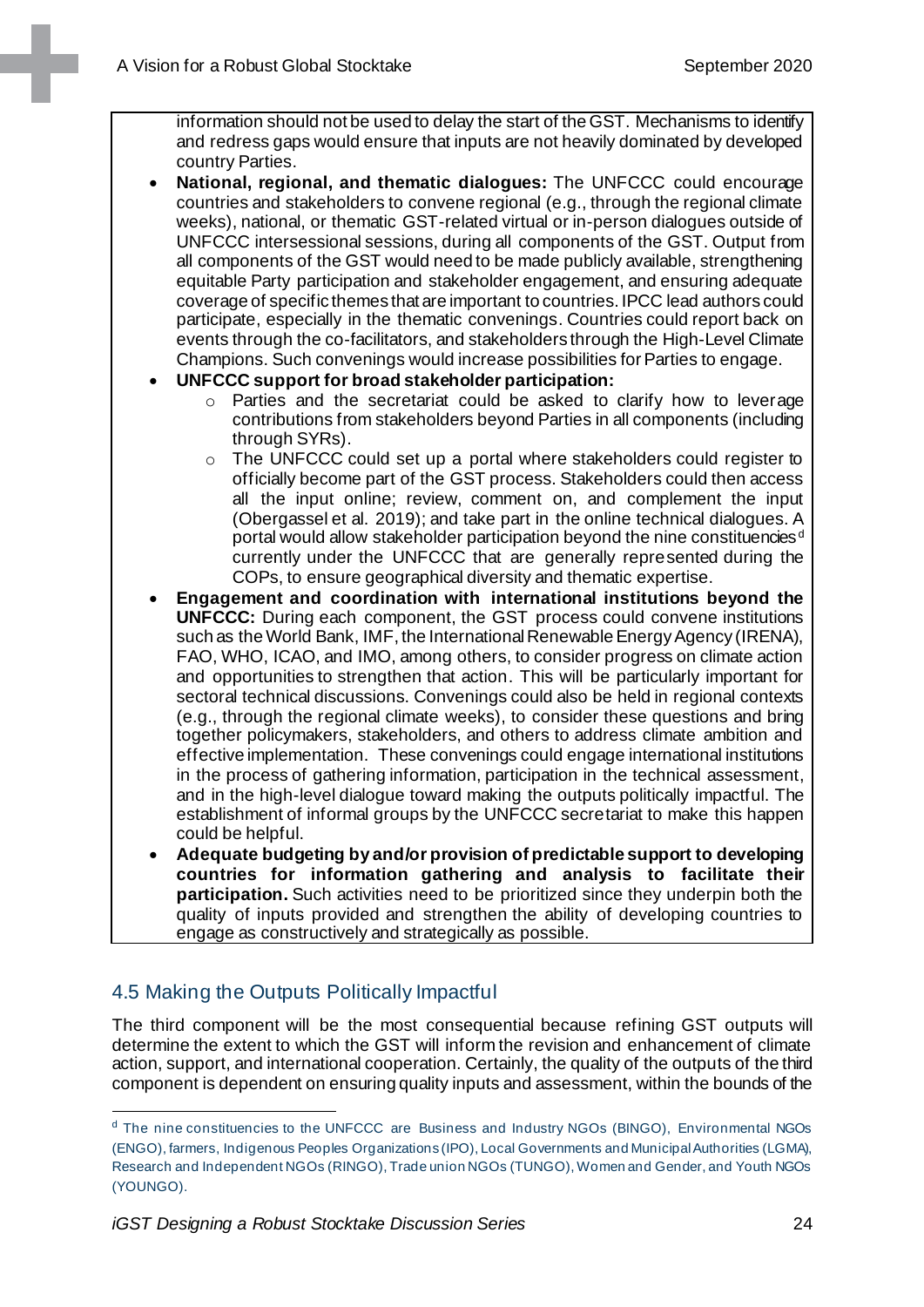information should not be used to delay the start of the GST. Mechanisms to identify and redress gaps would ensure that inputs are not heavily dominated by developed country Parties.

• **National, regional, and thematic dialogues:** The UNFCCC could encourage countries and stakeholders to convene regional (e.g., through the regional climate weeks), national, or thematic GST-related virtual or in-person dialogues outside of UNFCCC intersessional sessions, during all components of the GST. Output from all components of the GST would need to be made publicly available, strengthening equitable Party participation and stakeholder engagement, and ensuring adequate coverage of specific themes that are important to countries. IPCC lead authors could participate, especially in the thematic convenings. Countries could report back on events through the co-facilitators, and stakeholders through the High-Level Climate Champions. Such convenings would increase possibilities for Parties to engage.

### • **UNFCCC support for broad stakeholder participation:**

- o Parties and the secretariat could be asked to clarify how to leverage contributions from stakeholders beyond Parties in all components (including through SYRs).
- $\circ$  The UNFCCC could set up a portal where stakeholders could register to officially become part of the GST process. Stakeholders could then access all the input online; review, comment on, and complement the input (Obergassel et al. 2019); and take part in the online technical dialogues. A portal would allow stakeholder participation beyond the nine constituencies<sup>d</sup> currently under the UNFCCC that are generally represented during the COPs, to ensure geographical diversity and thematic expertise.
- **Engagement and coordination with international institutions beyond the UNFCCC:** During each component, the GST process could convene institutions such as the World Bank, IMF, the International Renewable Energy Agency (IRENA), FAO, WHO, ICAO, and IMO, among others, to consider progress on climate action and opportunities to strengthen that action. This will be particularly important for sectoral technical discussions. Convenings could also be held in regional contexts (e.g., through the regional climate weeks), to consider these questions and bring together policymakers, stakeholders, and others to address climate ambition and effective implementation. These convenings could engage international institutions in the process of gathering information, participation in the technical assessment, and in the high-level dialogue toward making the outputs politically impactful. The establishment of informal groups by the UNFCCC secretariat to make this happen could be helpful.
- **Adequate budgeting by and/or provision of predictable support to developing countries for information gathering and analysis to facilitate their participation.** Such activities need to be prioritized since they underpin both the quality of inputs provided and strengthen the ability of developing countries to engage as constructively and strategically as possible.

# <span id="page-23-0"></span>4.5 Making the Outputs Politically Impactful

The third component will be the most consequential because refining GST outputs will determine the extent to which the GST will inform the revision and enhancement of climate action, support, and international cooperation. Certainly, the quality of the outputs of the third component is dependent on ensuring quality inputs and assessment, within the bounds of the

<sup>&</sup>lt;sup>d</sup> The nine constituencies to the UNFCCC are Business and Industry NGOs (BINGO), Environmental NGOs (ENGO), farmers, Indigenous Peoples Organizations (IPO), Local Governments and Municipal Authorities (LGMA), Research and Independent NGOs (RINGO), Trade union NGOs (TUNGO), Women and Gender, and Youth NGOs (YOUNGO).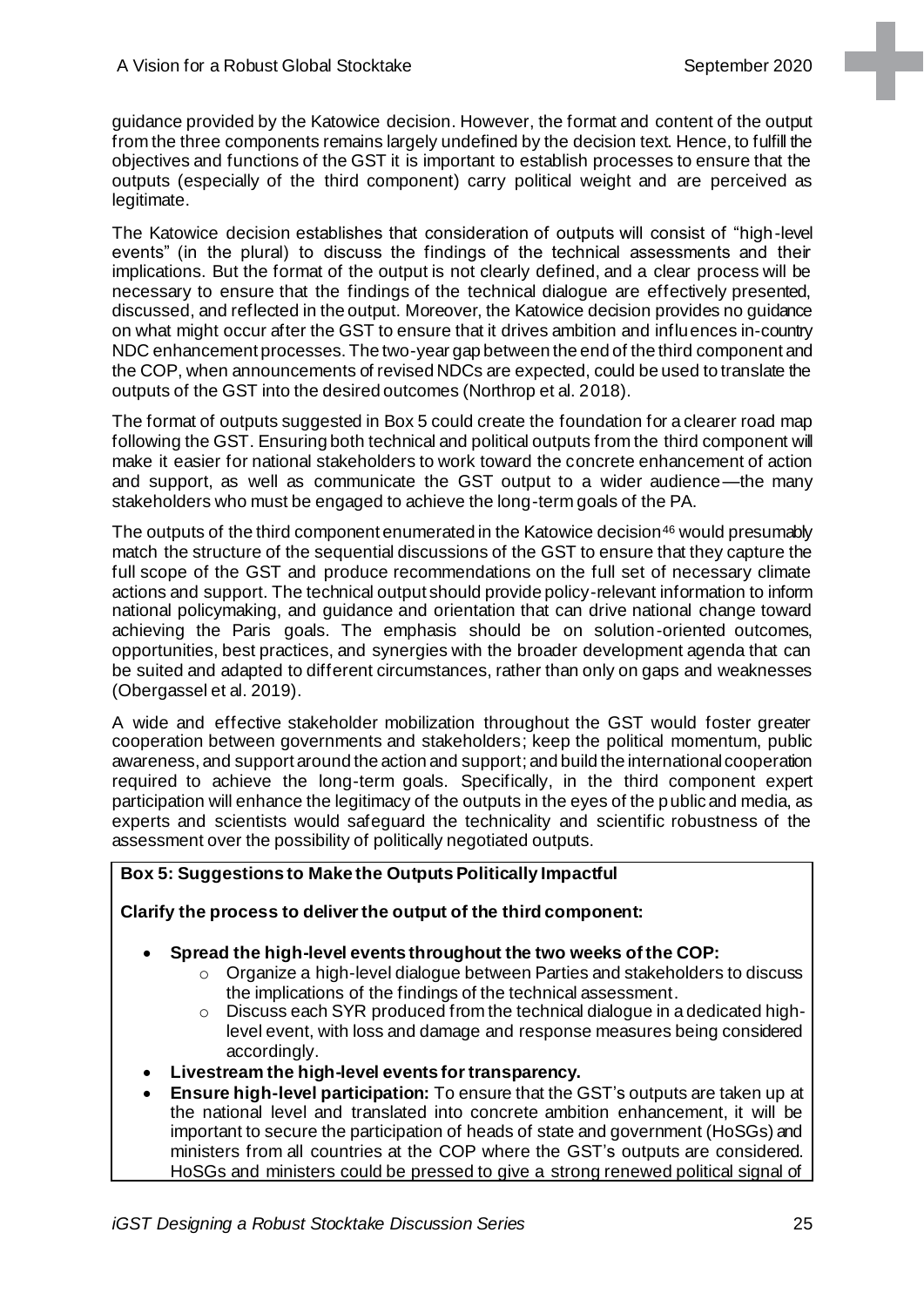guidance provided by the Katowice decision. However, the format and content of the output from the three components remains largely undefined by the decision text. Hence, to fulfill the objectives and functions of the GST it is important to establish processes to ensure that the outputs (especially of the third component) carry political weight and are perceived as legitimate.

The Katowice decision establishes that consideration of outputs will consist of "high-level events" (in the plural) to discuss the findings of the technical assessments and their implications. But the format of the output is not clearly defined, and a clear process will be necessary to ensure that the findings of the technical dialogue are effectively presented, discussed, and reflected in the output. Moreover, the Katowice decision provides no guidance on what might occur after the GST to ensure that it drives ambition and influences in-country NDC enhancement processes. The two-year gap between the end of the third component and the COP, when announcements of revised NDCs are expected, could be used to translate the outputs of the GST into the desired outcomes (Northrop et al. 2018).

The format of outputs suggested in Box 5 could create the foundation for a clearer road map following the GST. Ensuring both technical and political outputs from the third component will make it easier for national stakeholders to work toward the concrete enhancement of action and support, as well as communicate the GST output to a wider audience—the many stakeholders who must be engaged to achieve the long-term goals of the PA.

The outputs of the third component enumerated in the Katowice decision<sup>46</sup> would presumably match the structure of the sequential discussions of the GST to ensure that they capture the full scope of the GST and produce recommendations on the full set of necessary climate actions and support. The technical output should provide policy-relevant information to inform national policymaking, and guidance and orientation that can drive national change toward achieving the Paris goals. The emphasis should be on solution-oriented outcomes, opportunities, best practices, and synergies with the broader development agenda that can be suited and adapted to different circumstances, rather than only on gaps and weaknesses (Obergassel et al. 2019).

A wide and effective stakeholder mobilization throughout the GST would foster greater cooperation between governments and stakeholders; keep the political momentum, public awareness, and support around the action and support; and build the international cooperation required to achieve the long-term goals. Specifically, in the third component expert participation will enhance the legitimacy of the outputs in the eyes of the public and media, as experts and scientists would safeguard the technicality and scientific robustness of the assessment over the possibility of politically negotiated outputs.

### **Box 5: Suggestions to Make the Outputs Politically Impactful**

**Clarify the process to deliver the output of the third component:** 

- **Spread the high-level events throughout the two weeks of the COP:**
	- $\circ$  Organize a high-level dialogue between Parties and stakeholders to discuss the implications of the findings of the technical assessment.
	- $\circ$  Discuss each SYR produced from the technical dialogue in a dedicated highlevel event, with loss and damage and response measures being considered accordingly.
- **Livestream the high-level events for transparency.**
- **Ensure high-level participation:** To ensure that the GST's outputs are taken up at the national level and translated into concrete ambition enhancement, it will be important to secure the participation of heads of state and government (HoSGs) and ministers from all countries at the COP where the GST's outputs are considered. HoSGs and ministers could be pressed to give a strong renewed political signal of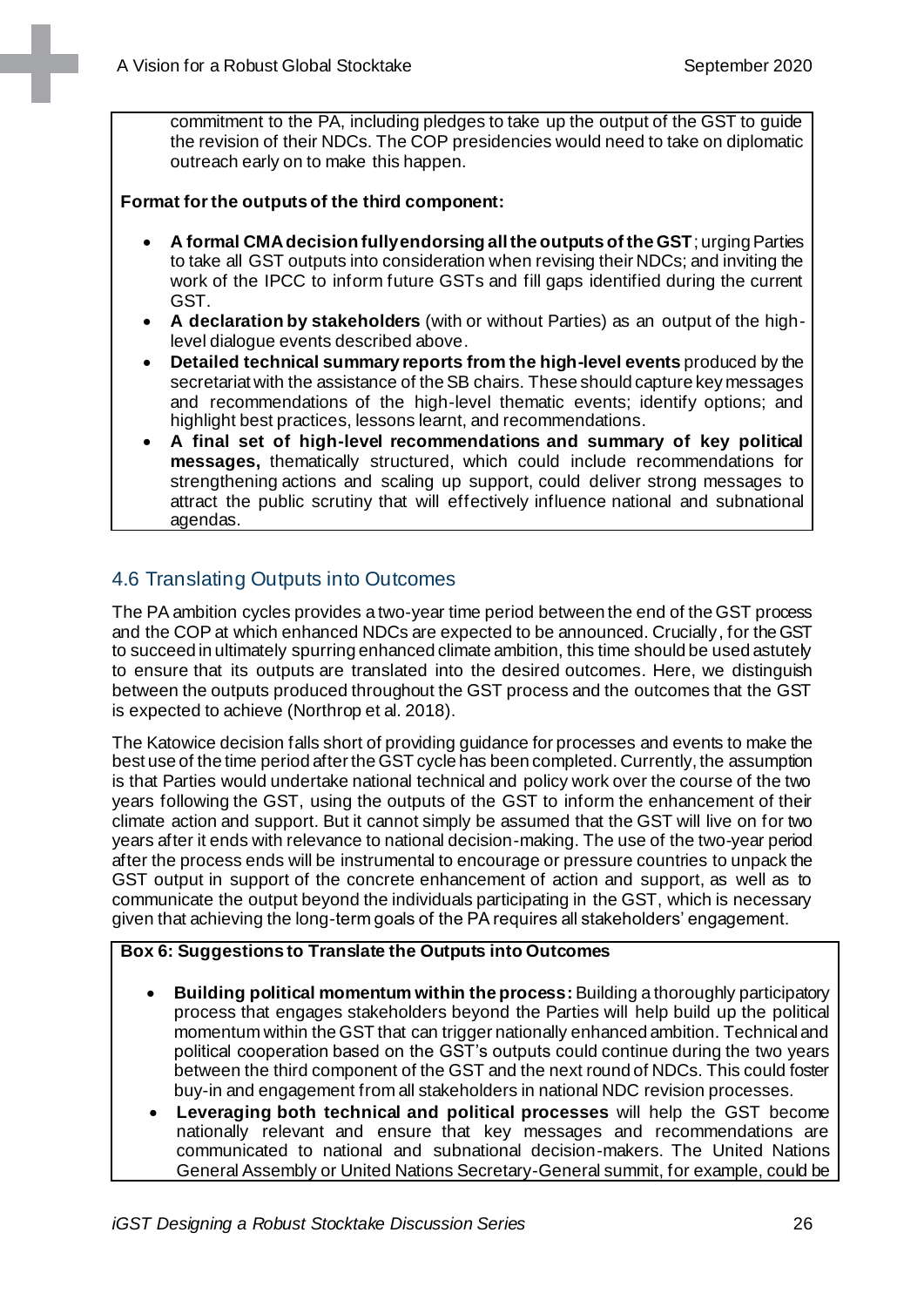commitment to the PA, including pledges to take up the output of the GST to guide the revision of their NDCs. The COP presidencies would need to take on diplomatic outreach early on to make this happen.

### **Format for the outputs of the third component:**

- **A formal CMA decision fully endorsing all the outputs of the GST**; urging Parties to take all GST outputs into consideration when revising their NDCs; and inviting the work of the IPCC to inform future GSTs and fill gaps identified during the current GST.
- **A declaration by stakeholders** (with or without Parties) as an output of the highlevel dialogue events described above.
- **Detailed technical summary reports from the high-level events** produced by the secretariat with the assistance of the SB chairs. These should capture key messages and recommendations of the high-level thematic events; identify options; and highlight best practices, lessons learnt, and recommendations.
- **A final set of high-level recommendations and summary of key political messages,** thematically structured, which could include recommendations for strengthening actions and scaling up support, could deliver strong messages to attract the public scrutiny that will effectively influence national and subnational agendas.

### <span id="page-25-0"></span>4.6 Translating Outputs into Outcomes

The PA ambition cycles provides a two-year time period between the end of the GST process and the COP at which enhanced NDCs are expected to be announced. Crucially, for the GST to succeed in ultimately spurring enhanced climate ambition, this time should be used astutely to ensure that its outputs are translated into the desired outcomes. Here, we distinguish between the outputs produced throughout the GST process and the outcomes that the GST is expected to achieve (Northrop et al. 2018).

The Katowice decision falls short of providing guidance for processes and events to make the best use of the time period after the GST cycle has been completed. Currently, the assumption is that Parties would undertake national technical and policy work over the course of the two years following the GST, using the outputs of the GST to inform the enhancement of their climate action and support. But it cannot simply be assumed that the GST will live on for two years after it ends with relevance to national decision-making. The use of the two-year period after the process ends will be instrumental to encourage or pressure countries to unpack the GST output in support of the concrete enhancement of action and support, as well as to communicate the output beyond the individuals participating in the GST, which is necessary given that achieving the long-term goals of the PA requires all stakeholders' engagement.

### **Box 6: Suggestions to Translate the Outputs into Outcomes**

- **Building political momentum within the process:** Building a thoroughly participatory process that engages stakeholders beyond the Parties will help build up the political momentum within the GST that can trigger nationally enhanced ambition. Technical and political cooperation based on the GST's outputs could continue during the two years between the third component of the GST and the next round of NDCs. This could foster buy-in and engagement from all stakeholders in national NDC revision processes.
- **Leveraging both technical and political processes** will help the GST become nationally relevant and ensure that key messages and recommendations are communicated to national and subnational decision-makers. The United Nations General Assembly or United Nations Secretary-General summit, for example, could be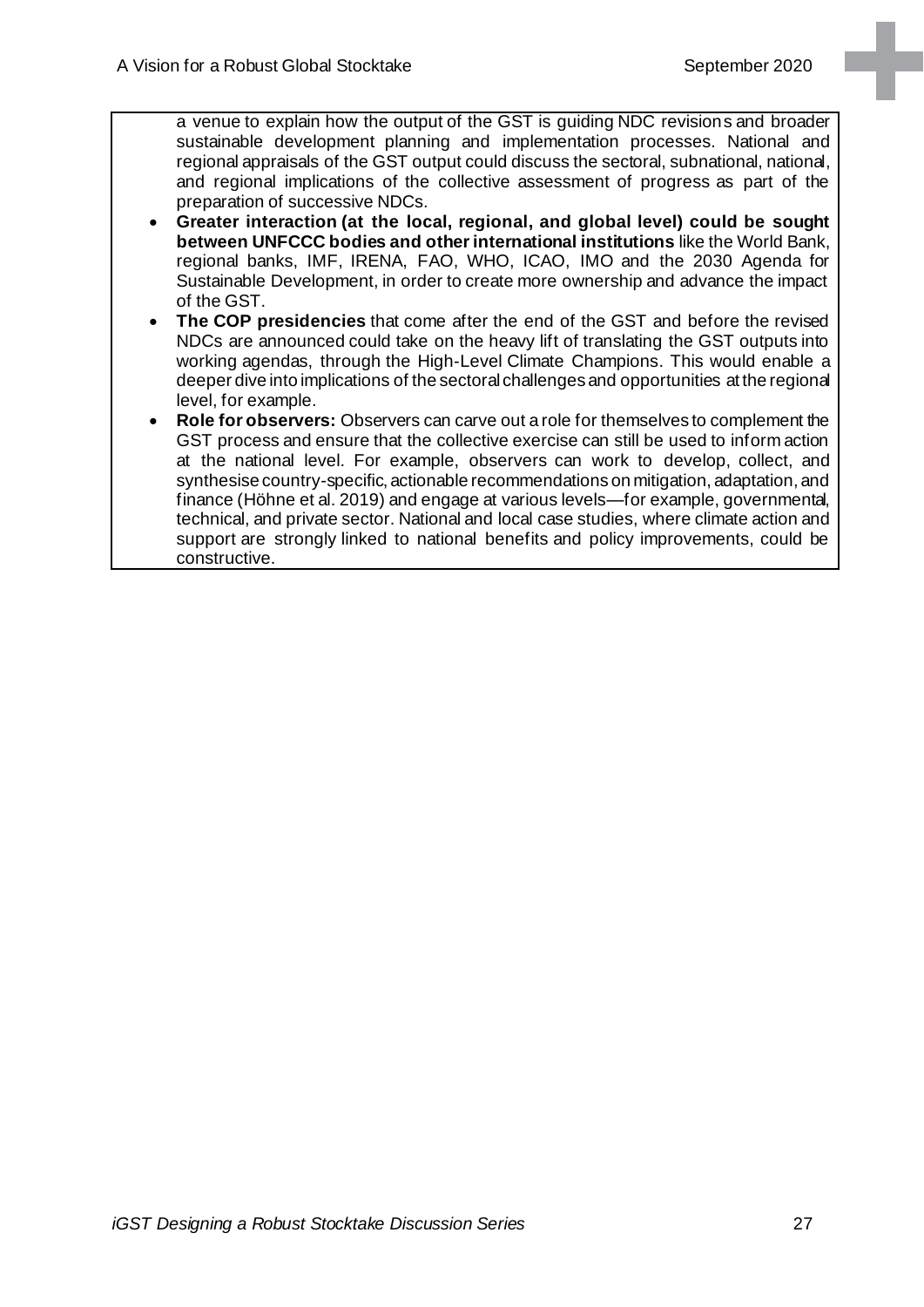a venue to explain how the output of the GST is guiding NDC revisions and broader sustainable development planning and implementation processes. National and regional appraisals of the GST output could discuss the sectoral, subnational, national, and regional implications of the collective assessment of progress as part of the preparation of successive NDCs.

- **Greater interaction (at the local, regional, and global level) could be sought between UNFCCC bodies and other international institutions** like the World Bank, regional banks, IMF, IRENA, FAO, WHO, ICAO, IMO and the 2030 Agenda for Sustainable Development, in order to create more ownership and advance the impact of the GST.
- **The COP presidencies** that come after the end of the GST and before the revised NDCs are announced could take on the heavy lift of translating the GST outputs into working agendas, through the High-Level Climate Champions. This would enable a deeper dive into implications of the sectoral challenges and opportunities at the regional level, for example.
- **Role for observers:** Observers can carve out a role for themselves to complement the GST process and ensure that the collective exercise can still be used to inform action at the national level. For example, observers can work to develop, collect, and synthesise country-specific, actionable recommendations on mitigation, adaptation, and finance (Höhne et al. 2019) and engage at various levels—for example, governmental, technical, and private sector. National and local case studies, where climate action and support are strongly linked to national benefits and policy improvements, could be constructive.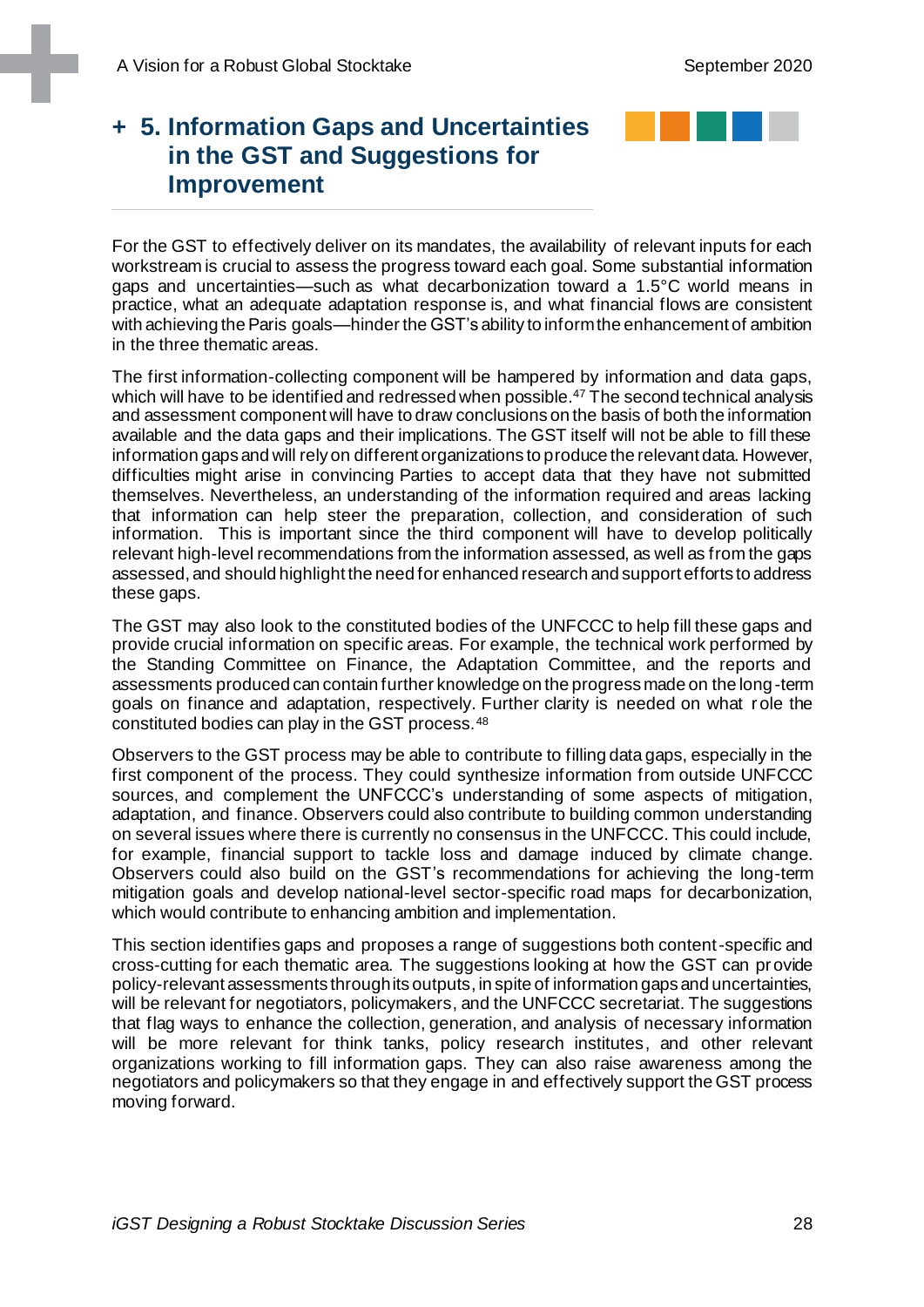# <span id="page-27-0"></span>**+ 5. Information Gaps and Uncertainties in the GST and Suggestions for Improvement**



For the GST to effectively deliver on its mandates, the availability of relevant inputs for each workstream is crucial to assess the progress toward each goal. Some substantial information gaps and uncertainties—such as what decarbonization toward a 1.5°C world means in practice, what an adequate adaptation response is, and what financial flows are consistent with achieving the Paris goals—hinder the GST's ability to inform the enhancement of ambition in the three thematic areas.

The first information-collecting component will be hampered by information and data gaps, which will have to be identified and redressed when possible.<sup>47</sup> The second technical analysis and assessment component will have to draw conclusions on the basis of both the information available and the data gaps and their implications. The GST itself will not be able to fill these information gaps and will rely on different organizations to produce the relevant data. However, difficulties might arise in convincing Parties to accept data that they have not submitted themselves. Nevertheless, an understanding of the information required and areas lacking that information can help steer the preparation, collection, and consideration of such information. This is important since the third component will have to develop politically relevant high-level recommendations from the information assessed, as well as from the gaps assessed, and should highlight the need for enhanced research and support efforts to address these gaps.

The GST may also look to the constituted bodies of the UNFCCC to help fill these gaps and provide crucial information on specific areas. For example, the technical work performed by the Standing Committee on Finance, the Adaptation Committee, and the reports and assessments produced can contain further knowledge on the progress made on the long-term goals on finance and adaptation, respectively. Further clarity is needed on what r ole the constituted bodies can play in the GST process.<sup>48</sup>

Observers to the GST process may be able to contribute to filling data gaps, especially in the first component of the process. They could synthesize information from outside UNFCCC sources, and complement the UNFCCC's understanding of some aspects of mitigation, adaptation, and finance. Observers could also contribute to building common understanding on several issues where there is currently no consensus in the UNFCCC. This could include, for example, financial support to tackle loss and damage induced by climate change. Observers could also build on the GST's recommendations for achieving the long-term mitigation goals and develop national-level sector-specific road maps for decarbonization, which would contribute to enhancing ambition and implementation.

This section identifies gaps and proposes a range of suggestions both content-specific and cross-cutting for each thematic area. The suggestions looking at how the GST can provide policy-relevant assessments through its outputs, in spite of information gaps and uncertainties, will be relevant for negotiators, policymakers, and the UNFCCC secretariat. The suggestions that flag ways to enhance the collection, generation, and analysis of necessary information will be more relevant for think tanks, policy research institutes, and other relevant organizations working to fill information gaps. They can also raise awareness among the negotiators and policymakers so that they engage in and effectively support the GST process moving forward.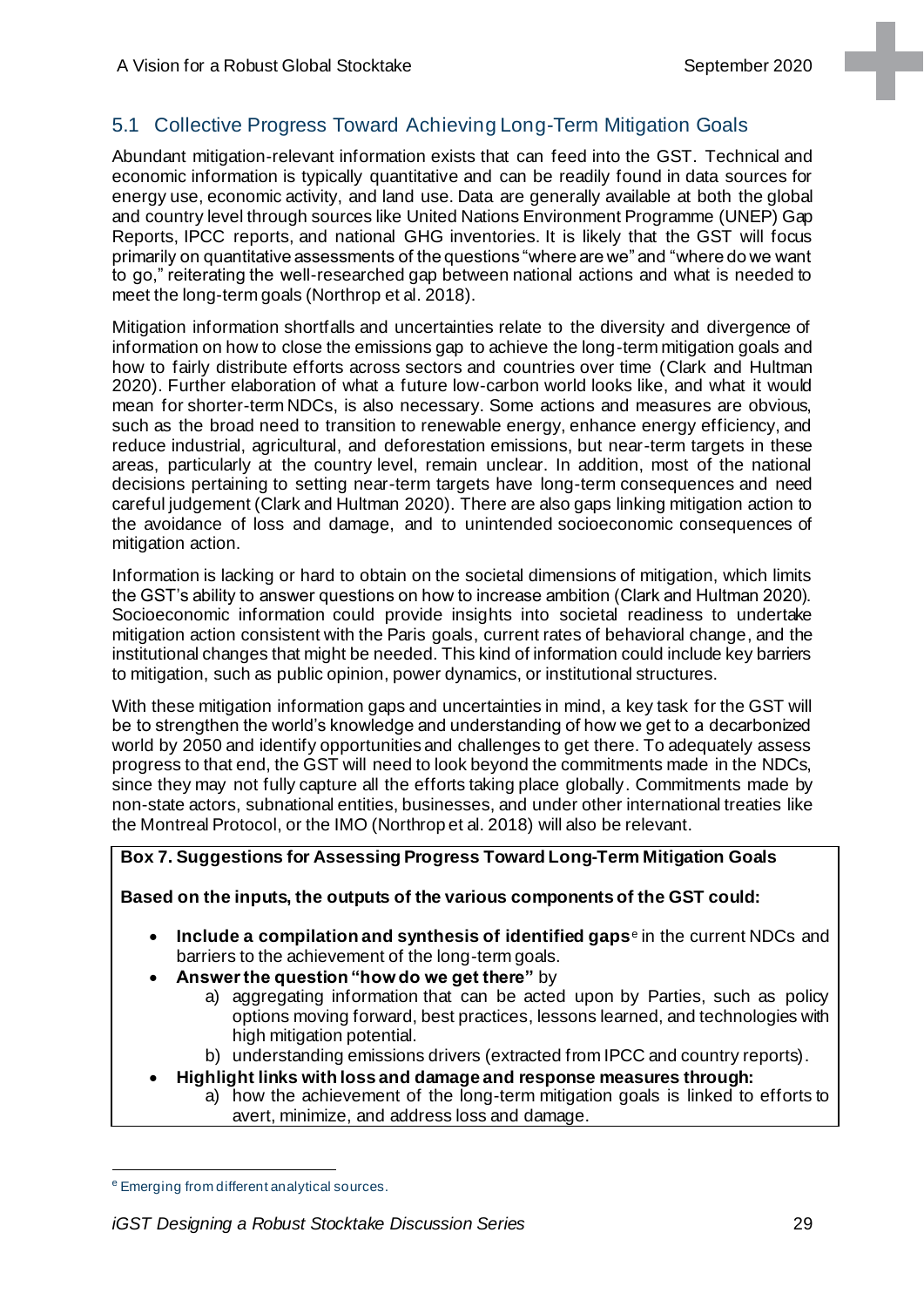# <span id="page-28-0"></span>5.1 Collective Progress Toward Achieving Long-Term Mitigation Goals

Abundant mitigation-relevant information exists that can feed into the GST. Technical and economic information is typically quantitative and can be readily found in data sources for energy use, economic activity, and land use. Data are generally available at both the global and country level through sources like United Nations Environment Programme (UNEP) Gap Reports, IPCC reports, and national GHG inventories. It is likely that the GST will focus primarily on quantitative assessments of the questions "where are we" and "where do we want to go," reiterating the well-researched gap between national actions and what is needed to meet the long-term goals (Northrop et al. 2018).

Mitigation information shortfalls and uncertainties relate to the diversity and divergence of information on how to close the emissions gap to achieve the long-term mitigation goals and how to fairly distribute efforts across sectors and countries over time (Clark and Hultman 2020). Further elaboration of what a future low-carbon world looks like, and what it would mean for shorter-term NDCs, is also necessary. Some actions and measures are obvious, such as the broad need to transition to renewable energy, enhance energy efficiency, and reduce industrial, agricultural, and deforestation emissions, but near-term targets in these areas, particularly at the country level, remain unclear. In addition, most of the national decisions pertaining to setting near-term targets have long-term consequences and need careful judgement (Clark and Hultman 2020). There are also gaps linking mitigation action to the avoidance of loss and damage, and to unintended socioeconomic consequences of mitigation action.

Information is lacking or hard to obtain on the societal dimensions of mitigation, which limits the GST's ability to answer questions on how to increase ambition (Clark and Hultman 2020). Socioeconomic information could provide insights into societal readiness to undertake mitigation action consistent with the Paris goals, current rates of behavioral change, and the institutional changes that might be needed. This kind of information could include key barriers to mitigation, such as public opinion, power dynamics, or institutional structures.

With these mitigation information gaps and uncertainties in mind, a key task for the GST will be to strengthen the world's knowledge and understanding of how we get to a decarbonized world by 2050 and identify opportunities and challenges to get there. To adequately assess progress to that end, the GST will need to look beyond the commitments made in the NDCs, since they may not fully capture all the efforts taking place globally. Commitments made by non-state actors, subnational entities, businesses, and under other international treaties like the Montreal Protocol, or the IMO (Northrop et al. 2018) will also be relevant.

### **Box 7. Suggestions for Assessing Progress Toward Long-Term Mitigation Goals**

### **Based on the inputs, the outputs of the various components of the GST could:**

- **Include a compilation and synthesis of identified gaps<sup>e</sup> in the current NDCs and** barriers to the achievement of the long-term goals.
- **Answer the question "how do we get there"** by
	- a) aggregating information that can be acted upon by Parties, such as policy options moving forward, best practices, lessons learned, and technologies with high mitigation potential.
	- b) understanding emissions drivers (extracted from IPCC and country reports).
- **Highlight links with loss and damage and response measures through:**
	- a) how the achievement of the long-term mitigation goals is linked to efforts to avert, minimize, and address loss and damage.

<sup>e</sup> Emerging from different analytical sources.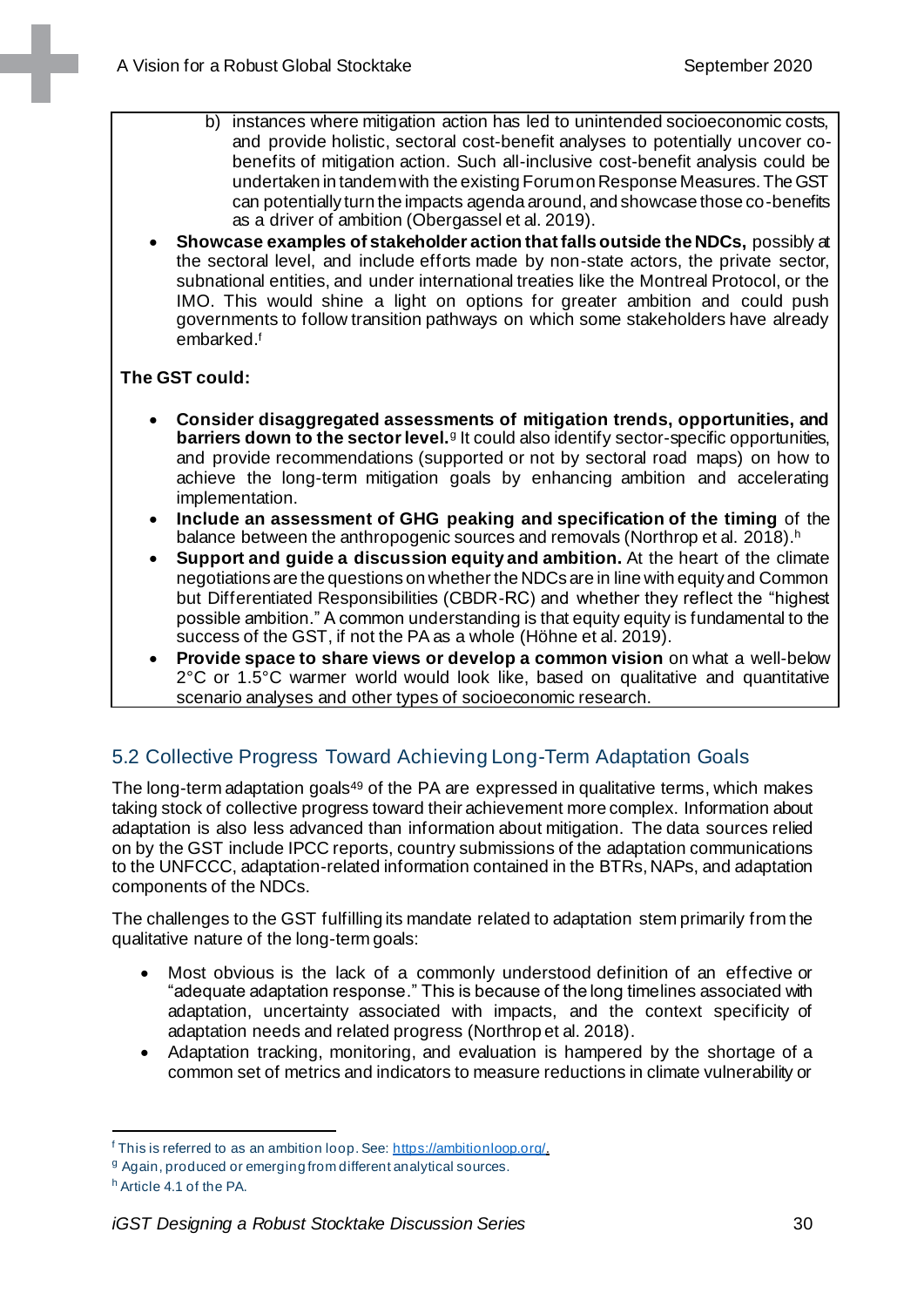- b) instances where mitigation action has led to unintended socioeconomic costs, and provide holistic, sectoral cost-benefit analyses to potentially uncover cobenefits of mitigation action. Such all-inclusive cost-benefit analysis could be undertaken in tandem with the existing Forum on Response Measures. The GST can potentially turn the impacts agenda around, and showcase those co-benefits as a driver of ambition (Obergassel et al. 2019).
- **Showcase examples of stakeholder action that falls outside the NDCs,** possibly at the sectoral level, and include efforts made by non-state actors, the private sector, subnational entities, and under international treaties like the Montreal Protocol, or the IMO. This would shine a light on options for greater ambition and could push governments to follow transition pathways on which some stakeholders have already embarked. f

### **The GST could:**

- **Consider disaggregated assessments of mitigation trends, opportunities, and barriers down to the sector level.**<sup>9</sup> It could also identify sector-specific opportunities, and provide recommendations (supported or not by sectoral road maps) on how to achieve the long-term mitigation goals by enhancing ambition and accelerating implementation.
- **Include an assessment of GHG peaking and specification of the timing** of the balance between the anthropogenic sources and removals (Northrop et al. 2018). h
- **Support and guide a discussion equity and ambition.** At the heart of the climate negotiations are the questions on whether the NDCs are in line with equity and Common but Differentiated Responsibilities (CBDR-RC) and whether they reflect the "highest possible ambition." A common understanding is that equity equity is fundamental to the success of the GST, if not the PA as a whole (Höhne et al. 2019).
- **Provide space to share views or develop a common vision** on what a well-below 2°C or 1.5°C warmer world would look like, based on qualitative and quantitative scenario analyses and other types of socioeconomic research.

# <span id="page-29-0"></span>5.2 Collective Progress Toward Achieving Long-Term Adaptation Goals

The long-term adaptation goals<sup>49</sup> of the PA are expressed in qualitative terms, which makes taking stock of collective progress toward their achievement more complex. Information about adaptation is also less advanced than information about mitigation. The data sources relied on by the GST include IPCC reports, country submissions of the adaptation communications to the UNFCCC, adaptation-related information contained in the BTRs, NAPs, and adaptation components of the NDCs.

The challenges to the GST fulfilling its mandate related to adaptation stem primarily from the qualitative nature of the long-term goals:

- Most obvious is the lack of a commonly understood definition of an effective or "adequate adaptation response." This is because of the long timelines associated with adaptation, uncertainty associated with impacts, and the context specificity of adaptation needs and related progress (Northrop et al. 2018).
- Adaptation tracking, monitoring, and evaluation is hampered by the shortage of a common set of metrics and indicators to measure reductions in climate vulnerability or

<sup>f</sup> This is referred to as an ambition loop. See:<https://ambitionloop.org/>.

<sup>&</sup>lt;sup>g</sup> Again, produced or emerging from different analytical sources.

<sup>h</sup> Article 4.1 of the PA.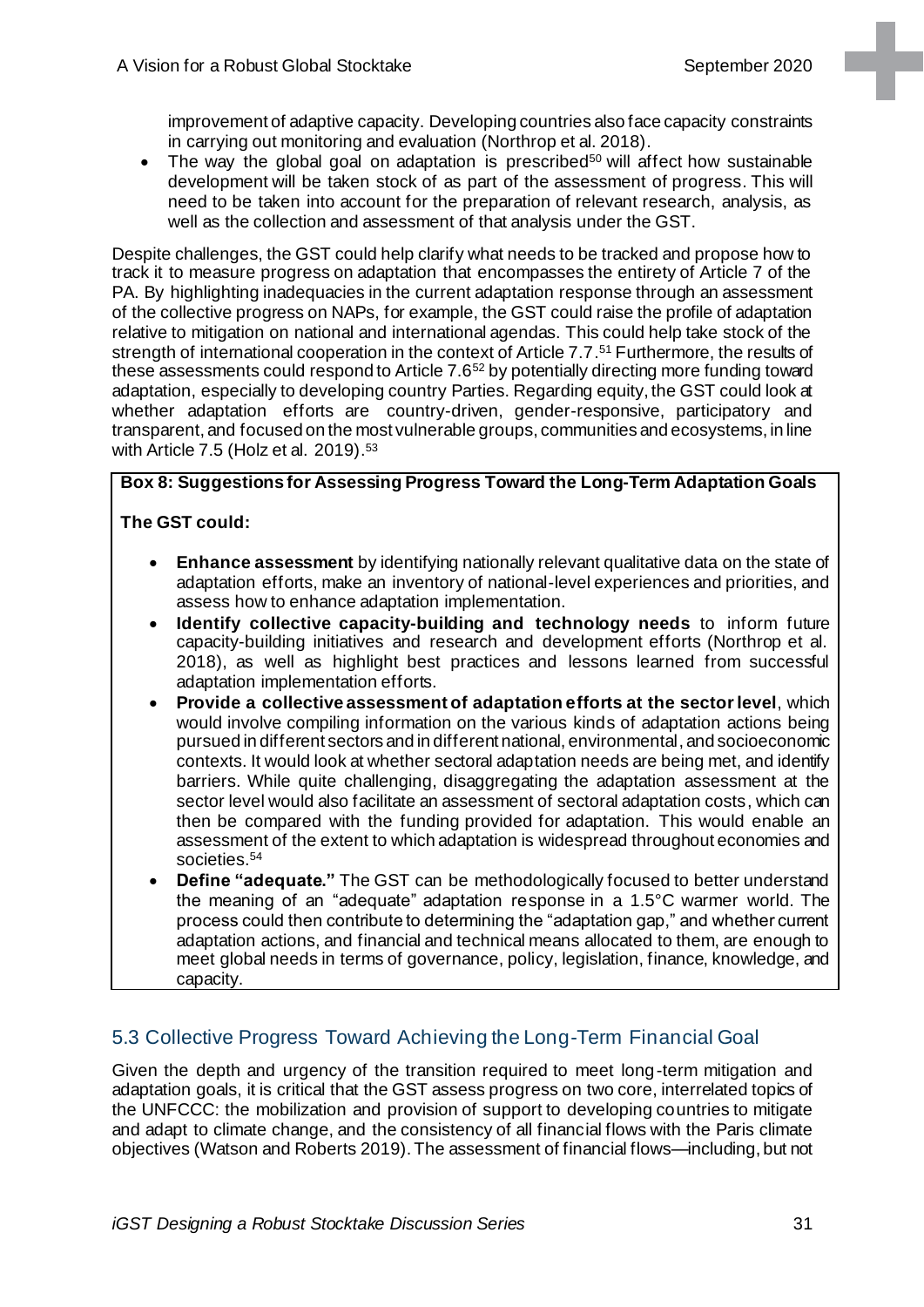improvement of adaptive capacity. Developing countries also face capacity constraints in carrying out monitoring and evaluation (Northrop et al. 2018).

• The way the global goal on adaptation is prescribed $50$  will affect how sustainable development will be taken stock of as part of the assessment of progress. This will need to be taken into account for the preparation of relevant research, analysis, as well as the collection and assessment of that analysis under the GST.

Despite challenges, the GST could help clarify what needs to be tracked and propose how to track it to measure progress on adaptation that encompasses the entirety of Article 7 of the PA. By highlighting inadequacies in the current adaptation response through an assessment of the collective progress on NAPs, for example, the GST could raise the profile of adaptation relative to mitigation on national and international agendas. This could help take stock of the strength of international cooperation in the context of Article 7.7. <sup>51</sup> Furthermore, the results of these assessments could respond to Article 7.6<sup>52</sup> by potentially directing more funding toward adaptation, especially to developing country Parties. Regarding equity, the GST could look at whether adaptation efforts are country-driven, gender-responsive, participatory and transparent, and focused on the most vulnerable groups, communities and ecosystems, in line with Article 7.5 (Holz et al. 2019). 53

### **Box 8: Suggestions for Assessing Progress Toward the Long-Term Adaptation Goals**

### **The GST could:**

- **Enhance assessment** by identifying nationally relevant qualitative data on the state of adaptation efforts, make an inventory of national-level experiences and priorities, and assess how to enhance adaptation implementation.
- **Identify collective capacity-building and technology needs** to inform future capacity-building initiatives and research and development efforts (Northrop et al. 2018), as well as highlight best practices and lessons learned from successful adaptation implementation efforts.
- **Provide a collective assessment of adaptation efforts at the sector level**, which would involve compiling information on the various kinds of adaptation actions being pursued in different sectors and in different national, environmental, and socioeconomic contexts. It would look at whether sectoral adaptation needs are being met, and identify barriers. While quite challenging, disaggregating the adaptation assessment at the sector level would also facilitate an assessment of sectoral adaptation costs, which can then be compared with the funding provided for adaptation. This would enable an assessment of the extent to which adaptation is widespread throughout economies and societies.<sup>54</sup>
- **Define "adequate."** The GST can be methodologically focused to better understand the meaning of an "adequate" adaptation response in a 1.5°C warmer world. The process could then contribute to determining the "adaptation gap," and whether current adaptation actions, and financial and technical means allocated to them, are enough to meet global needs in terms of governance, policy, legislation, finance, knowledge, and capacity.

# <span id="page-30-0"></span>5.3 Collective Progress Toward Achieving the Long-Term Financial Goal

Given the depth and urgency of the transition required to meet long-term mitigation and adaptation goals, it is critical that the GST assess progress on two core, interrelated topics of the UNFCCC: the mobilization and provision of support to developing countries to mitigate and adapt to climate change, and the consistency of all financial flows with the Paris climate objectives (Watson and Roberts 2019). The assessment of financial flows—including, but not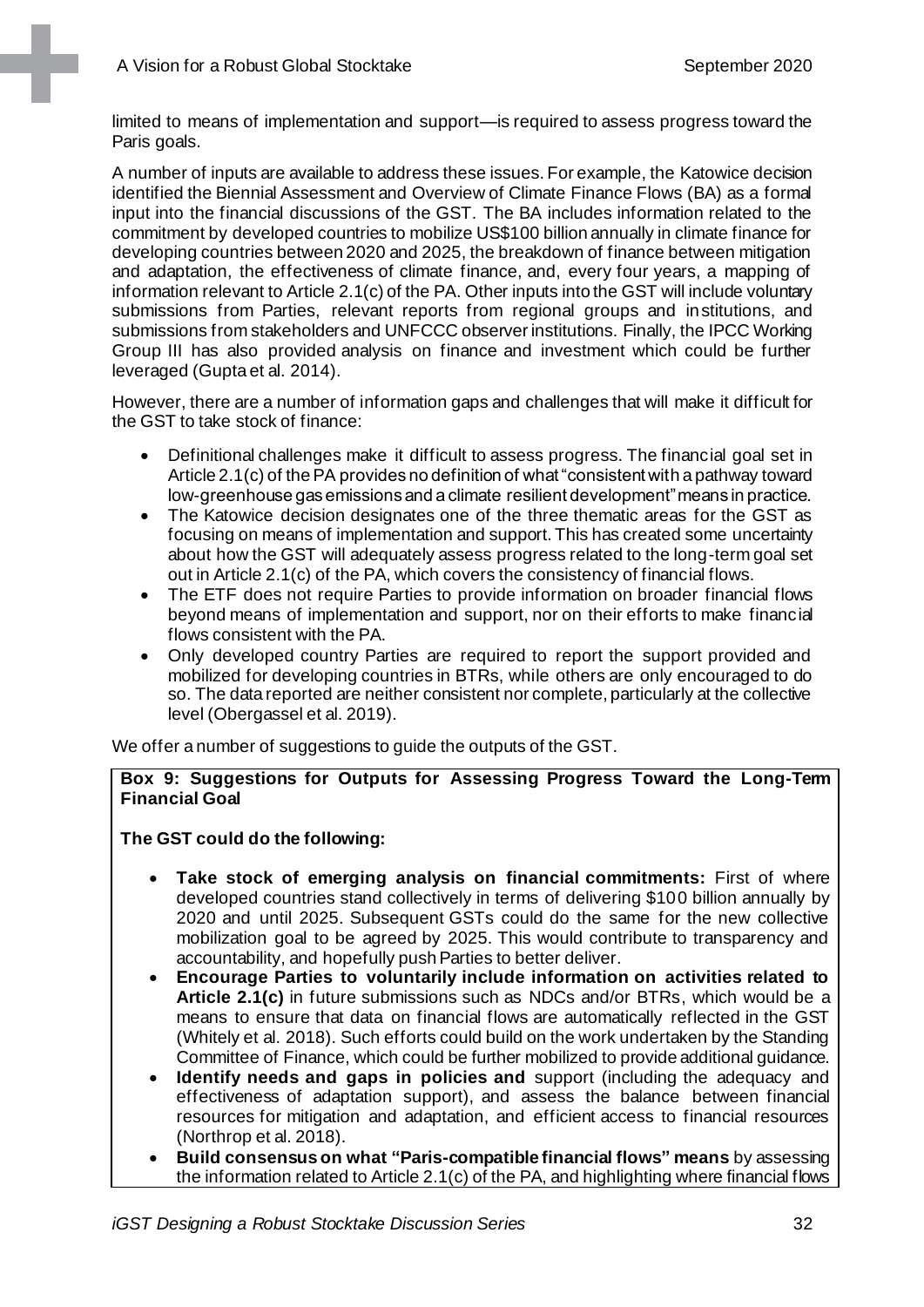limited to means of implementation and support—is required to assess progress toward the Paris goals.

A number of inputs are available to address these issues. For example, the Katowice decision identified the Biennial Assessment and Overview of Climate Finance Flows (BA) as a formal input into the financial discussions of the GST. The BA includes information related to the commitment by developed countries to mobilize US\$100 billion annually in climate finance for developing countries between 2020 and 2025, the breakdown of finance between mitigation and adaptation, the effectiveness of climate finance, and, every four years, a mapping of information relevant to Article 2.1(c) of the PA. Other inputs into the GST will include voluntary submissions from Parties, relevant reports from regional groups and institutions, and submissions from stakeholders and UNFCCC observer institutions. Finally, the IPCC Working Group III has also provided analysis on finance and investment which could be further leveraged (Gupta et al. 2014).

However, there are a number of information gaps and challenges that will make it difficult for the GST to take stock of finance:

- Definitional challenges make it difficult to assess progress. The financial goal set in Article 2.1(c) of the PA provides no definition of what "consistent with a pathway toward low-greenhouse gas emissions and a climate resilient development" means in practice.
- The Katowice decision designates one of the three thematic areas for the GST as focusing on means of implementation and support. This has created some uncertainty about how the GST will adequately assess progress related to the long-term goal set out in Article 2.1(c) of the PA, which covers the consistency of financial flows.
- The ETF does not require Parties to provide information on broader financial flows beyond means of implementation and support, nor on their efforts to make financial flows consistent with the PA.
- Only developed country Parties are required to report the support provided and mobilized for developing countries in BTRs, while others are only encouraged to do so. The data reported are neither consistent nor complete, particularly at the collective level (Obergassel et al. 2019).

We offer a number of suggestions to guide the outputs of the GST.

### **Box 9: Suggestions for Outputs for Assessing Progress Toward the Long-Term Financial Goal**

**The GST could do the following:**

- **Take stock of emerging analysis on financial commitments:** First of where developed countries stand collectively in terms of delivering \$100 billion annually by 2020 and until 2025. Subsequent GSTs could do the same for the new collective mobilization goal to be agreed by 2025. This would contribute to transparency and accountability, and hopefully push Parties to better deliver.
- **Encourage Parties to voluntarily include information on activities related to Article 2.1(c)** in future submissions such as NDCs and/or BTRs, which would be a means to ensure that data on financial flows are automatically reflected in the GST (Whitely et al. 2018). Such efforts could build on the work undertaken by the Standing Committee of Finance, which could be further mobilized to provide additional guidance.
- **Identify needs and gaps in policies and** support (including the adequacy and effectiveness of adaptation support), and assess the balance between financial resources for mitigation and adaptation, and efficient access to financial resources (Northrop et al. 2018).
- **Build consensus on what "Paris-compatible financial flows" means** by assessing the information related to Article 2.1(c) of the PA, and highlighting where financial flows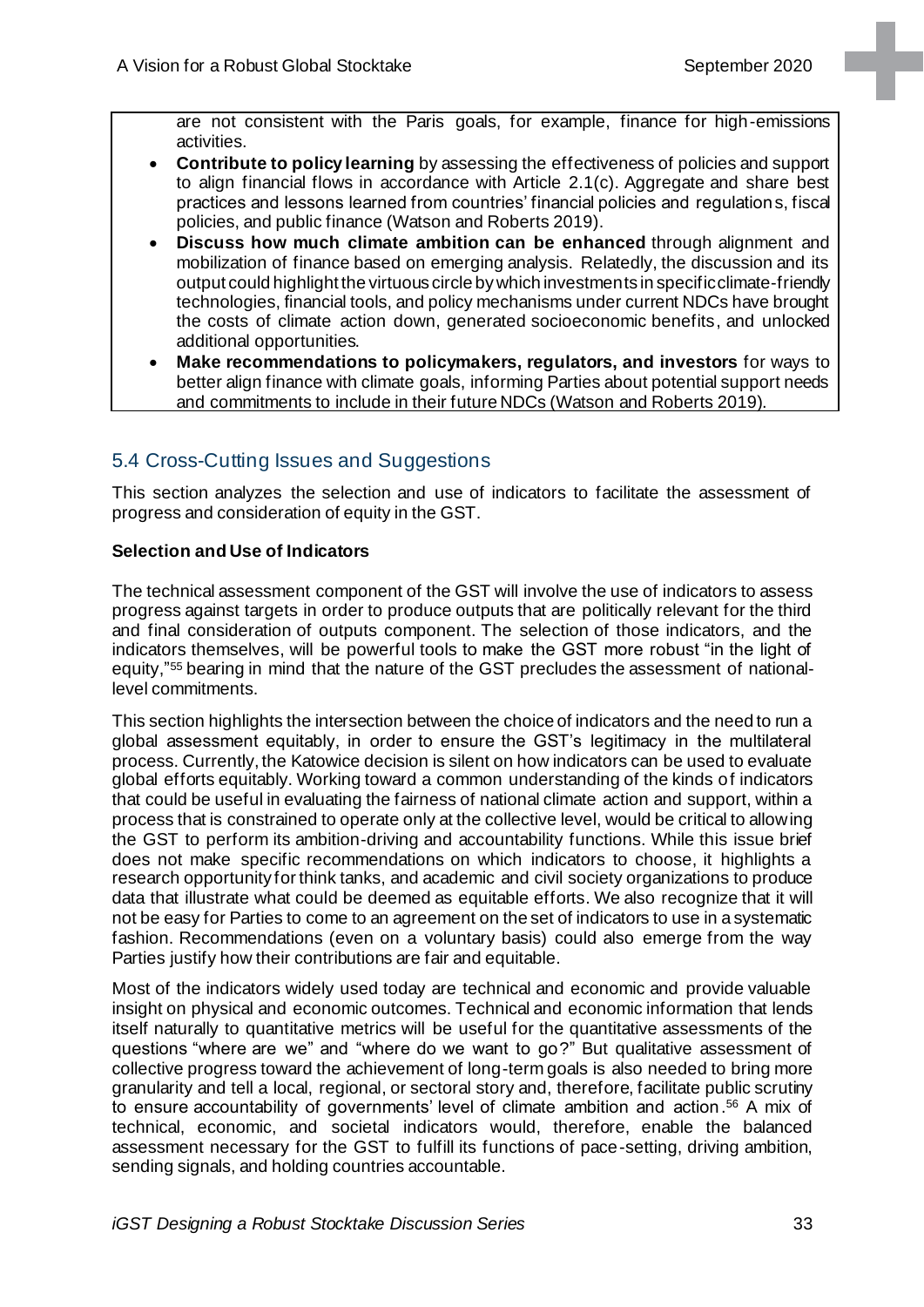are not consistent with the Paris goals, for example, finance for high-emissions activities.

- **Contribute to policy learning** by assessing the effectiveness of policies and support to align financial flows in accordance with Article 2.1(c). Aggregate and share best practices and lessons learned from countries' financial policies and regulations, fiscal policies, and public finance (Watson and Roberts 2019).
- **Discuss how much climate ambition can be enhanced** through alignment and mobilization of finance based on emerging analysis. Relatedly, the discussion and its output could highlight the virtuous circle by which investments in specific climate-friendly technologies, financial tools, and policy mechanisms under current NDCs have brought the costs of climate action down, generated socioeconomic benefits, and unlocked additional opportunities.
- **Make recommendations to policymakers, regulators, and investors** for ways to better align finance with climate goals, informing Parties about potential support needs and commitments to include in their future NDCs (Watson and Roberts 2019).

# <span id="page-32-0"></span>5.4 Cross-Cutting Issues and Suggestions

This section analyzes the selection and use of indicators to facilitate the assessment of progress and consideration of equity in the GST.

### **Selection and Use of Indicators**

The technical assessment component of the GST will involve the use of indicators to assess progress against targets in order to produce outputs that are politically relevant for the third and final consideration of outputs component. The selection of those indicators, and the indicators themselves, will be powerful tools to make the GST more robust "in the light of equity," <sup>55</sup> bearing in mind that the nature of the GST precludes the assessment of nationallevel commitments.

This section highlights the intersection between the choice of indicators and the need to run a global assessment equitably, in order to ensure the GST's legitimacy in the multilateral process. Currently, the Katowice decision is silent on how indicators can be used to evaluate global efforts equitably. Working toward a common understanding of the kinds of indicators that could be useful in evaluating the fairness of national climate action and support, within a process that is constrained to operate only at the collective level, would be critical to allowing the GST to perform its ambition-driving and accountability functions. While this issue brief does not make specific recommendations on which indicators to choose, it highlights a research opportunity for think tanks, and academic and civil society organizations to produce data that illustrate what could be deemed as equitable efforts. We also recognize that it will not be easy for Parties to come to an agreement on the set of indicators to use in a systematic fashion. Recommendations (even on a voluntary basis) could also emerge from the way Parties justify how their contributions are fair and equitable.

Most of the indicators widely used today are technical and economic and provide valuable insight on physical and economic outcomes. Technical and economic information that lends itself naturally to quantitative metrics will be useful for the quantitative assessments of the questions "where are we" and "where do we want to go?" But qualitative assessment of collective progress toward the achievement of long-term goals is also needed to bring more granularity and tell a local, regional, or sectoral story and, therefore, facilitate public scrutiny to ensure accountability of governments' level of climate ambition and action. <sup>56</sup> A mix of technical, economic, and societal indicators would, therefore, enable the balanced assessment necessary for the GST to fulfill its functions of pace-setting, driving ambition, sending signals, and holding countries accountable.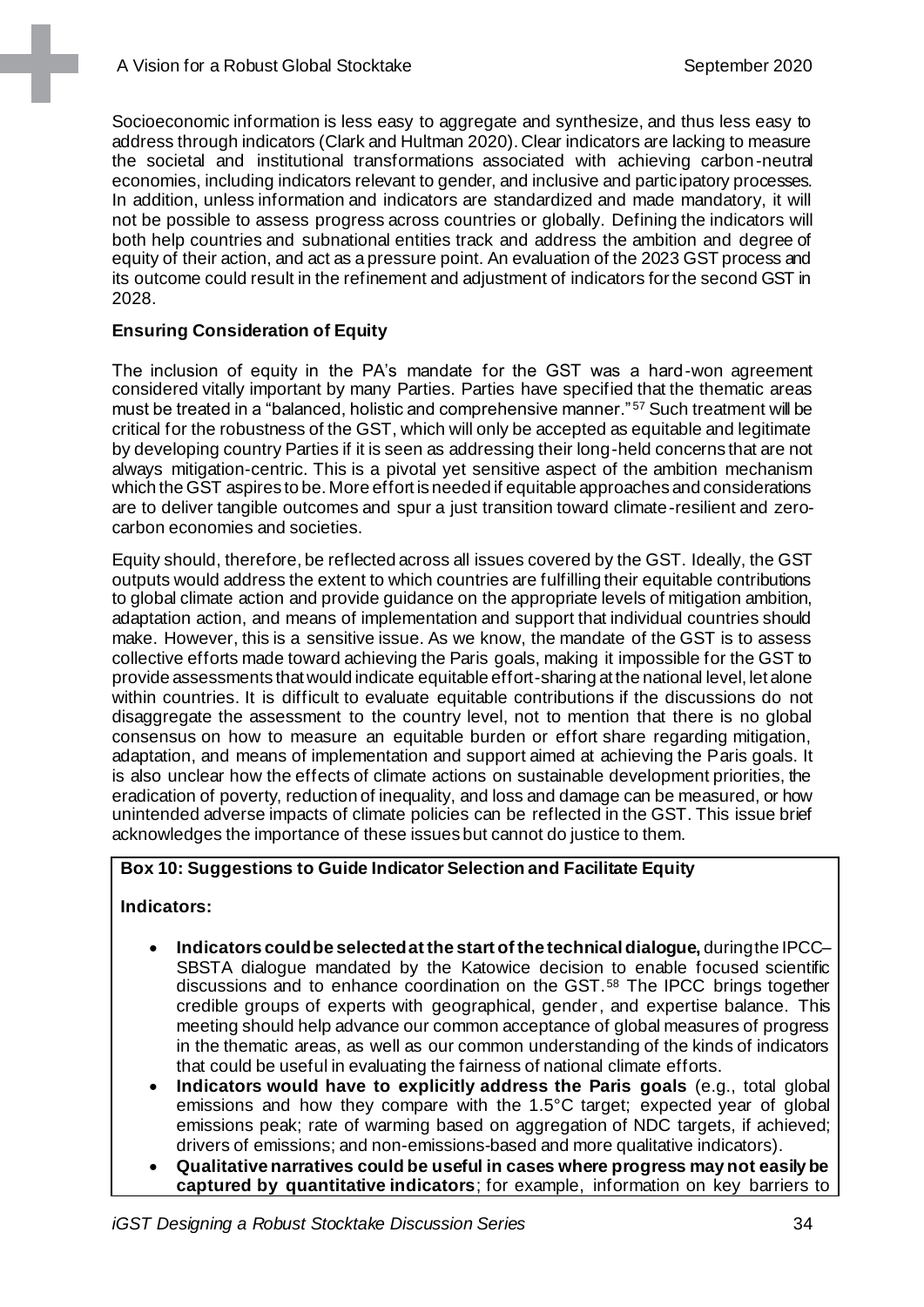Socioeconomic information is less easy to aggregate and synthesize, and thus less easy to address through indicators (Clark and Hultman 2020). Clear indicators are lacking to measure the societal and institutional transformations associated with achieving carbon-neutral economies, including indicators relevant to gender, and inclusive and participatory processes. In addition, unless information and indicators are standardized and made mandatory, it will not be possible to assess progress across countries or globally. Defining the indicators will both help countries and subnational entities track and address the ambition and degree of equity of their action, and act as a pressure point. An evaluation of the 2023 GST process and its outcome could result in the refinement and adjustment of indicators for the second GST in 2028.

### **Ensuring Consideration of Equity**

The inclusion of equity in the PA's mandate for the GST was a hard-won agreement considered vitally important by many Parties. Parties have specified that the thematic areas must be treated in a "balanced, holistic and comprehensive manner." <sup>57</sup> Such treatment will be critical for the robustness of the GST, which will only be accepted as equitable and legitimate by developing country Parties if it is seen as addressing their long-held concerns that are not always mitigation-centric. This is a pivotal yet sensitive aspect of the ambition mechanism which the GST aspires to be. More effort is needed if equitable approaches and considerations are to deliver tangible outcomes and spur a just transition toward climate-resilient and zerocarbon economies and societies.

Equity should, therefore, be reflected across all issues covered by the GST. Ideally, the GST outputs would address the extent to which countries are fulfilling their equitable contributions to global climate action and provide guidance on the appropriate levels of mitigation ambition, adaptation action, and means of implementation and support that individual countries should make. However, this is a sensitive issue. As we know, the mandate of the GST is to assess collective efforts made toward achieving the Paris goals, making it impossible for the GST to provide assessments that would indicate equitable effort-sharing at the national level, let alone within countries. It is difficult to evaluate equitable contributions if the discussions do not disaggregate the assessment to the country level, not to mention that there is no global consensus on how to measure an equitable burden or effort share regarding mitigation, adaptation, and means of implementation and support aimed at achieving the Paris goals. It is also unclear how the effects of climate actions on sustainable development priorities, the eradication of poverty, reduction of inequality, and loss and damage can be measured, or how unintended adverse impacts of climate policies can be reflected in the GST. This issue brief acknowledges the importance of these issues but cannot do justice to them.

### **Box 10: Suggestions to Guide Indicator Selection and Facilitate Equity**

### **Indicators:**

- **Indicators could be selected at the start of the technical dialogue,** during the IPCC– SBSTA dialogue mandated by the Katowice decision to enable focused scientific discussions and to enhance coordination on the GST.<sup>58</sup> The IPCC brings together credible groups of experts with geographical, gender, and expertise balance. This meeting should help advance our common acceptance of global measures of progress in the thematic areas, as well as our common understanding of the kinds of indicators that could be useful in evaluating the fairness of national climate efforts.
- **Indicators would have to explicitly address the Paris goals** (e.g., total global emissions and how they compare with the 1.5°C target; expected year of global emissions peak; rate of warming based on aggregation of NDC targets, if achieved; drivers of emissions; and non-emissions-based and more qualitative indicators).
- **Qualitative narratives could be useful in cases where progress may not easily be captured by quantitative indicators**; for example, information on key barriers to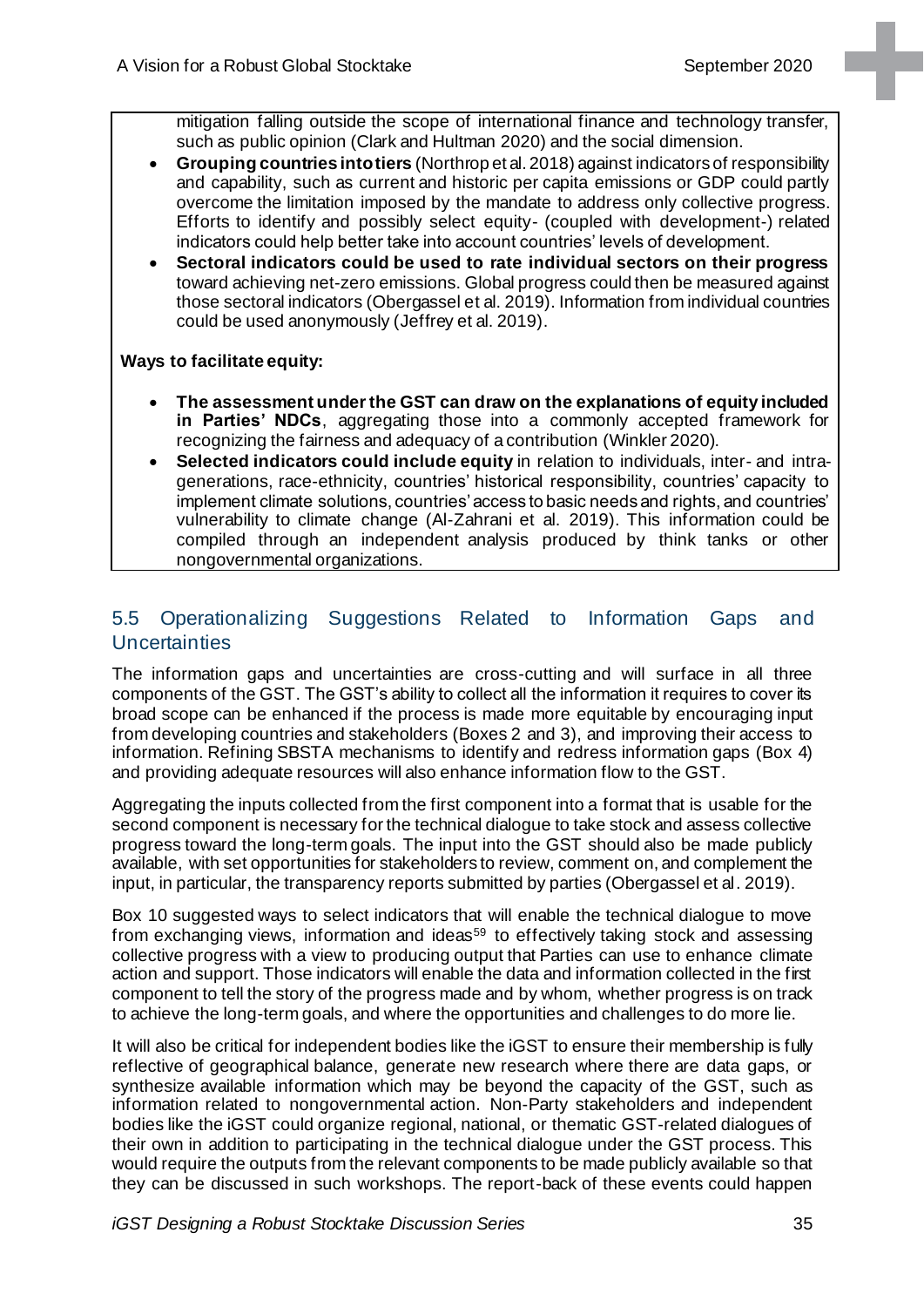mitigation falling outside the scope of international finance and technology transfer, such as public opinion (Clark and Hultman 2020) and the social dimension.

- **Grouping countries into tiers** (Northrop et al. 2018) against indicators of responsibility and capability, such as current and historic per capita emissions or GDP could partly overcome the limitation imposed by the mandate to address only collective progress. Efforts to identify and possibly select equity- (coupled with development-) related indicators could help better take into account countries' levels of development.
- **Sectoral indicators could be used to rate individual sectors on their progress** toward achieving net-zero emissions. Global progress could then be measured against those sectoral indicators (Obergassel et al. 2019). Information from individual countries could be used anonymously (Jeffrey et al. 2019).

### **Ways to facilitate equity:**

- **The assessment under the GST can draw on the explanations of equity included in Parties' NDCs**, aggregating those into a commonly accepted framework for recognizing the fairness and adequacy of a contribution (Winkler 2020).
- **Selected indicators could include equity** in relation to individuals, inter- and intragenerations, race-ethnicity, countries' historical responsibility, countries' capacity to implement climate solutions, countries' access to basic needs and rights, and countries' vulnerability to climate change (Al-Zahrani et al. 2019). This information could be compiled through an independent analysis produced by think tanks or other nongovernmental organizations.

### <span id="page-34-0"></span>5.5 Operationalizing Suggestions Related to Information Gaps and **Uncertainties**

The information gaps and uncertainties are cross-cutting and will surface in all three components of the GST. The GST's ability to collect all the information it requires to cover its broad scope can be enhanced if the process is made more equitable by encouraging input from developing countries and stakeholders (Boxes 2 and 3), and improving their access to information. Refining SBSTA mechanisms to identify and redress information gaps (Box 4) and providing adequate resources will also enhance information flow to the GST.

Aggregating the inputs collected from the first component into a format that is usable for the second component is necessary for the technical dialogue to take stock and assess collective progress toward the long-term goals. The input into the GST should also be made publicly available, with set opportunities for stakeholders to review, comment on, and complement the input, in particular, the transparency reports submitted by parties (Obergassel et al. 2019).

Box 10 suggested ways to select indicators that will enable the technical dialogue to move from exchanging views, information and ideas<sup>59</sup> to effectively taking stock and assessing collective progress with a view to producing output that Parties can use to enhance climate action and support. Those indicators will enable the data and information collected in the first component to tell the story of the progress made and by whom, whether progress is on track to achieve the long-term goals, and where the opportunities and challenges to do more lie.

It will also be critical for independent bodies like the iGST to ensure their membership is fully reflective of geographical balance, generate new research where there are data gaps, or synthesize available information which may be beyond the capacity of the GST, such as information related to nongovernmental action. Non-Party stakeholders and independent bodies like the iGST could organize regional, national, or thematic GST-related dialogues of their own in addition to participating in the technical dialogue under the GST process. This would require the outputs from the relevant components to be made publicly available so that they can be discussed in such workshops. The report-back of these events could happen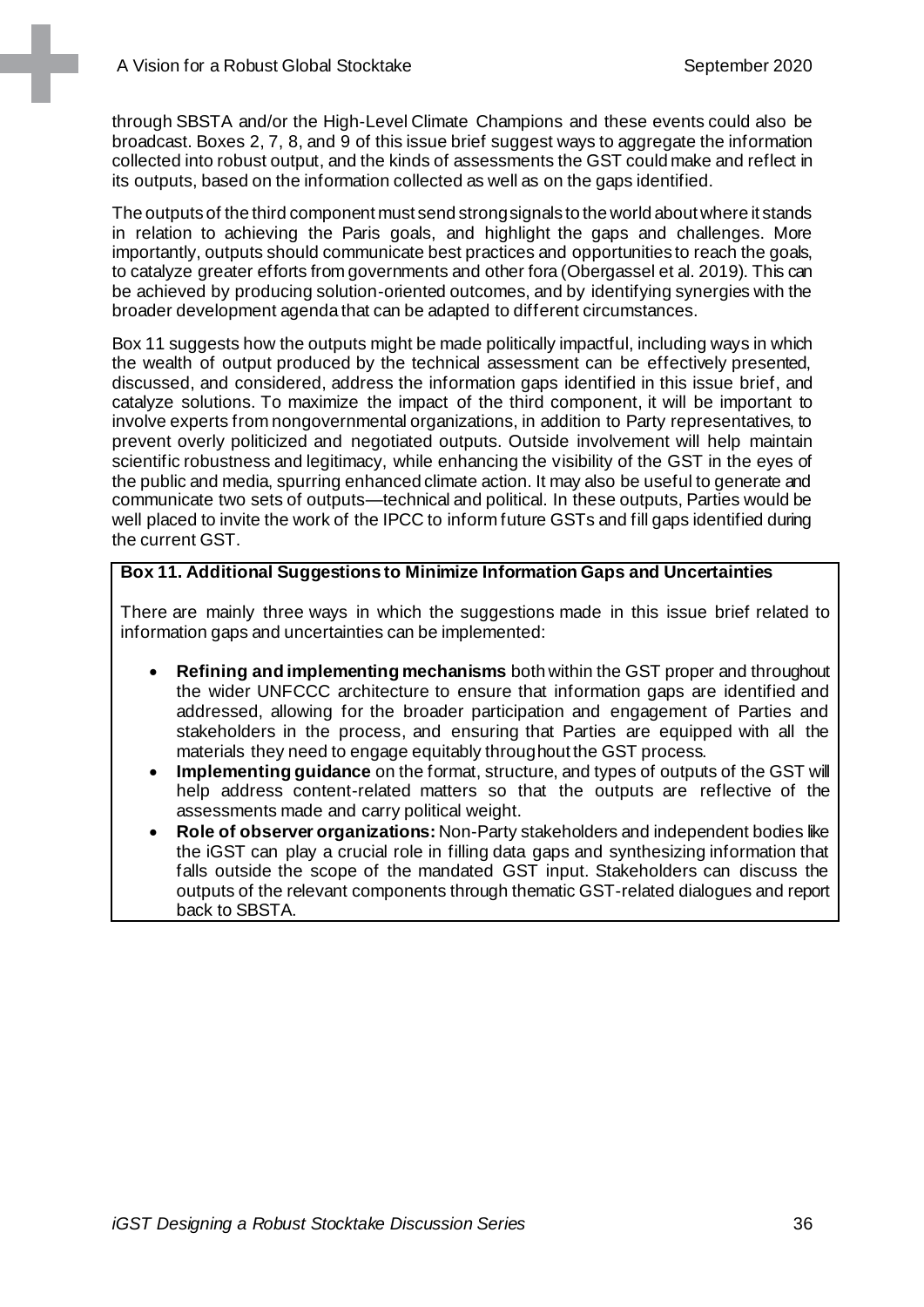through SBSTA and/or the High-Level Climate Champions and these events could also be broadcast. Boxes 2, 7, 8, and 9 of this issue brief suggest ways to aggregate the information collected into robust output, and the kinds of assessments the GST could make and reflect in its outputs, based on the information collected as well as on the gaps identified.

The outputs of the third component must send strong signals to the world about where it stands in relation to achieving the Paris goals, and highlight the gaps and challenges. More importantly, outputs should communicate best practices and opportunities to reach the goals, to catalyze greater efforts from governments and other fora (Obergassel et al. 2019). This can be achieved by producing solution-oriented outcomes, and by identifying synergies with the broader development agenda that can be adapted to different circumstances.

Box 11 suggests how the outputs might be made politically impactful, including ways in which the wealth of output produced by the technical assessment can be effectively presented, discussed, and considered, address the information gaps identified in this issue brief, and catalyze solutions. To maximize the impact of the third component, it will be important to involve experts from nongovernmental organizations, in addition to Party representatives, to prevent overly politicized and negotiated outputs. Outside involvement will help maintain scientific robustness and legitimacy, while enhancing the visibility of the GST in the eyes of the public and media, spurring enhanced climate action. It may also be useful to generate and communicate two sets of outputs—technical and political. In these outputs, Parties would be well placed to invite the work of the IPCC to inform future GSTs and fill gaps identified during the current GST.

### **Box 11. Additional Suggestions to Minimize Information Gaps and Uncertainties**

There are mainly three ways in which the suggestions made in this issue brief related to information gaps and uncertainties can be implemented:

- **Refining and implementing mechanisms** both within the GST proper and throughout the wider UNFCCC architecture to ensure that information gaps are identified and addressed, allowing for the broader participation and engagement of Parties and stakeholders in the process, and ensuring that Parties are equipped with all the materials they need to engage equitably throughout the GST process.
- **Implementing guidance** on the format, structure, and types of outputs of the GST will help address content-related matters so that the outputs are reflective of the assessments made and carry political weight.
- **Role of observer organizations:** Non-Party stakeholders and independent bodies like the iGST can play a crucial role in filling data gaps and synthesizing information that falls outside the scope of the mandated GST input. Stakeholders can discuss the outputs of the relevant components through thematic GST-related dialogues and report back to SBSTA.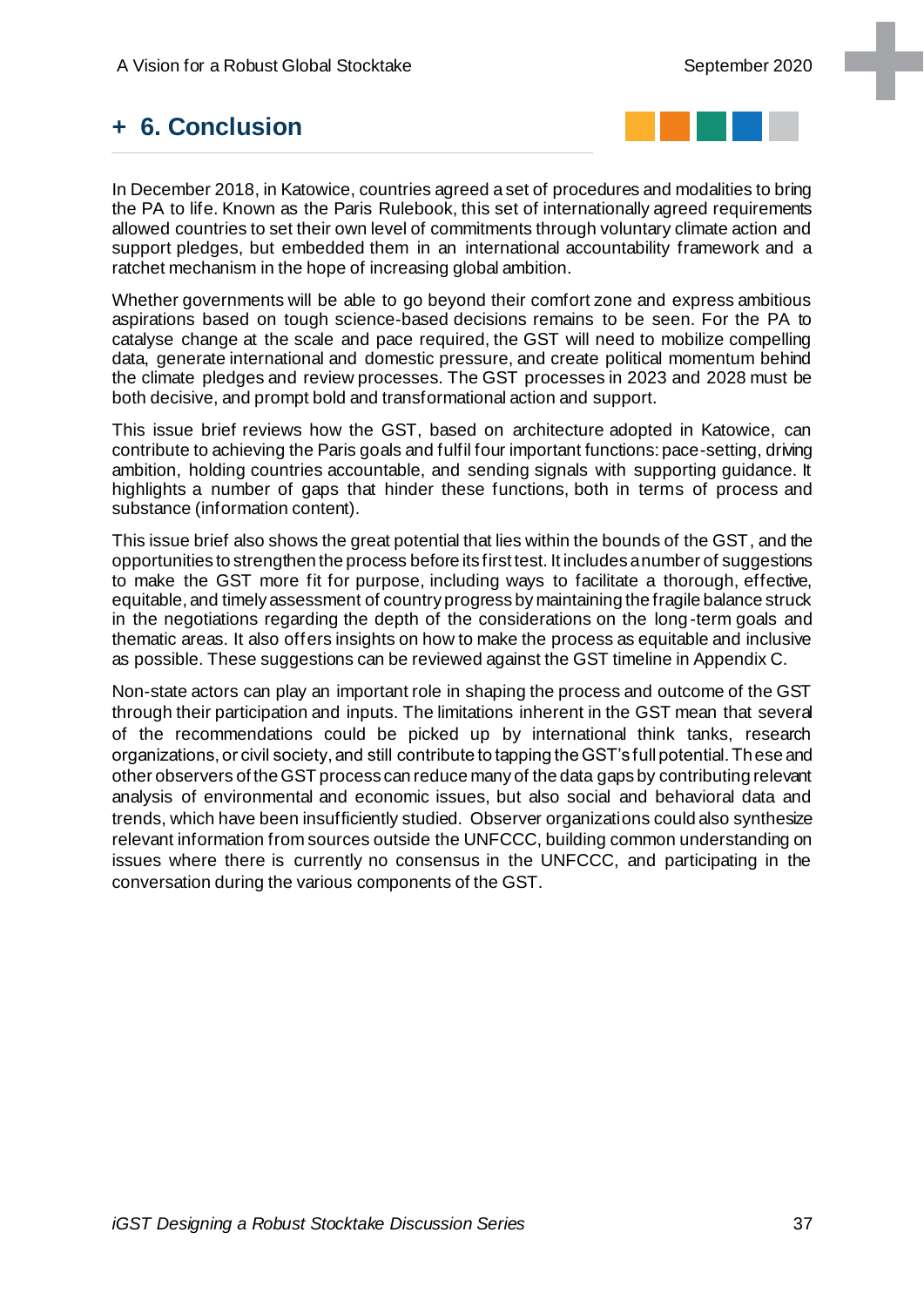# <span id="page-36-0"></span>**+ 6. Conclusion**



In December 2018, in Katowice, countries agreed a set of procedures and modalities to bring the PA to life. Known as the Paris Rulebook, this set of internationally agreed requirements allowed countries to set their own level of commitments through voluntary climate action and support pledges, but embedded them in an international accountability framework and a ratchet mechanism in the hope of increasing global ambition.

Whether governments will be able to go beyond their comfort zone and express ambitious aspirations based on tough science-based decisions remains to be seen. For the PA to catalyse change at the scale and pace required, the GST will need to mobilize compelling data, generate international and domestic pressure, and create political momentum behind the climate pledges and review processes. The GST processes in 2023 and 2028 must be both decisive, and prompt bold and transformational action and support.

This issue brief reviews how the GST, based on architecture adopted in Katowice, can contribute to achieving the Paris goals and fulfil four important functions: pace-setting, driving ambition, holding countries accountable, and sending signals with supporting guidance. It highlights a number of gaps that hinder these functions, both in terms of process and substance (information content).

This issue brief also shows the great potential that lies within the bounds of the GST, and the opportunities to strengthen the process before its first test. It includes a number of suggestions to make the GST more fit for purpose, including ways to facilitate a thorough, effective, equitable, and timely assessment of country progress by maintaining the fragile balance struck in the negotiations regarding the depth of the considerations on the long-term goals and thematic areas. It also offers insights on how to make the process as equitable and inclusive as possible. These suggestions can be reviewed against the GST timeline in Appendix C.

Non-state actors can play an important role in shaping the process and outcome of the GST through their participation and inputs. The limitations inherent in the GST mean that several of the recommendations could be picked up by international think tanks, research organizations, or civil society, and still contribute to tapping the GST's full potential. These and other observers of the GST process can reduce many of the data gaps by contributing relevant analysis of environmental and economic issues, but also social and behavioral data and trends, which have been insufficiently studied. Observer organizations could also synthesize relevant information from sources outside the UNFCCC, building common understanding on issues where there is currently no consensus in the UNFCCC, and participating in the conversation during the various components of the GST.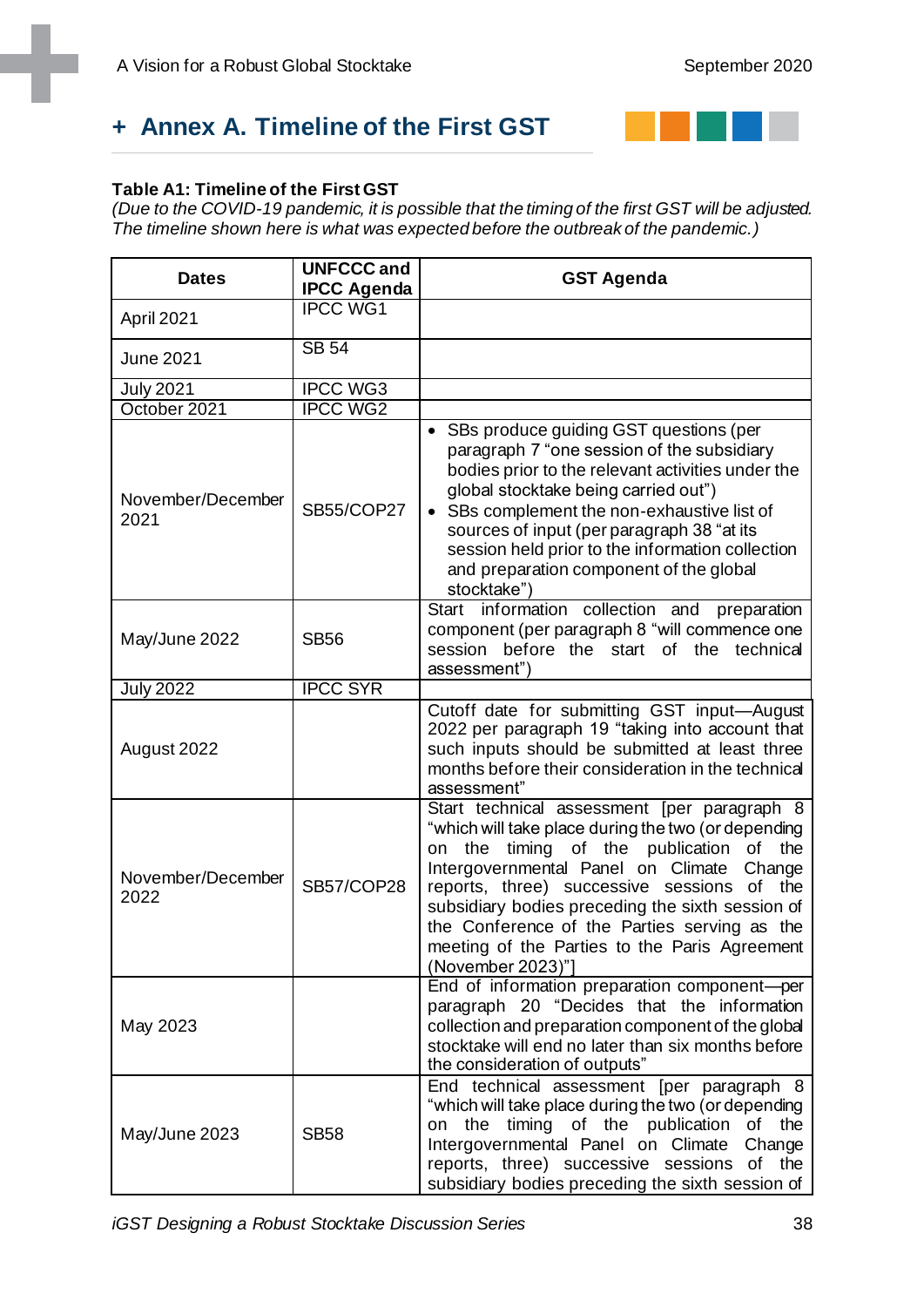# <span id="page-37-0"></span>**+ Annex A. Timeline of the First GST**



### **Table A1: Timeline of the First GST**

*(Due to the COVID-19 pandemic, it is possible that the timing of the first GST will be adjusted. The timeline shown here is what was expected before the outbreak of the pandemic.)*

| <b>Dates</b>              | <b>UNFCCC and</b><br><b>IPCC Agenda</b> | <b>GST Agenda</b>                                                                                                                                                                                                                                                                                                                                                                                                                    |
|---------------------------|-----------------------------------------|--------------------------------------------------------------------------------------------------------------------------------------------------------------------------------------------------------------------------------------------------------------------------------------------------------------------------------------------------------------------------------------------------------------------------------------|
| April 2021                | <b>IPCC WG1</b>                         |                                                                                                                                                                                                                                                                                                                                                                                                                                      |
| <b>June 2021</b>          | $\overline{SB}$ 54                      |                                                                                                                                                                                                                                                                                                                                                                                                                                      |
| <b>July 2021</b>          | <b>IPCC WG3</b>                         |                                                                                                                                                                                                                                                                                                                                                                                                                                      |
| October 2021              | <b>IPCC WG2</b>                         |                                                                                                                                                                                                                                                                                                                                                                                                                                      |
| November/December<br>2021 | <b>SB55/COP27</b>                       | • SBs produce guiding GST questions (per<br>paragraph 7 "one session of the subsidiary<br>bodies prior to the relevant activities under the<br>global stocktake being carried out")<br>SBs complement the non-exhaustive list of<br>$\bullet$<br>sources of input (per paragraph 38 "at its<br>session held prior to the information collection<br>and preparation component of the global<br>stocktake")                            |
| May/June 2022             | <b>SB56</b>                             | information collection and<br><b>Start</b><br>preparation<br>component (per paragraph 8 "will commence one<br>session<br>before the<br>of the<br>start<br>technical<br>assessment")                                                                                                                                                                                                                                                  |
| <b>July 2022</b>          | <b>IPCC SYR</b>                         |                                                                                                                                                                                                                                                                                                                                                                                                                                      |
| August 2022               |                                         | Cutoff date for submitting GST input-August<br>2022 per paragraph 19 "taking into account that<br>such inputs should be submitted at least three<br>months before their consideration in the technical<br>assessment"                                                                                                                                                                                                                |
| November/December<br>2022 | <b>SB57/COP28</b>                       | Start technical assessment [per paragraph 8<br>"which will take place during the two (or depending<br>timing of the publication<br>the<br>of<br>the<br>on<br>Intergovernmental Panel on Climate<br>Change<br>reports, three) successive sessions of<br>the<br>subsidiary bodies preceding the sixth session of<br>the Conference of the Parties serving as the<br>meeting of the Parties to the Paris Agreement<br>(November 2023)"] |
| May 2023                  |                                         | End of information preparation component-per<br>paragraph 20 "Decides that the information<br>collection and preparation component of the global<br>stocktake will end no later than six months before<br>the consideration of outputs"                                                                                                                                                                                              |
| May/June 2023             | <b>SB58</b>                             | End technical assessment [per paragraph 8<br>"which will take place during the two (or depending<br>timing of the publication of<br>the<br>the<br>on<br>Intergovernmental Panel on Climate<br>Change<br>reports, three) successive sessions<br>of<br>the<br>subsidiary bodies preceding the sixth session of                                                                                                                         |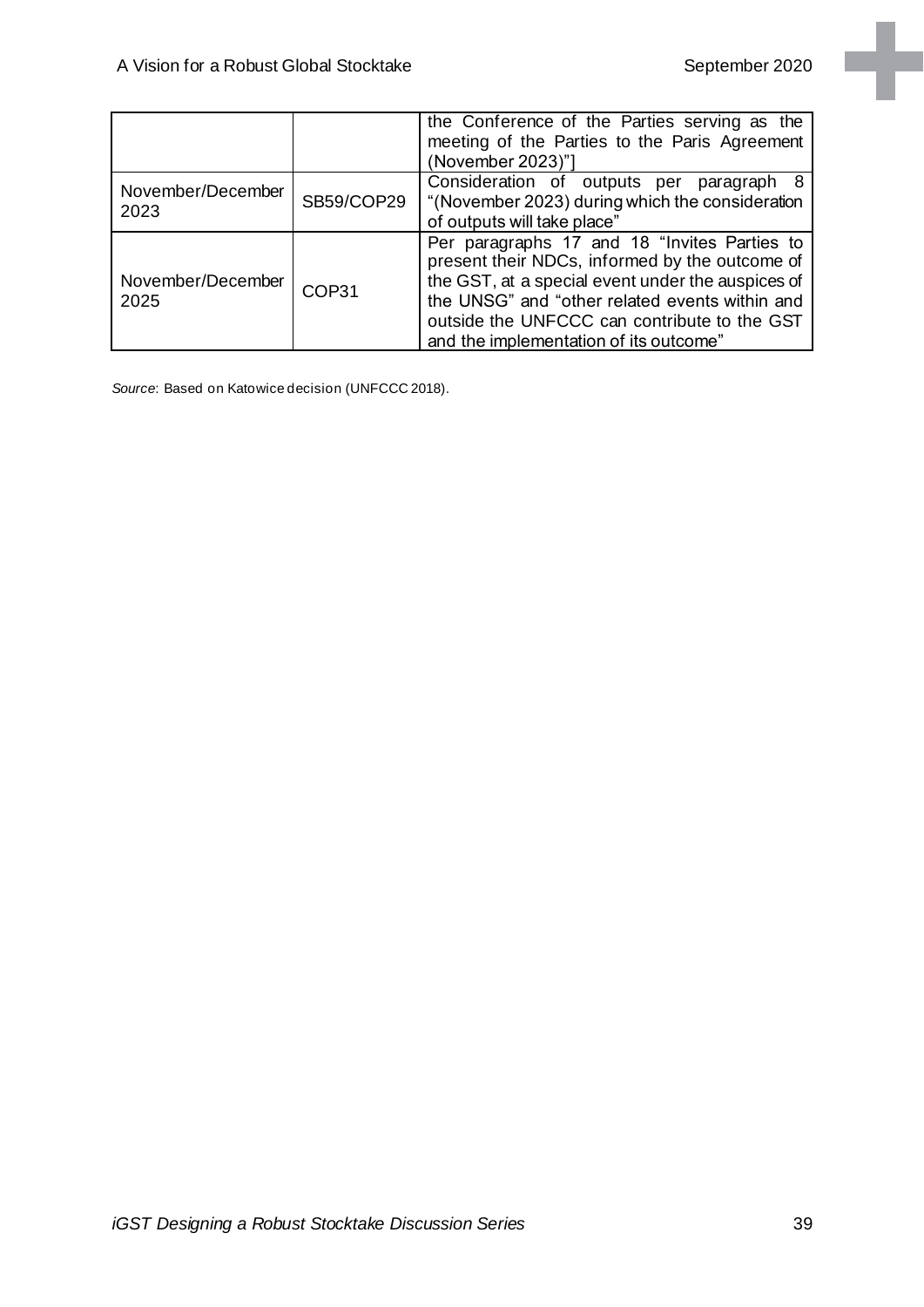|                   |            | the Conference of the Parties serving as the                                                                                                        |
|-------------------|------------|-----------------------------------------------------------------------------------------------------------------------------------------------------|
|                   |            | meeting of the Parties to the Paris Agreement                                                                                                       |
|                   |            | (November 2023)"]                                                                                                                                   |
| November/December |            | Consideration of outputs per paragraph<br>8                                                                                                         |
| 2023              | SB59/COP29 | "(November 2023) during which the consideration                                                                                                     |
|                   |            | of outputs will take place"                                                                                                                         |
| November/December | COP31      | Per paragraphs 17 and 18 "Invites Parties to<br>present their NDCs, informed by the outcome of<br>the GST, at a special event under the auspices of |
| 2025              |            | the UNSG" and "other related events within and                                                                                                      |
|                   |            | outside the UNFCCC can contribute to the GST                                                                                                        |
|                   |            | and the implementation of its outcome"                                                                                                              |

*Source*: Based on Katowice decision (UNFCCC 2018).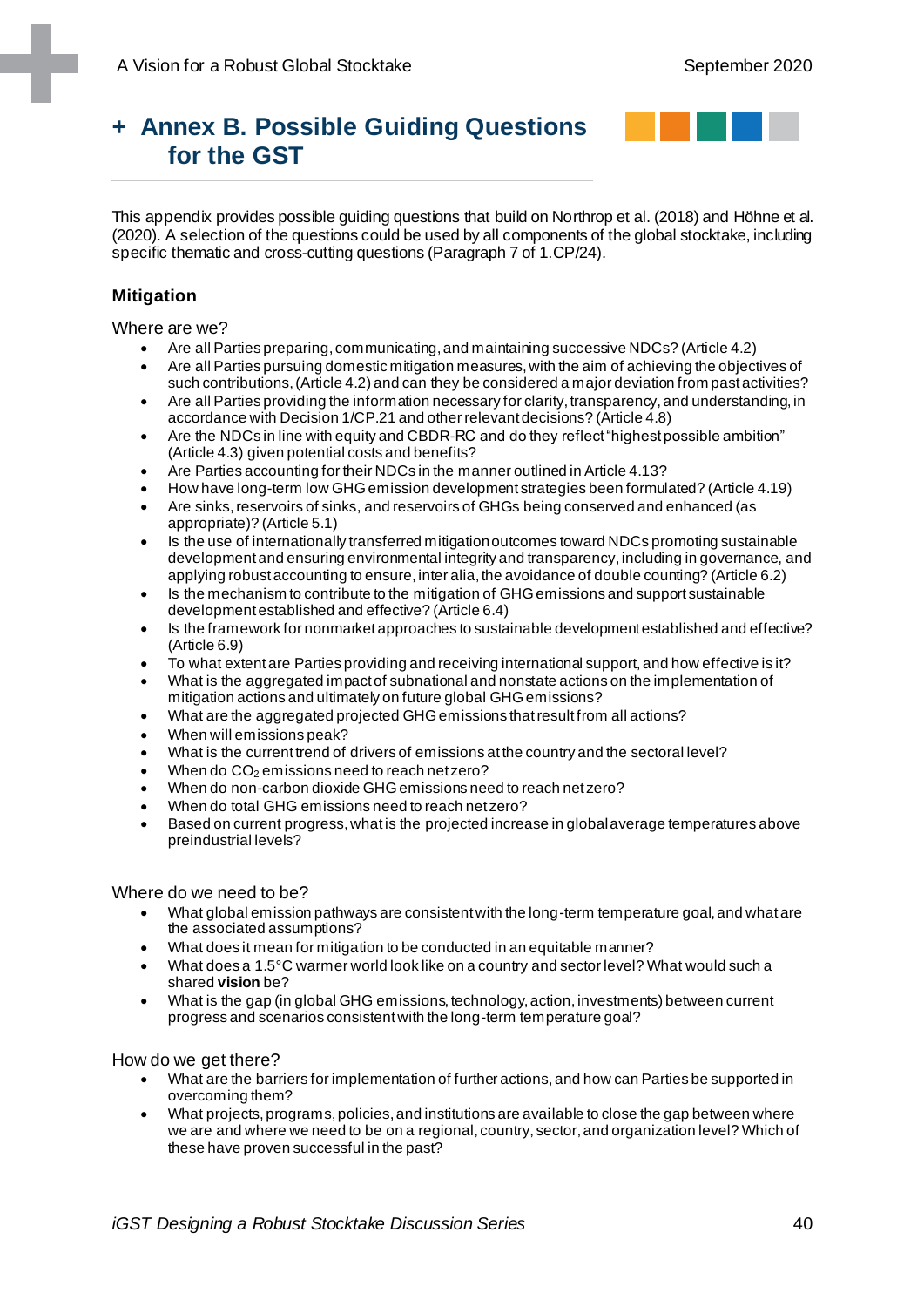# <span id="page-39-0"></span>**+ Annex B. Possible Guiding Questions for the GST**



This appendix provides possible guiding questions that build on Northrop et al. (2018) and Höhne et al. (2020). A selection of the questions could be used by all components of the global stocktake, including specific thematic and cross-cutting questions (Paragraph 7 of 1.CP/24).

### **Mitigation**

Where are we?

- Are all Parties preparing, communicating, and maintaining successive NDCs? (Article 4.2)
- Are all Parties pursuing domestic mitigation measures, with the aim of achieving the objectives of such contributions, (Article 4.2) and can they be considered a major deviation from past activities?
- Are all Parties providing the information necessary for clarity, transparency, and understanding, in accordance with Decision 1/CP.21 and other relevant decisions? (Article 4.8)
- Are the NDCs in line with equity and CBDR-RC and do they reflect "highest possible ambition" (Article 4.3) given potential costs and benefits?
- Are Parties accounting for their NDCs in the manner outlined in Article 4.13?
- How have long-term low GHGemission development strategies been formulated? (Article 4.19)
- Are sinks, reservoirs of sinks, and reservoirs of GHGs being conserved and enhanced (as appropriate)? (Article 5.1)
- Is the use of internationally transferred mitigation outcomes toward NDCs promoting sustainable development and ensuring environmental integrity and transparency, including in governance, and applying robust accounting to ensure, inter alia, the avoidance of double counting? (Article 6.2)
- Is the mechanism to contribute to the mitigation of GHGemissions and support sustainable development established and effective? (Article 6.4)
- Is the framework for nonmarket approaches to sustainable development established and effective? (Article 6.9)
- To what extent are Parties providing and receiving international support, and how effective is it?
- What is the aggregated impact of subnational and nonstate actions on the implementation of mitigation actions and ultimately on future global GHGemissions?
- What are the aggregated projected GHGemissions that result from all actions?
- When will emissions peak?
- What is the current trend of drivers of emissions at the country and the sectoral level?
- When do  $CO<sub>2</sub>$  emissions need to reach net zero?
- When do non-carbon dioxide GHG emissions need to reach net zero?
- When do total GHG emissions need to reach net zero?
- Based on current progress, what is the projected increase in global average temperatures above preindustrial levels?

#### Where do we need to be?

- What global emission pathways are consistent with the long-term temperature goal, and what are the associated assumptions?
- What does it mean for mitigation to be conducted in an equitable manner?
- What does a 1.5°C warmer world look like on a country and sector level? What would such a shared **vision** be?
- What is the gap (in global GHG emissions, technology, action, investments) between current progress and scenarios consistent with the long-term temperature goal?

#### How do we get there?

- What are the barriers for implementation of further actions, and how can Parties be supported in overcoming them?
- What projects, programs, policies, and institutions are available to close the gap between where we are and where we need to be on a regional, country, sector, and organization level? Which of these have proven successful in the past?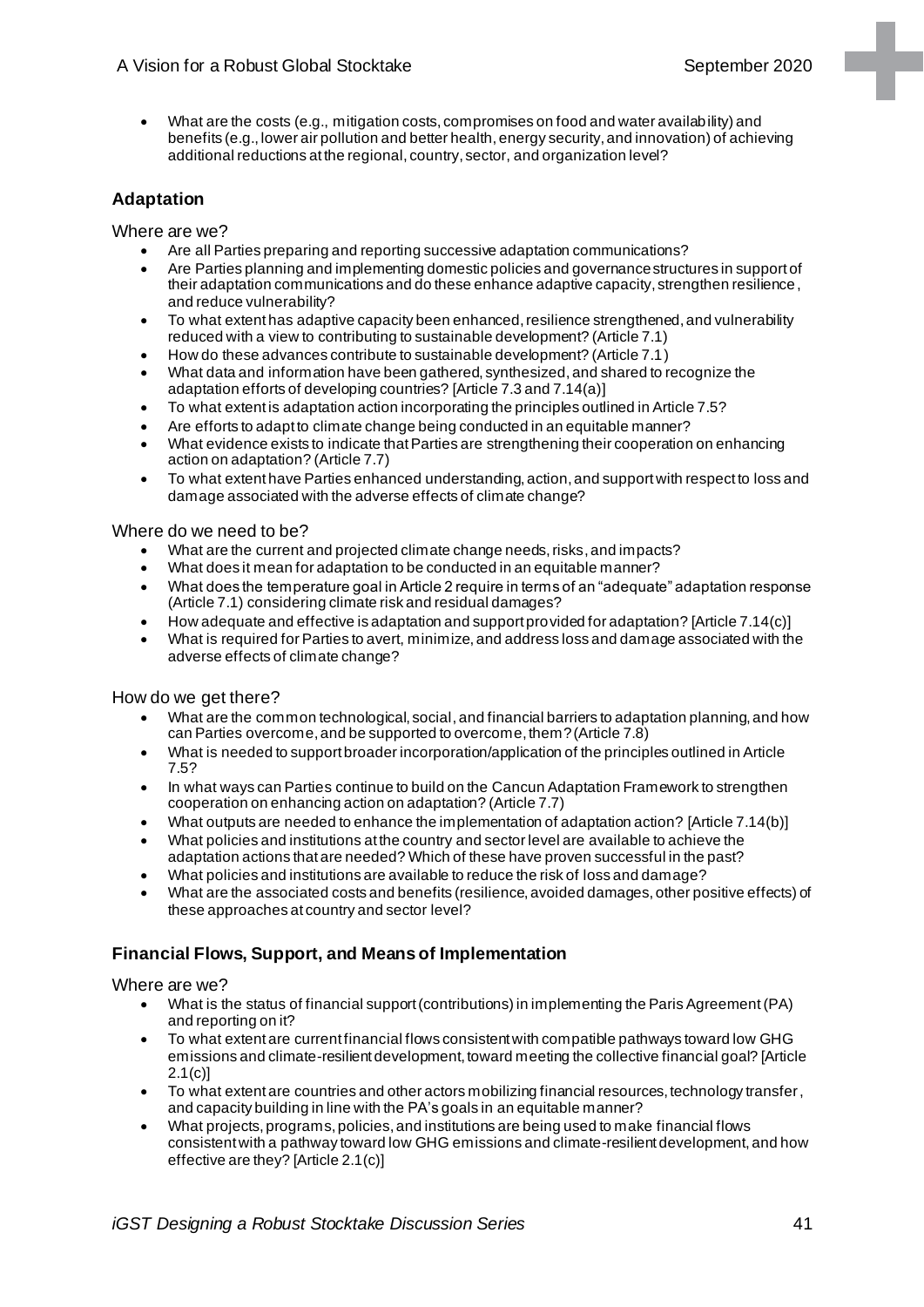• What are the costs (e.g., mitigation costs, compromises on food and water availability) and benefits (e.g., lower air pollution and better health, energy security, and innovation) of achieving additional reductions at the regional, country, sector, and organization level?

### **Adaptation**

Where are we?

- Are all Parties preparing and reporting successive adaptation communications?
- Are Parties planning and implementing domestic policies and governance structures in support of their adaptation communications and do these enhance adaptive capacity, strengthen resilience, and reduce vulnerability?
- To what extent has adaptive capacity been enhanced, resilience strengthened, and vulnerability reduced with a view to contributing to sustainable development? (Article 7.1)
- How do these advances contribute to sustainable development? (Article 7.1)
- What data and information have been gathered, synthesized, and shared to recognize the adaptation efforts of developing countries? [Article 7.3 and 7.14(a)]
- To what extent is adaptation action incorporating the principles outlined in Article 7.5?
- Are efforts to adapt to climate change being conducted in an equitable manner?
- What evidence exists to indicate that Parties are strengthening their cooperation on enhancing action on adaptation? (Article 7.7)
- To what extent have Parties enhanced understanding, action, and support with respect to loss and damage associated with the adverse effects of climate change?

#### Where do we need to be?

- What are the current and projected climate change needs, risks, and impacts?
- What does it mean for adaptation to be conducted in an equitable manner?
- What does the temperature goal in Article 2 require in terms of an "adequate" adaptation response (Article 7.1) considering climate risk and residual damages?
- How adequate and effective is adaptation and support provided for adaptation? [Article 7.14(c)]
- What is required for Parties to avert, minimize,and address loss and damage associated with the adverse effects of climate change?

#### How do we get there?

- What are the common technological, social,and financial barriers to adaptation planning, and how can Parties overcome, and be supported to overcome, them? (Article 7.8)
- What is needed to support broader incorporation/application of the principles outlined in Article 7.5?
- In what ways can Parties continue to build on the Cancun Adaptation Framework to strengthen cooperation on enhancing action on adaptation? (Article 7.7)
- What outputs are needed to enhance the implementation of adaptation action? [Article 7.14(b)]
- What policies and institutions at the country and sector level are available to achieve the adaptation actions that are needed? Which of these have proven successful in the past?
- What policies and institutions are available to reduce the risk of loss and damage?
- What are the associated costs and benefits (resilience, avoided damages, other positive effects) of these approaches at country and sector level?

#### **Financial Flows, Support, and Means of Implementation**

Where are we?

- What is the status of financial support (contributions) in implementing the Paris Agreement (PA) and reporting on it?
- To what extent are current financial flows consistent with compatible pathways toward low GHG emissions and climate-resilient development, toward meeting the collective financial goal? [Article 2.1(c)]
- To what extent are countries and other actors mobilizing financial resources, technology transfer, and capacity building in line with the PA's goals in an equitable manner?
- What projects, programs, policies, and institutions are being used to make financial flows consistent with a pathway toward low GHG emissions and climate-resilient development, and how effective are they? [Article 2.1(c)]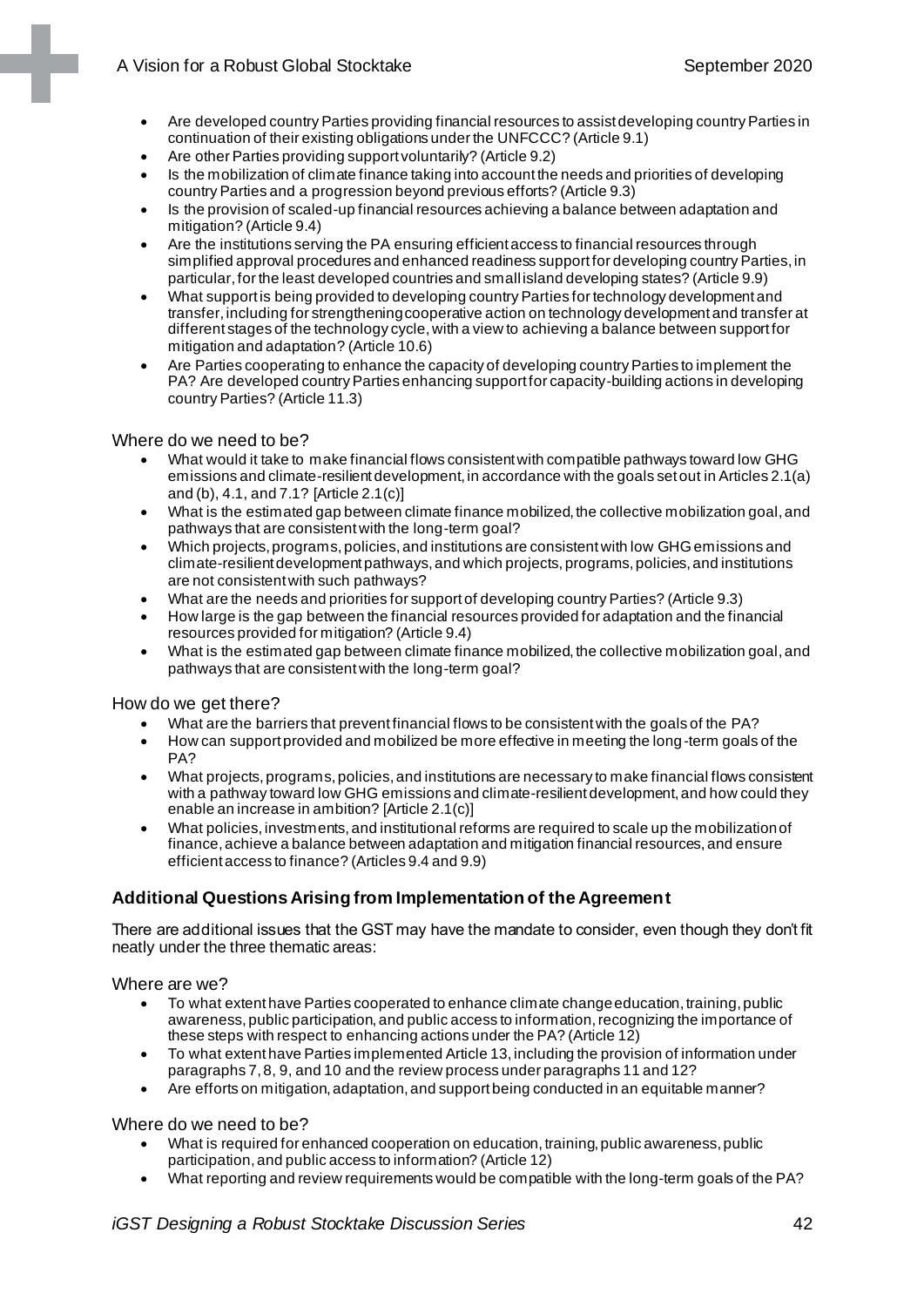- Are developed country Parties providing financial resources to assist developing country Parties in continuation of their existing obligations under the UNFCCC? (Article 9.1)
- Are other Parties providing support voluntarily? (Article 9.2)
- Is the mobilization of climate finance taking into account the needs and priorities of developing country Parties and a progression beyond previous efforts? (Article 9.3)
- Is the provision of scaled-up financial resources achieving a balance between adaptation and mitigation? (Article 9.4)
- Are the institutions serving the PA ensuring efficient access to financial resources through simplified approval procedures and enhanced readiness support for developing country Parties, in particular,for the least developed countries and small island developing states? (Article 9.9)
- What support is being provided to developing country Parties for technology development and transfer, including for strengthening cooperative action on technology development and transfer at different stages of the technology cycle, with a view to achieving a balance between support for mitigation and adaptation? (Article 10.6)
- Are Parties cooperating to enhance the capacity of developing country Parties to implement the PA? Are developed country Parties enhancing support for capacity-building actions in developing country Parties? (Article 11.3)

#### Where do we need to be?

- What would it take to make financial flows consistent with compatible pathways toward low GHG emissions and climate-resilient development, in accordance with the goals set out in Articles 2.1(a) and (b), 4.1, and 7.1? [Article 2.1(c)]
- What is the estimated gap between climate finance mobilized, the collective mobilization goal, and pathways that are consistent with the long-term goal?
- Which projects, programs, policies, and institutions are consistent with low GHG emissions and climate-resilient development pathways, and which projects, programs, policies, and institutions are not consistent with such pathways?
- What are the needs and priorities for support of developing country Parties? (Article 9.3)
- How large is the gap between the financial resources provided for adaptation and the financial resources provided for mitigation? (Article 9.4)
- What is the estimated gap between climate finance mobilized, the collective mobilization goal, and pathways that are consistent with the long-term goal?

How do we get there?

- What are the barriers that prevent financial flows to be consistent with the goals of the PA?
- How can support provided and mobilized be more effective in meeting the long-term goals of the PA?
- What projects, programs, policies, and institutions are necessary to make financial flows consistent with a pathway toward low GHG emissions and climate-resilient development, and how could they enable an increase in ambition? [Article 2.1(c)]
- What policies, investments, and institutional reforms are required to scale up the mobilization of finance, achieve a balance between adaptation and mitigation financial resources, and ensure efficient access to finance? (Articles 9.4 and 9.9)

### **Additional Questions Arising from Implementation of the Agreement**

There are additional issues that the GST may have the mandate to consider, even though they don't fit neatly under the three thematic areas:

Where are we?

- To what extent have Parties cooperated to enhance climate change education, training, public awareness, public participation, and public access to information, recognizing the importance of these steps with respect to enhancing actions under the PA? (Article 12)
- To what extent have Parties implemented Article 13, including the provision of information under paragraphs 7, 8, 9, and 10 and the review process under paragraphs 11 and 12?
- Are efforts on mitigation, adaptation, and support being conducted in an equitable manner?

Where do we need to be?

- What is required for enhanced cooperation on education, training, public awareness, public participation, and public access to information? (Article 12)
- What reporting and review requirements would be compatible with the long-term goals of the PA?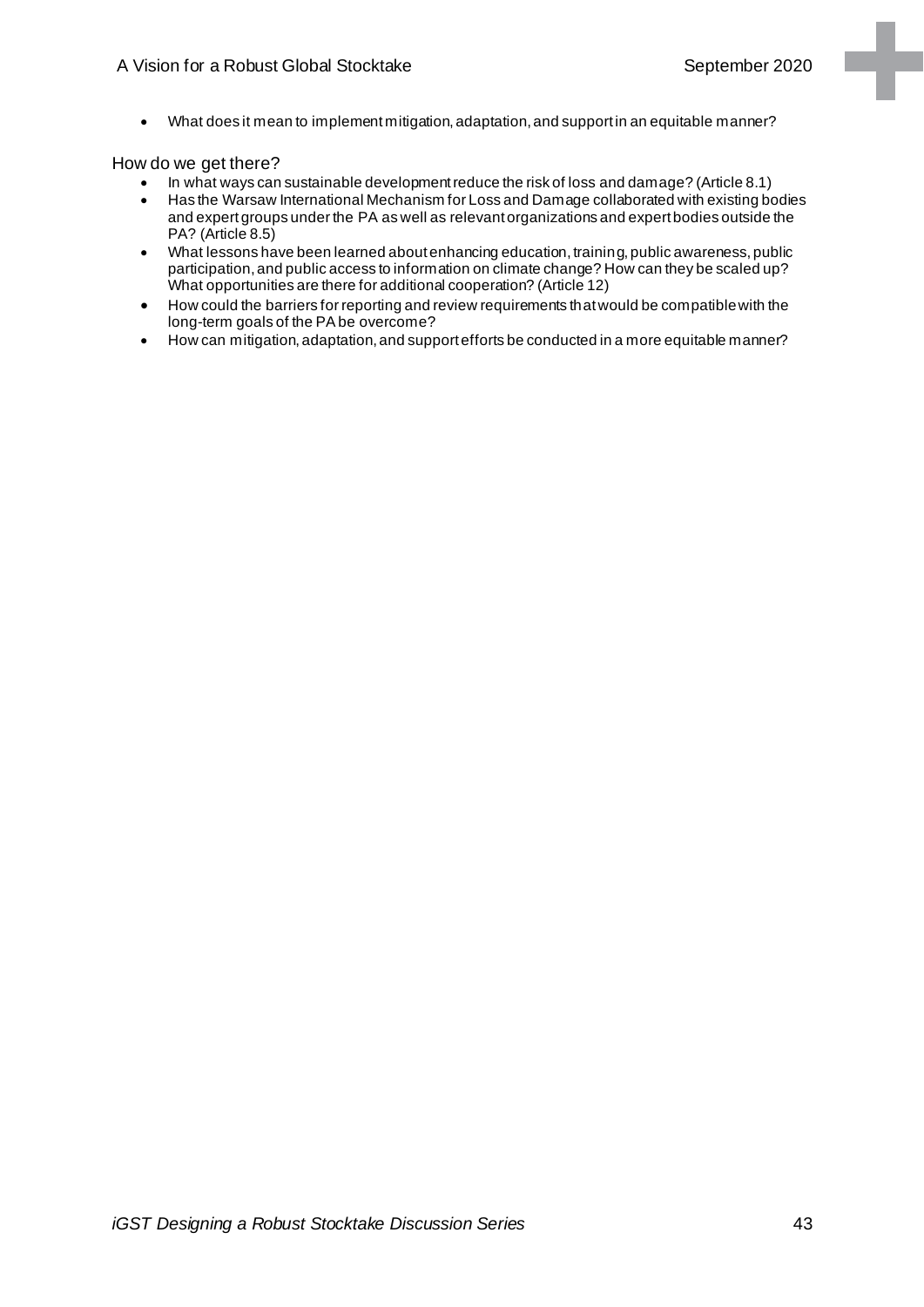• What does it mean to implement mitigation, adaptation, and support in an equitable manner?

#### How do we get there?

- In what ways can sustainable development reduce the risk of loss and damage? (Article 8.1)
- Has the Warsaw International Mechanism for Loss and Damage collaborated with existing bodies and expert groups under the PA as well as relevant organizations and expert bodies outside the PA? (Article 8.5)
- What lessons have been learned about enhancing education, training, public awareness, public participation, and public access to information on climate change? How can they be scaled up? What opportunities are there for additional cooperation? (Article 12)
- How could the barriers for reporting and review requirements that would be compatible with the long-term goals of the PA be overcome?
- How can mitigation, adaptation, and support efforts be conducted in a more equitable manner?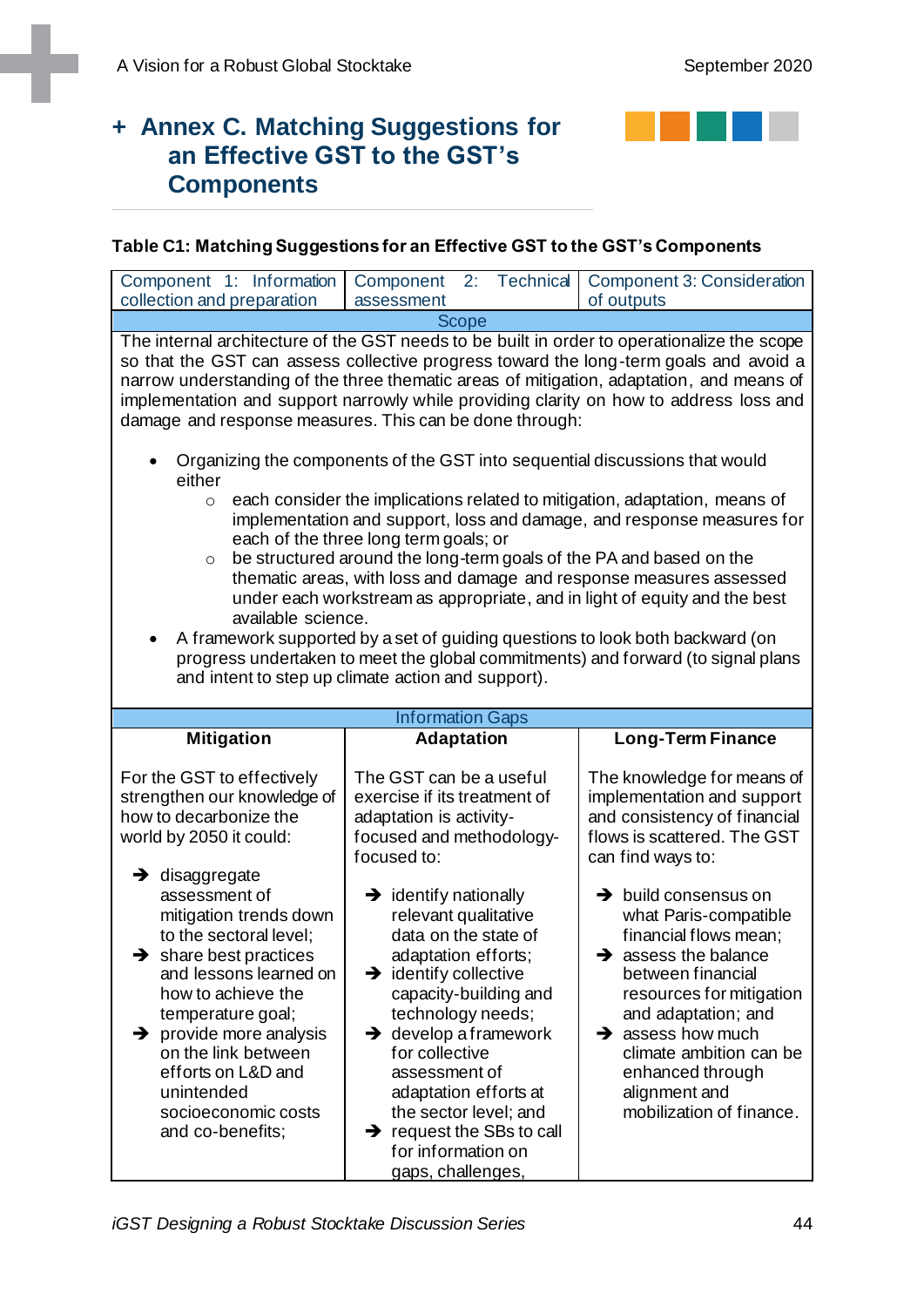# <span id="page-43-0"></span>**+ Annex C. Matching Suggestions for an Effective GST to the GST's Components**



### **Table C1: Matching Suggestions for an Effective GST to the GST's Components**

| Component 1: Information<br>collection and preparation                                                                                                                                                                                                                                                                                                                                                                                                                                                                                                                                                                                                                                                                                                                                   | 2: Technical<br>Component<br>assessment                                                                                                                                                                                                                                                                                                                                                                                                                                                         | <b>Component 3: Consideration</b><br>of outputs                                                                                                                                                                                                                                                                                                                                                                                                                             |  |
|------------------------------------------------------------------------------------------------------------------------------------------------------------------------------------------------------------------------------------------------------------------------------------------------------------------------------------------------------------------------------------------------------------------------------------------------------------------------------------------------------------------------------------------------------------------------------------------------------------------------------------------------------------------------------------------------------------------------------------------------------------------------------------------|-------------------------------------------------------------------------------------------------------------------------------------------------------------------------------------------------------------------------------------------------------------------------------------------------------------------------------------------------------------------------------------------------------------------------------------------------------------------------------------------------|-----------------------------------------------------------------------------------------------------------------------------------------------------------------------------------------------------------------------------------------------------------------------------------------------------------------------------------------------------------------------------------------------------------------------------------------------------------------------------|--|
|                                                                                                                                                                                                                                                                                                                                                                                                                                                                                                                                                                                                                                                                                                                                                                                          | <b>Scope</b>                                                                                                                                                                                                                                                                                                                                                                                                                                                                                    |                                                                                                                                                                                                                                                                                                                                                                                                                                                                             |  |
| The internal architecture of the GST needs to be built in order to operationalize the scope<br>so that the GST can assess collective progress toward the long-term goals and avoid a<br>narrow understanding of the three thematic areas of mitigation, adaptation, and means of<br>implementation and support narrowly while providing clarity on how to address loss and<br>damage and response measures. This can be done through:                                                                                                                                                                                                                                                                                                                                                    |                                                                                                                                                                                                                                                                                                                                                                                                                                                                                                 |                                                                                                                                                                                                                                                                                                                                                                                                                                                                             |  |
| Organizing the components of the GST into sequential discussions that would<br>either<br>each consider the implications related to mitigation, adaptation, means of<br>$\circ$<br>implementation and support, loss and damage, and response measures for<br>each of the three long term goals; or<br>be structured around the long-term goals of the PA and based on the<br>$\circ$<br>thematic areas, with loss and damage and response measures assessed<br>under each workstream as appropriate, and in light of equity and the best<br>available science.<br>A framework supported by a set of guiding questions to look both backward (on<br>progress undertaken to meet the global commitments) and forward (to signal plans<br>and intent to step up climate action and support). |                                                                                                                                                                                                                                                                                                                                                                                                                                                                                                 |                                                                                                                                                                                                                                                                                                                                                                                                                                                                             |  |
|                                                                                                                                                                                                                                                                                                                                                                                                                                                                                                                                                                                                                                                                                                                                                                                          | <b>Information Gaps</b>                                                                                                                                                                                                                                                                                                                                                                                                                                                                         |                                                                                                                                                                                                                                                                                                                                                                                                                                                                             |  |
| <b>Mitigation</b>                                                                                                                                                                                                                                                                                                                                                                                                                                                                                                                                                                                                                                                                                                                                                                        | <b>Adaptation</b>                                                                                                                                                                                                                                                                                                                                                                                                                                                                               | <b>Long-Term Finance</b>                                                                                                                                                                                                                                                                                                                                                                                                                                                    |  |
| For the GST to effectively<br>strengthen our knowledge of<br>how to decarbonize the<br>world by 2050 it could:<br>$\rightarrow$ disaggregate<br>assessment of<br>mitigation trends down<br>to the sectoral level;<br>$\rightarrow$ share best practices<br>and lessons learned on<br>how to achieve the<br>temperature goal;<br>$\rightarrow$ provide more analysis<br>on the link between<br>efforts on L&D and<br>unintended<br>socioeconomic costs<br>and co-benefits;                                                                                                                                                                                                                                                                                                                | The GST can be a useful<br>exercise if its treatment of<br>adaptation is activity-<br>focused and methodology-<br>focused to:<br>$\rightarrow$ identify nationally<br>relevant qualitative<br>data on the state of<br>adaptation efforts;<br>$\rightarrow$ identify collective<br>capacity-building and<br>technology needs;<br>$\rightarrow$ develop a framework<br>for collective<br>assessment of<br>adaptation efforts at<br>the sector level; and<br>$\rightarrow$ request the SBs to call | The knowledge for means of<br>implementation and support<br>and consistency of financial<br>flows is scattered. The GST<br>can find ways to:<br>$\rightarrow$ build consensus on<br>what Paris-compatible<br>financial flows mean;<br>$\rightarrow$ assess the balance<br>between financial<br>resources for mitigation<br>and adaptation; and<br>$\rightarrow$ assess how much<br>climate ambition can be<br>enhanced through<br>alignment and<br>mobilization of finance. |  |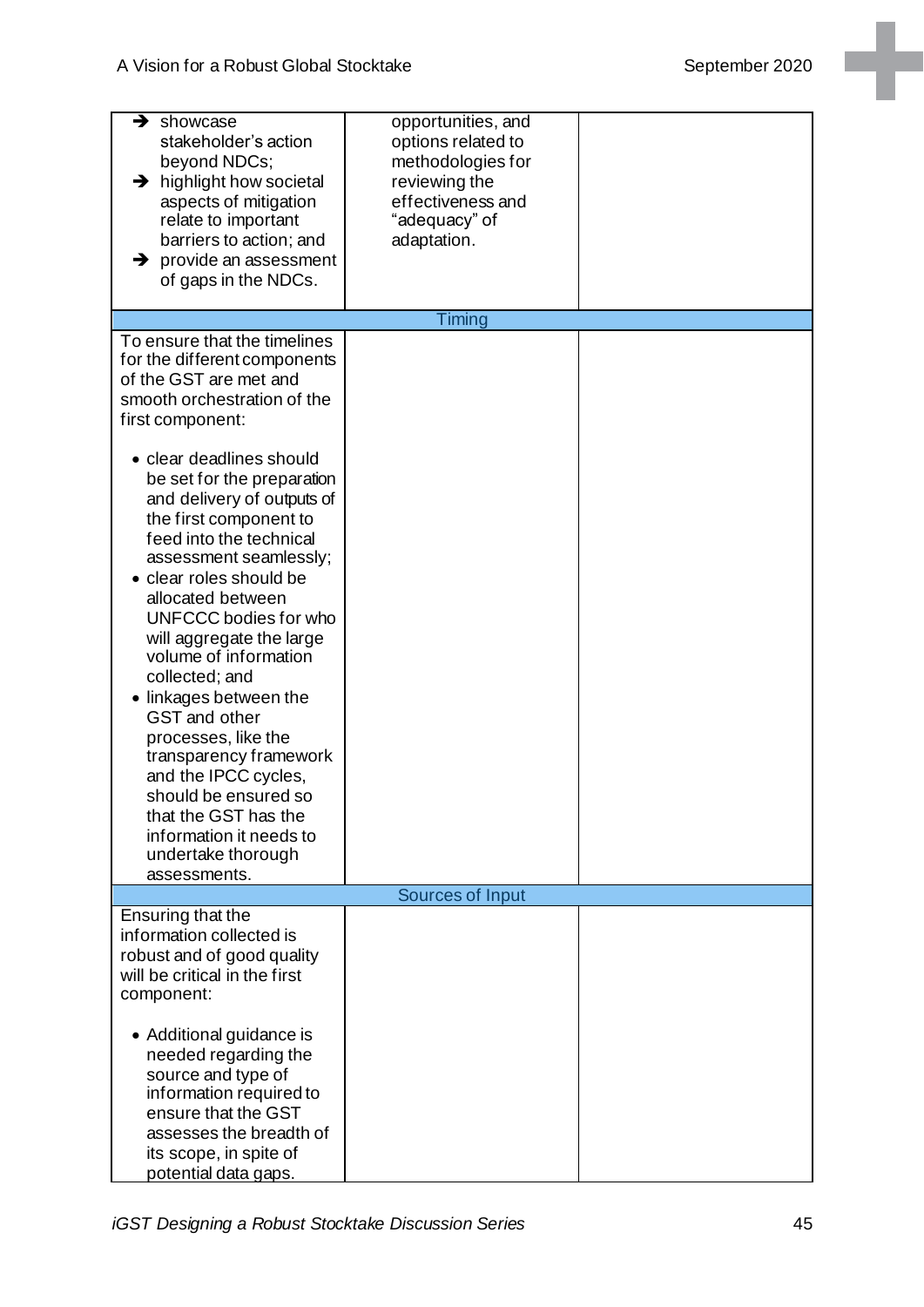| showcase<br>→<br>stakeholder's action<br>beyond NDCs;<br>$\rightarrow$ highlight how societal<br>aspects of mitigation<br>relate to important<br>barriers to action; and<br>$\rightarrow$ provide an assessment<br>of gaps in the NDCs.                                                                                                                                                                                                                                                                                                                         | opportunities, and<br>options related to<br>methodologies for<br>reviewing the<br>effectiveness and<br>"adequacy" of<br>adaptation. |  |
|-----------------------------------------------------------------------------------------------------------------------------------------------------------------------------------------------------------------------------------------------------------------------------------------------------------------------------------------------------------------------------------------------------------------------------------------------------------------------------------------------------------------------------------------------------------------|-------------------------------------------------------------------------------------------------------------------------------------|--|
|                                                                                                                                                                                                                                                                                                                                                                                                                                                                                                                                                                 | Timing                                                                                                                              |  |
| To ensure that the timelines<br>for the different components<br>of the GST are met and<br>smooth orchestration of the<br>first component:                                                                                                                                                                                                                                                                                                                                                                                                                       |                                                                                                                                     |  |
| • clear deadlines should<br>be set for the preparation<br>and delivery of outputs of<br>the first component to<br>feed into the technical<br>assessment seamlessly;<br>• clear roles should be<br>allocated between<br>UNFCCC bodies for who<br>will aggregate the large<br>volume of information<br>collected; and<br>• linkages between the<br><b>GST</b> and other<br>processes, like the<br>transparency framework<br>and the IPCC cycles,<br>should be ensured so<br>that the GST has the<br>information it needs to<br>undertake thorough<br>assessments. |                                                                                                                                     |  |
|                                                                                                                                                                                                                                                                                                                                                                                                                                                                                                                                                                 | Sources of Input                                                                                                                    |  |
| Ensuring that the<br>information collected is<br>robust and of good quality<br>will be critical in the first<br>component:<br>• Additional guidance is<br>needed regarding the<br>source and type of<br>information required to<br>ensure that the GST<br>assesses the breadth of<br>its scope, in spite of<br>potential data gaps.                                                                                                                                                                                                                             |                                                                                                                                     |  |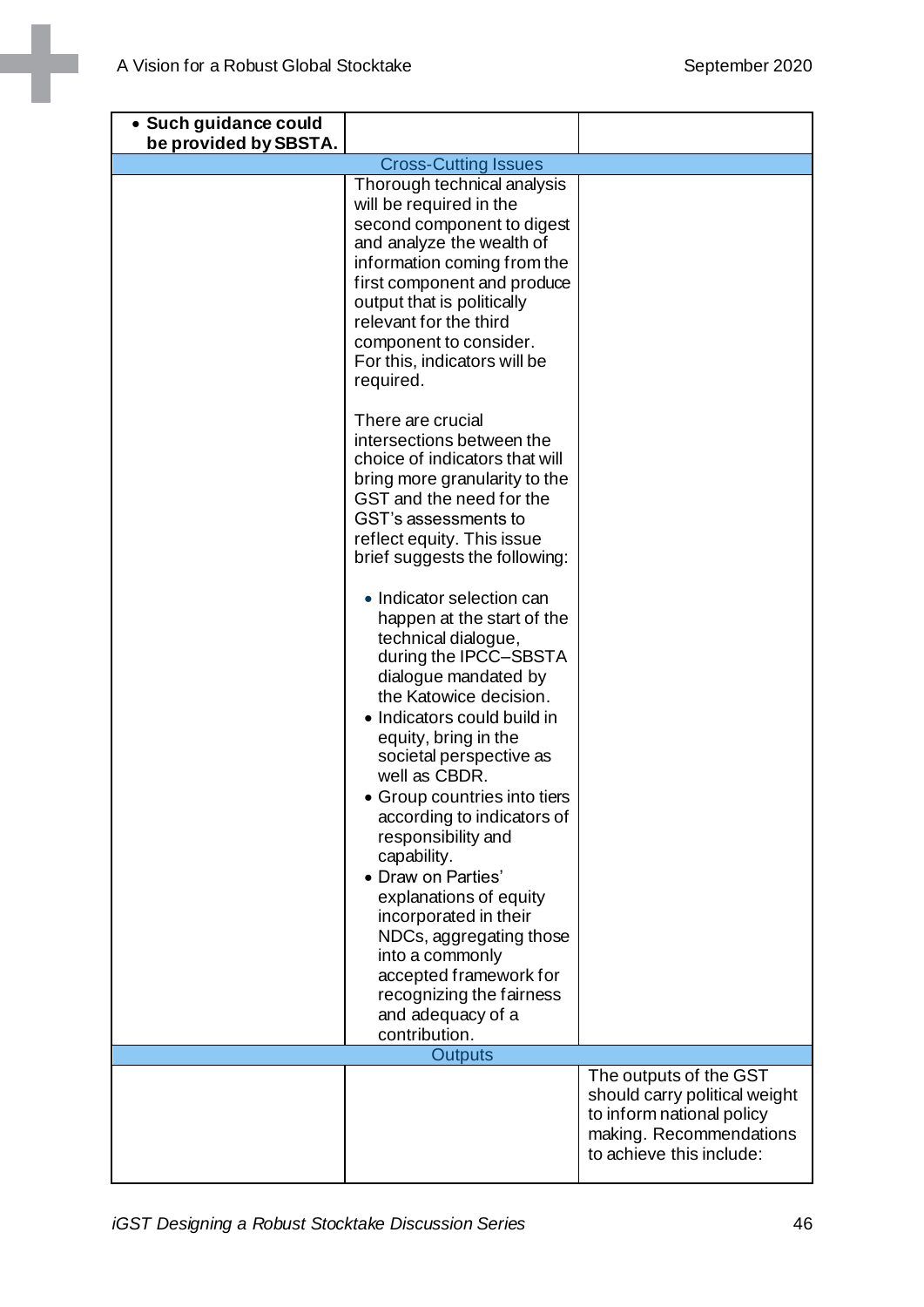| • Such guidance could<br>be provided by SBSTA. |                                                                                                                                                                                                                                                                                                                                                                                                                                                                                                                                                                                    |                                                                                                                                             |
|------------------------------------------------|------------------------------------------------------------------------------------------------------------------------------------------------------------------------------------------------------------------------------------------------------------------------------------------------------------------------------------------------------------------------------------------------------------------------------------------------------------------------------------------------------------------------------------------------------------------------------------|---------------------------------------------------------------------------------------------------------------------------------------------|
|                                                | <b>Cross-Cutting Issues</b>                                                                                                                                                                                                                                                                                                                                                                                                                                                                                                                                                        |                                                                                                                                             |
|                                                | Thorough technical analysis<br>will be required in the<br>second component to digest<br>and analyze the wealth of<br>information coming from the<br>first component and produce<br>output that is politically<br>relevant for the third<br>component to consider.<br>For this, indicators will be<br>required.                                                                                                                                                                                                                                                                     |                                                                                                                                             |
|                                                | There are crucial<br>intersections between the<br>choice of indicators that will<br>bring more granularity to the<br>GST and the need for the<br>GST's assessments to<br>reflect equity. This issue<br>brief suggests the following:                                                                                                                                                                                                                                                                                                                                               |                                                                                                                                             |
|                                                | • Indicator selection can<br>happen at the start of the<br>technical dialogue,<br>during the IPCC-SBSTA<br>dialogue mandated by<br>the Katowice decision.<br>• Indicators could build in<br>equity, bring in the<br>societal perspective as<br>well as CBDR.<br>• Group countries into tiers<br>according to indicators of<br>responsibility and<br>capability.<br>• Draw on Parties'<br>explanations of equity<br>incorporated in their<br>NDCs, aggregating those<br>into a commonly<br>accepted framework for<br>recognizing the fairness<br>and adequacy of a<br>contribution. |                                                                                                                                             |
|                                                | <b>Outputs</b>                                                                                                                                                                                                                                                                                                                                                                                                                                                                                                                                                                     |                                                                                                                                             |
|                                                |                                                                                                                                                                                                                                                                                                                                                                                                                                                                                                                                                                                    | The outputs of the GST<br>should carry political weight<br>to inform national policy<br>making. Recommendations<br>to achieve this include: |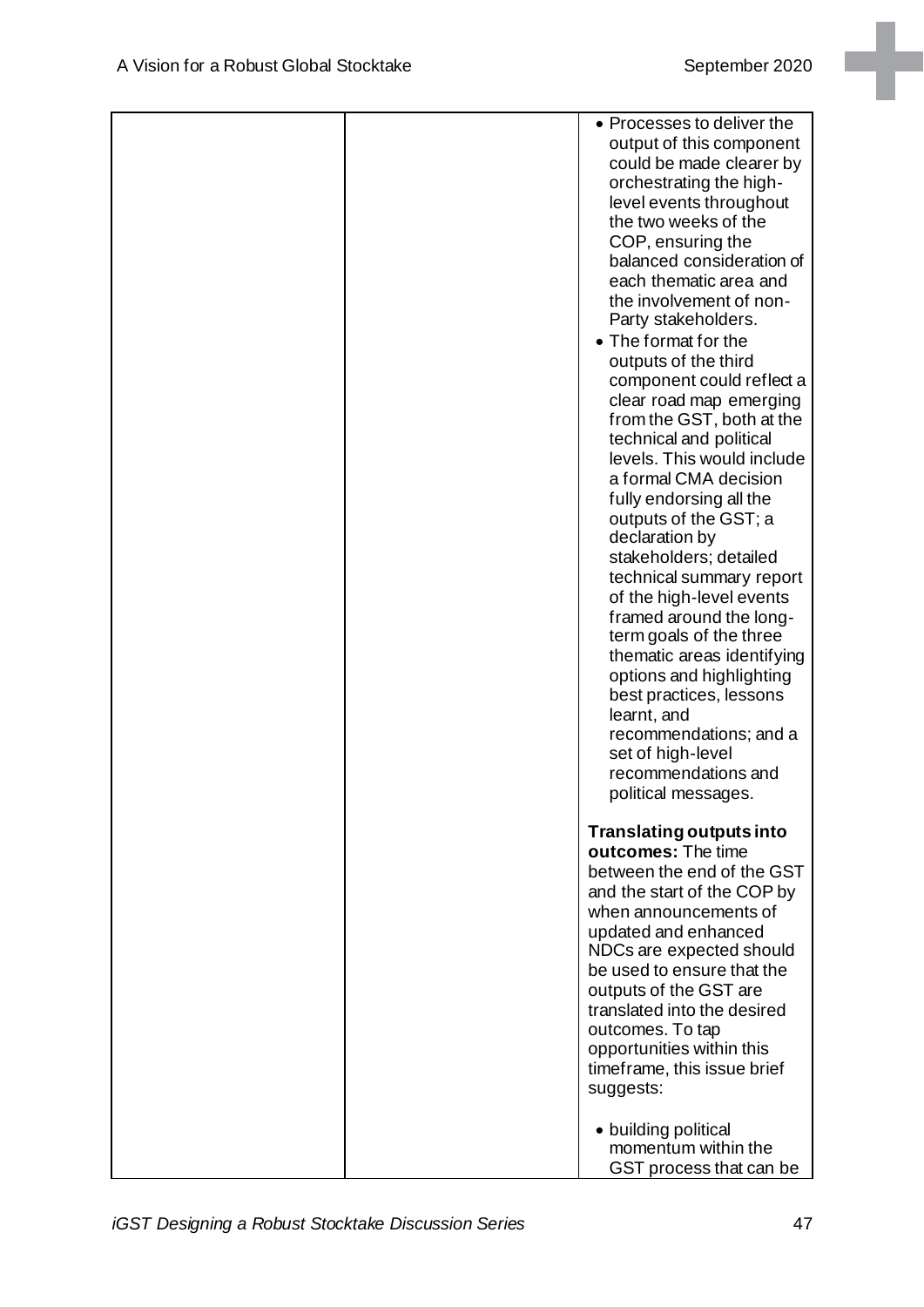|  | • Processes to deliver the<br>output of this component<br>could be made clearer by<br>orchestrating the high-<br>level events throughout<br>the two weeks of the<br>COP, ensuring the<br>balanced consideration of<br>each thematic area and<br>the involvement of non-<br>Party stakeholders.<br>• The format for the<br>outputs of the third<br>component could reflect a<br>clear road map emerging<br>from the GST, both at the<br>technical and political<br>levels. This would include<br>a formal CMA decision<br>fully endorsing all the<br>outputs of the GST; a<br>declaration by<br>stakeholders; detailed<br>technical summary report<br>of the high-level events<br>framed around the long-<br>term goals of the three<br>thematic areas identifying<br>options and highlighting<br>best practices, lessons<br>learnt, and<br>recommendations; and a<br>set of high-level<br>recommendations and<br>political messages. |
|--|--------------------------------------------------------------------------------------------------------------------------------------------------------------------------------------------------------------------------------------------------------------------------------------------------------------------------------------------------------------------------------------------------------------------------------------------------------------------------------------------------------------------------------------------------------------------------------------------------------------------------------------------------------------------------------------------------------------------------------------------------------------------------------------------------------------------------------------------------------------------------------------------------------------------------------------|
|  | <b>Translating outputs into</b><br>outcomes: The time<br>between the end of the GST<br>and the start of the COP by<br>when announcements of<br>updated and enhanced<br>NDCs are expected should<br>be used to ensure that the<br>outputs of the GST are<br>translated into the desired<br>outcomes. To tap<br>opportunities within this<br>timeframe, this issue brief<br>suggests:                                                                                                                                                                                                                                                                                                                                                                                                                                                                                                                                                  |
|  | • building political<br>momentum within the<br>GST process that can be                                                                                                                                                                                                                                                                                                                                                                                                                                                                                                                                                                                                                                                                                                                                                                                                                                                               |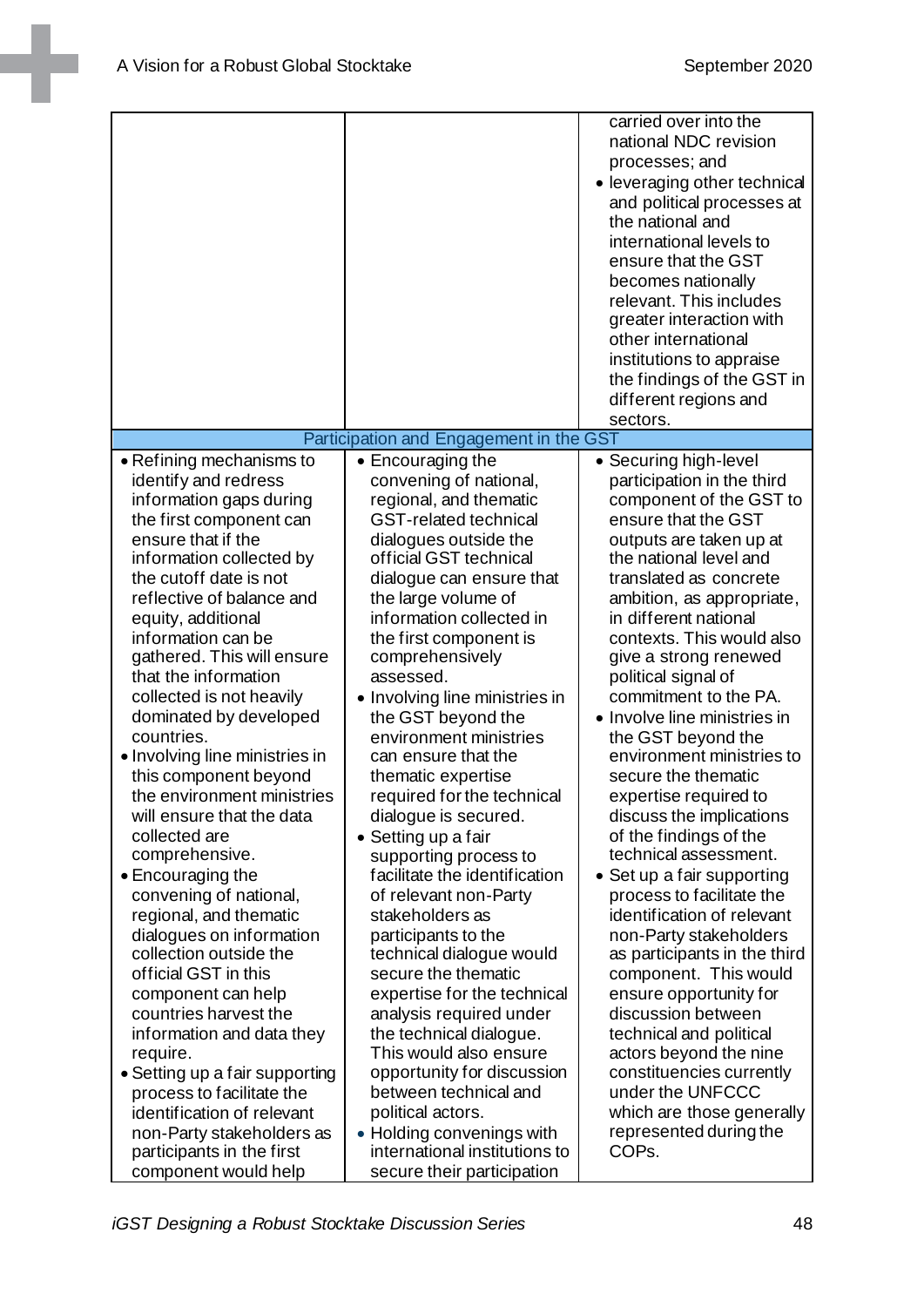| • Refining mechanisms to<br>identify and redress<br>information gaps during<br>the first component can<br>ensure that if the<br>information collected by<br>the cutoff date is not                                                                                                                                                                                                                                                                                                                                                                                                                                                                                                                                                                                                                                           |                                                                                                                                                                                                                                                                                                                                                                                                                                                                                                                                                                                                                                                                                                                                                                                                                                                                                          | ensure that the GST<br>becomes nationally<br>relevant. This includes<br>greater interaction with<br>other international<br>institutions to appraise<br>the findings of the GST in<br>different regions and<br>sectors.                                                                                                                                                                                                                                                                                                                                                                                                                                                                                                                                                                                                                                                                                                           |
|------------------------------------------------------------------------------------------------------------------------------------------------------------------------------------------------------------------------------------------------------------------------------------------------------------------------------------------------------------------------------------------------------------------------------------------------------------------------------------------------------------------------------------------------------------------------------------------------------------------------------------------------------------------------------------------------------------------------------------------------------------------------------------------------------------------------------|------------------------------------------------------------------------------------------------------------------------------------------------------------------------------------------------------------------------------------------------------------------------------------------------------------------------------------------------------------------------------------------------------------------------------------------------------------------------------------------------------------------------------------------------------------------------------------------------------------------------------------------------------------------------------------------------------------------------------------------------------------------------------------------------------------------------------------------------------------------------------------------|----------------------------------------------------------------------------------------------------------------------------------------------------------------------------------------------------------------------------------------------------------------------------------------------------------------------------------------------------------------------------------------------------------------------------------------------------------------------------------------------------------------------------------------------------------------------------------------------------------------------------------------------------------------------------------------------------------------------------------------------------------------------------------------------------------------------------------------------------------------------------------------------------------------------------------|
|                                                                                                                                                                                                                                                                                                                                                                                                                                                                                                                                                                                                                                                                                                                                                                                                                              | Participation and Engagement in the GST                                                                                                                                                                                                                                                                                                                                                                                                                                                                                                                                                                                                                                                                                                                                                                                                                                                  |                                                                                                                                                                                                                                                                                                                                                                                                                                                                                                                                                                                                                                                                                                                                                                                                                                                                                                                                  |
| reflective of balance and<br>equity, additional<br>information can be<br>gathered. This will ensure<br>that the information<br>collected is not heavily<br>dominated by developed<br>countries.<br>• Involving line ministries in<br>this component beyond<br>the environment ministries<br>will ensure that the data<br>collected are<br>comprehensive.<br>• Encouraging the<br>convening of national,<br>regional, and thematic<br>dialogues on information<br>collection outside the<br>official GST in this<br>component can help<br>countries harvest the<br>information and data they<br>require.<br>• Setting up a fair supporting<br>process to facilitate the<br>identification of relevant<br>non-Party stakeholders as<br>• Holding convenings with<br>international institutions to<br>participants in the first | • Encouraging the<br>convening of national,<br>regional, and thematic<br><b>GST-related technical</b><br>dialogues outside the<br>official GST technical<br>dialogue can ensure that<br>the large volume of<br>information collected in<br>the first component is<br>comprehensively<br>assessed.<br>• Involving line ministries in<br>the GST beyond the<br>environment ministries<br>can ensure that the<br>thematic expertise<br>required for the technical<br>dialogue is secured.<br>• Setting up a fair<br>supporting process to<br>facilitate the identification<br>of relevant non-Party<br>stakeholders as<br>participants to the<br>technical dialogue would<br>secure the thematic<br>expertise for the technical<br>analysis required under<br>the technical dialogue.<br>This would also ensure<br>opportunity for discussion<br>between technical and<br>political actors. | • Securing high-level<br>participation in the third<br>component of the GST to<br>ensure that the GST<br>outputs are taken up at<br>the national level and<br>translated as concrete<br>ambition, as appropriate,<br>in different national<br>contexts. This would also<br>give a strong renewed<br>political signal of<br>commitment to the PA.<br>• Involve line ministries in<br>the GST beyond the<br>environment ministries to<br>secure the thematic<br>expertise required to<br>discuss the implications<br>of the findings of the<br>technical assessment.<br>• Set up a fair supporting<br>process to facilitate the<br>identification of relevant<br>non-Party stakeholders<br>as participants in the third<br>component. This would<br>ensure opportunity for<br>discussion between<br>technical and political<br>actors beyond the nine<br>constituencies currently<br>under the UNFCCC<br>which are those generally |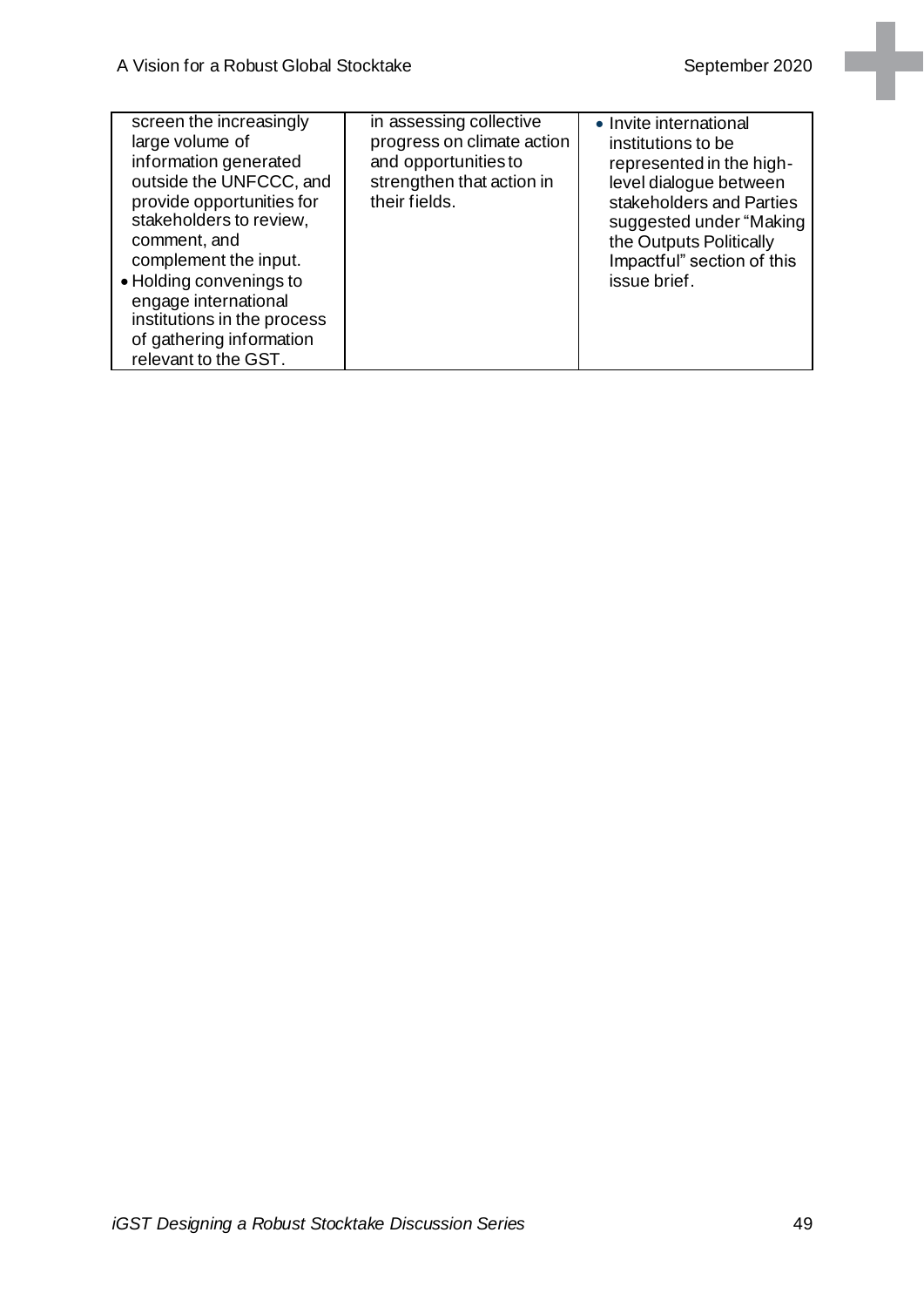| screen the increasingly     | in assessing collective    | • Invite international     |
|-----------------------------|----------------------------|----------------------------|
| large volume of             | progress on climate action | institutions to be         |
| information generated       | and opportunities to       | represented in the high-   |
| outside the UNFCCC, and     | strengthen that action in  | level dialogue between     |
| provide opportunities for   | their fields.              | stakeholders and Parties   |
| stakeholders to review,     |                            | suggested under "Making    |
| comment, and                |                            | the Outputs Politically    |
| complement the input.       |                            | Impactful" section of this |
| • Holding convenings to     |                            | issue brief.               |
| engage international        |                            |                            |
| institutions in the process |                            |                            |
| of gathering information    |                            |                            |
| relevant to the GST.        |                            |                            |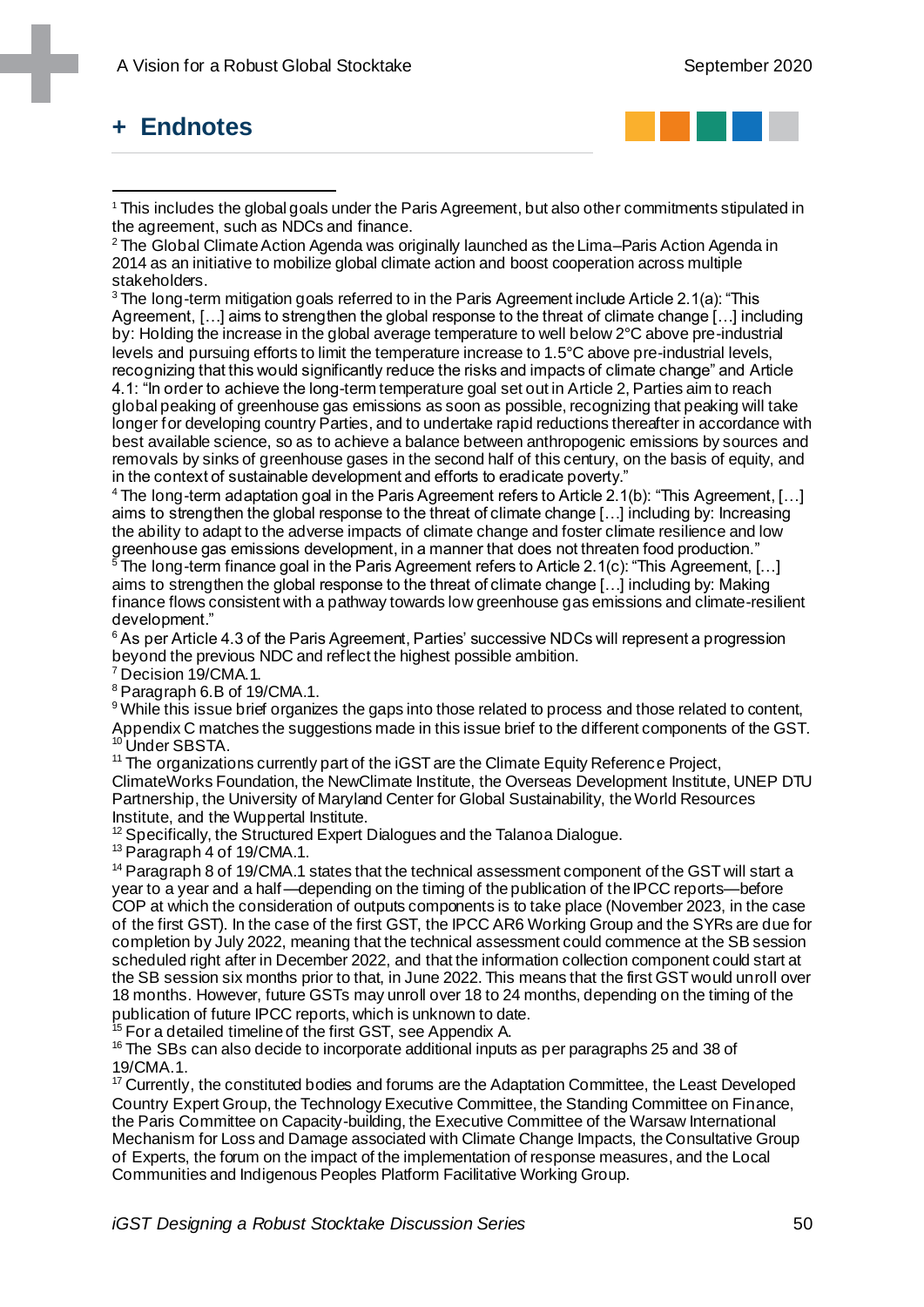# <span id="page-49-0"></span>**+ Endnotes**



<sup>1</sup> This includes the global goals under the Paris Agreement, but also other commitments stipulated in the agreement, such as NDCs and finance.

<sup>3</sup> The long-term mitigation goals referred to in the Paris Agreement include Article 2.1(a): "This Agreement, […] aims to strengthen the global response to the threat of climate change […] including by: Holding the increase in the global average temperature to well below 2°C above pre-industrial levels and pursuing efforts to limit the temperature increase to 1.5°C above pre-industrial levels, recognizing that this would significantly reduce the risks and impacts of climate change" and Article 4.1: "In order to achieve the long-term temperature goal set out in Article 2, Parties aim to reach global peaking of greenhouse gas emissions as soon as possible, recognizing that peaking will take longer for developing country Parties, and to undertake rapid reductions thereafter in accordance with best available science, so as to achieve a balance between anthropogenic emissions by sources and removals by sinks of greenhouse gases in the second half of this century, on the basis of equity, and in the context of sustainable development and efforts to eradicate poverty."

<sup>4</sup> The long-term adaptation goal in the Paris Agreement refers to Article 2.1(b): "This Agreement, [...] aims to strengthen the global response to the threat of climate change […] including by: Increasing the ability to adapt to the adverse impacts of climate change and foster climate resilience and low greenhouse gas emissions development, in a manner that does not threaten food production."

<sup>5</sup> The long-term finance goal in the Paris Agreement refers to Article 2.1(c): "This Agreement, […] aims to strengthen the global response to the threat of climate change […] including by: Making finance flows consistent with a pathway towards low greenhouse gas emissions and climate-resilient development."

 $6$  As per Article 4.3 of the Paris Agreement, Parties' successive NDCs will represent a progression beyond the previous NDC and reflect the highest possible ambition.

<sup>7</sup> Decision 19/CMA.1.

<sup>8</sup> Paragraph 6.B of 19/CMA.1.

<sup>9</sup> While this issue brief organizes the gaps into those related to process and those related to content, Appendix C matches the suggestions made in this issue brief to the different components of the GST. <sup>10</sup> Under SBSTA.

<sup>11</sup> The organizations currently part of the iGST are the Climate Equity Reference Project, ClimateWorks Foundation, the NewClimate Institute, the Overseas Development Institute, UNEP DTU Partnership, the University of Maryland Center for Global Sustainability, the World Resources Institute, and the Wuppertal Institute.

<sup>12</sup> Specifically, the Structured Expert Dialogues and the Talanoa Dialogue.

<sup>13</sup> Paragraph 4 of 19/CMA.1.

<sup>14</sup> Paragraph 8 of 19/CMA.1 states that the technical assessment component of the GST will start a year to a year and a half—depending on the timing of the publication of the IPCC reports—before COP at which the consideration of outputs components is to take place (November 2023, in the case of the first GST). In the case of the first GST, the IPCC AR6 Working Group and the SYRs are due for completion by July 2022, meaning that the technical assessment could commence at the SB session scheduled right after in December 2022, and that the information collection component could start at the SB session six months prior to that, in June 2022. This means that the first GST would unroll over 18 months. However, future GSTs may unroll over 18 to 24 months, depending on the timing of the publication of future IPCC reports, which is unknown to date.

<sup>15</sup> For a detailed timeline of the first GST, see Appendix A.

<sup>16</sup> The SBs can also decide to incorporate additional inputs as per paragraphs 25 and 38 of 19/CMA.1.

<sup>17</sup> Currently, the constituted bodies and forums are the Adaptation Committee, the Least Developed Country Expert Group, the Technology Executive Committee, the Standing Committee on Finance, the Paris Committee on Capacity-building, the Executive Committee of the Warsaw International Mechanism for Loss and Damage associated with Climate Change Impacts, the Consultative Group of Experts, the forum on the impact of the implementation of response measures, and the Local Communities and Indigenous Peoples Platform Facilitative Working Group.

<sup>&</sup>lt;sup>2</sup> The Global Climate Action Agenda was originally launched as the Lima–Paris Action Agenda in 2014 as an initiative to mobilize global climate action and boost cooperation across multiple stakeholders.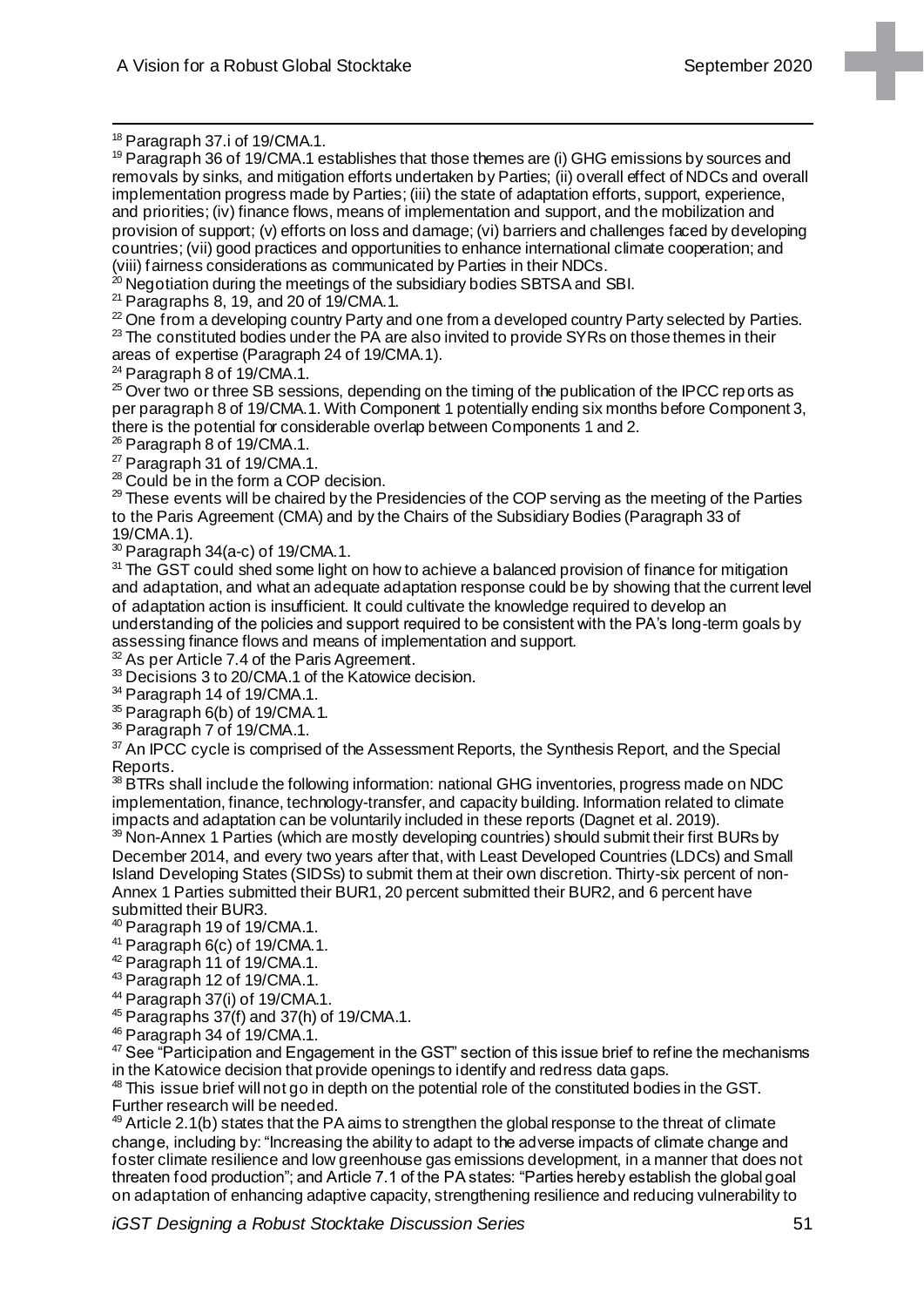<sup>18</sup> Paragraph 37.i of 19/CMA.1.

 $19$  Paragraph 36 of 19/CMA.1 establishes that those themes are (i) GHG emissions by sources and removals by sinks, and mitigation efforts undertaken by Parties; (ii) overall effect of NDCs and overall implementation progress made by Parties; (iii) the state of adaptation efforts, support, experience, and priorities; (iv) finance flows, means of implementation and support, and the mobilization and provision of support; (v) efforts on loss and damage; (vi) barriers and challenges faced by developing countries; (vii) good practices and opportunities to enhance international climate cooperation; and (viii) fairness considerations as communicated by Parties in their NDCs.

 $20$  Negotiation during the meetings of the subsidiary bodies SBTSA and SBI.

 $21$  Paragraphs 8, 19, and 20 of 19/CMA.1.

 $22$  One from a developing country Party and one from a developed country Party selected by Parties. <sup>23</sup> The constituted bodies under the PA are also invited to provide SYRs on those themes in their areas of expertise (Paragraph 24 of 19/CMA.1).

<sup>24</sup> Paragraph 8 of 19/CMA.1.

<sup>25</sup> Over two or three SB sessions, depending on the timing of the publication of the IPCC rep orts as per paragraph 8 of 19/CMA.1. With Component 1 potentially ending six months before Component 3, there is the potential for considerable overlap between Components 1 and 2.

<sup>26</sup> Paragraph 8 of 19/CMA.1.

<sup>27</sup> Paragraph 31 of 19/CMA.1.

<sup>28</sup> Could be in the form a COP decision.

<sup>29</sup> These events will be chaired by the Presidencies of the COP serving as the meeting of the Parties to the Paris Agreement (CMA) and by the Chairs of the Subsidiary Bodies (Paragraph 33 of 19/CMA.1).

<sup>30</sup> Paragraph 34(a-c) of 19/CMA.1.

<sup>31</sup> The GST could shed some light on how to achieve a balanced provision of finance for mitigation and adaptation, and what an adequate adaptation response could be by showing that the current level of adaptation action is insufficient. It could cultivate the knowledge required to develop an understanding of the policies and support required to be consistent with the PA's long-term goals by assessing finance flows and means of implementation and support.

<sup>32</sup> As per Article 7.4 of the Paris Agreement.

<sup>33</sup> Decisions 3 to 20/CMA.1 of the Katowice decision.

<sup>34</sup> Paragraph 14 of 19/CMA.1.

<sup>35</sup> Paragraph 6(b) of 19/CMA.1.

<sup>36</sup> Paragraph 7 of 19/CMA.1.

<sup>37</sup> An IPCC cycle is comprised of the Assessment Reports, the Synthesis Report, and the Special Reports.

<sup>38</sup> BTRs shall include the following information: national GHG inventories, progress made on NDC implementation, finance, technology-transfer, and capacity building. Information related to climate impacts and adaptation can be voluntarily included in these reports (Dagnet et al. 2019).

<sup>39</sup> Non-Annex 1 Parties (which are mostly developing countries) should submit their first BURs by December 2014, and every two years after that, with Least Developed Countries (LDCs) and Small Island Developing States (SIDSs) to submit them at their own discretion. Thirty-six percent of non-Annex 1 Parties submitted their BUR1, 20 percent submitted their BUR2, and 6 percent have submitted their BUR3.

<sup>40</sup> Paragraph 19 of 19/CMA.1.

<sup>41</sup> Paragraph 6(c) of 19/CMA.1.

<sup>42</sup> Paragraph 11 of 19/CMA.1.

<sup>43</sup> Paragraph 12 of 19/CMA.1.

<sup>44</sup> Paragraph 37(i) of 19/CMA.1.

 $45$  Paragraphs  $37(f)$  and  $37(h)$  of 19/CMA.1.

<sup>46</sup> Paragraph 34 of 19/CMA.1.

<sup>47</sup> See "Participation and Engagement in the GST" section of this issue brief to refine the mechanisms in the Katowice decision that provide openings to identify and redress data gaps.

<sup>48</sup> This issue brief will not go in depth on the potential role of the constituted bodies in the GST.

Further research will be needed.

<sup>49</sup> Article 2.1(b) states that the PA aims to strengthen the global response to the threat of climate change, including by: "Increasing the ability to adapt to the adverse impacts of climate change and foster climate resilience and low greenhouse gas emissions development, in a manner that does not threaten food production"; and Article 7.1 of the PA states: "Parties hereby establish the global goal on adaptation of enhancing adaptive capacity, strengthening resilience and reducing vulnerability to

*iGST Designing a Robust Stocktake Discussion Series* 51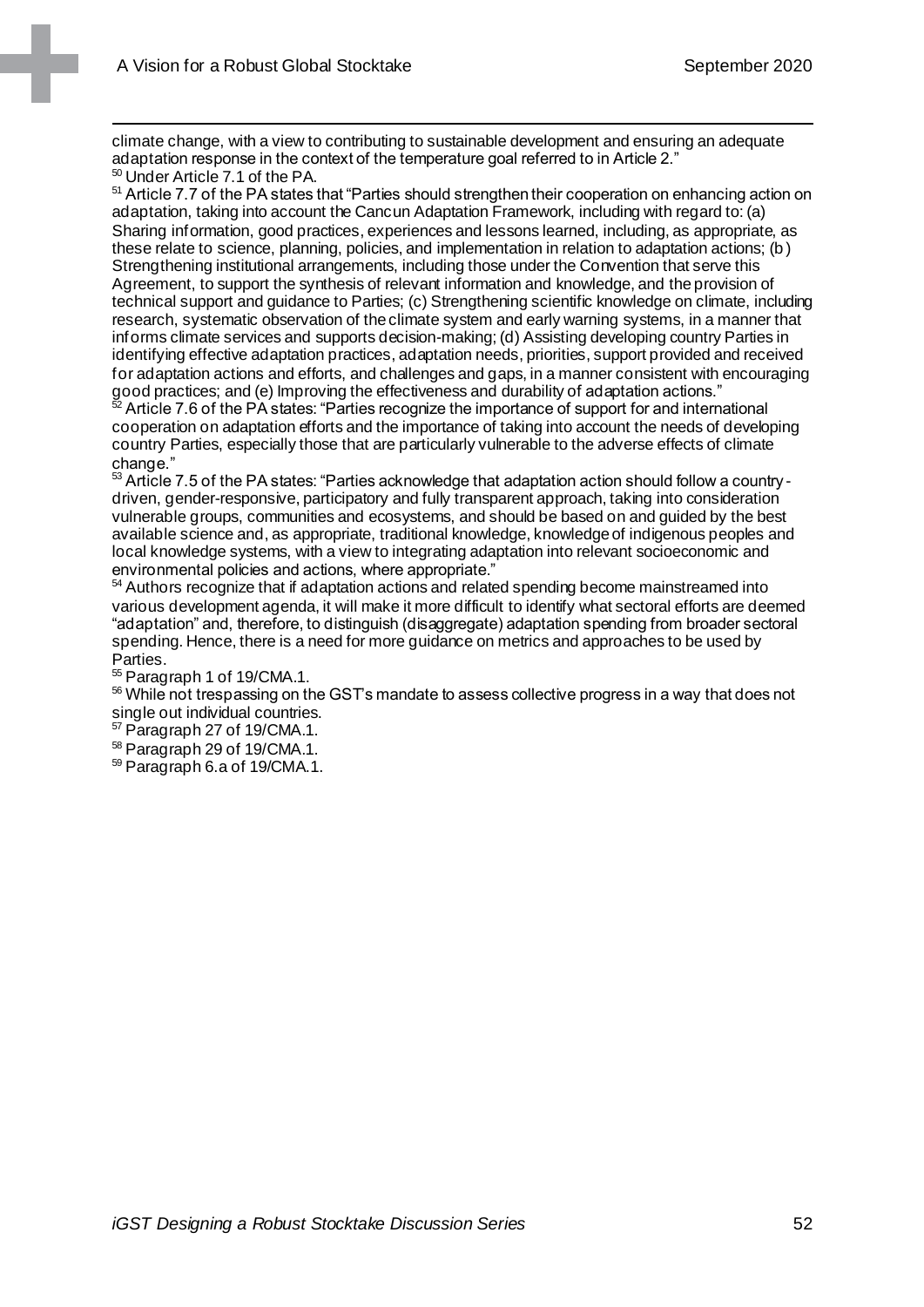climate change, with a view to contributing to sustainable development and ensuring an adequate adaptation response in the context of the temperature goal referred to in Article 2." <sup>50</sup> Under Article 7.1 of the PA.

<sup>51</sup> Article 7.7 of the PA states that "Parties should strengthen their cooperation on enhancing action on adaptation, taking into account the Cancun Adaptation Framework, including with regard to: (a) Sharing information, good practices, experiences and lessons learned, including, as appropriate, as these relate to science, planning, policies, and implementation in relation to adaptation actions; (b ) Strengthening institutional arrangements, including those under the Convention that serve this Agreement, to support the synthesis of relevant information and knowledge, and the provision of technical support and guidance to Parties; (c) Strengthening scientific knowledge on climate, including research, systematic observation of the climate system and early warning systems, in a manner that informs climate services and supports decision-making; (d) Assisting developing country Parties in identifying effective adaptation practices, adaptation needs, priorities, support provided and received for adaptation actions and efforts, and challenges and gaps, in a manner consistent with encouraging good practices; and (e) Improving the effectiveness and durability of adaptation actions."

 $52$  Article 7.6 of the PA states: "Parties recognize the importance of support for and international cooperation on adaptation efforts and the importance of taking into account the needs of developing country Parties, especially those that are particularly vulnerable to the adverse effects of climate change."

53 Article 7.5 of the PA states: "Parties acknowledge that adaptation action should follow a country driven, gender-responsive, participatory and fully transparent approach, taking into consideration vulnerable groups, communities and ecosystems, and should be based on and guided by the best available science and, as appropriate, traditional knowledge, knowledge of indigenous peoples and local knowledge systems, with a view to integrating adaptation into relevant socioeconomic and environmental policies and actions, where appropriate."

<sup>54</sup> Authors recognize that if adaptation actions and related spending become mainstreamed into various development agenda, it will make it more difficult to identify what sectoral efforts are deemed "adaptation" and, therefore, to distinguish (disaggregate) adaptation spending from broader sectoral spending. Hence, there is a need for more guidance on metrics and approaches to be used by Parties.

<sup>55</sup> Paragraph 1 of 19/CMA.1.

<sup>56</sup> While not trespassing on the GST's mandate to assess collective progress in a way that does not single out individual countries.

 $57$  Paragraph 27 of 19/CMA.1.

<sup>58</sup> Paragraph 29 of 19/CMA.1.

<sup>59</sup> Paragraph 6.a of 19/CMA.1.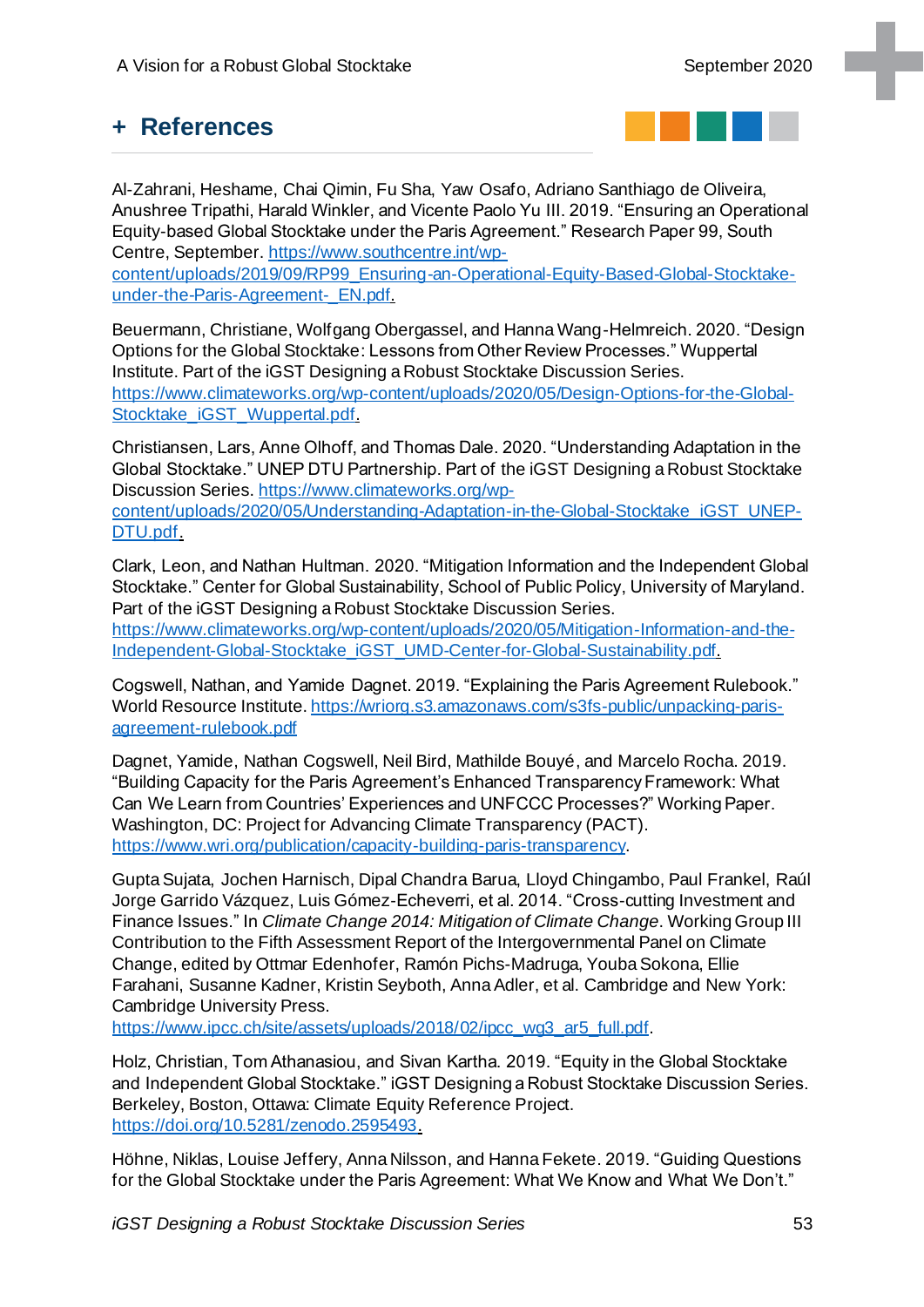# <span id="page-52-0"></span>**+ References**



Al-Zahrani, Heshame, Chai Qimin, Fu Sha, Yaw Osafo, Adriano Santhiago de Oliveira, Anushree Tripathi, Harald Winkler, and Vicente Paolo Yu III. 2019. "Ensuring an Operational Equity-based Global Stocktake under the Paris Agreement." Research Paper 99, South Centre, September[. https://www.southcentre.int/wp-](https://www.southcentre.int/wp-content/uploads/2019/09/RP99_Ensuring-an-Operational-Equity-Based-Global-Stocktake-under-the-Paris-Agreement-_EN.pdf)

[content/uploads/2019/09/RP99\\_Ensuring-an-Operational-Equity-Based-Global-Stocktake](https://www.southcentre.int/wp-content/uploads/2019/09/RP99_Ensuring-an-Operational-Equity-Based-Global-Stocktake-under-the-Paris-Agreement-_EN.pdf)[under-the-Paris-Agreement-\\_EN.pdf](https://www.southcentre.int/wp-content/uploads/2019/09/RP99_Ensuring-an-Operational-Equity-Based-Global-Stocktake-under-the-Paris-Agreement-_EN.pdf).

Beuermann, Christiane, Wolfgang Obergassel, and Hanna Wang-Helmreich. 2020. "Design Options for the Global Stocktake: Lessons from Other Review Processes." Wuppertal Institute. Part of the iGST Designing a Robust Stocktake Discussion Series. [https://www.climateworks.org/wp-content/uploads/2020/05/Design-Options-for-the-Global-](https://www.climateworks.org/wp-content/uploads/2020/05/Design-Options-for-the-Global-Stocktake_iGST_Wuppertal.pdf)[Stocktake\\_iGST\\_Wuppertal.pdf](https://www.climateworks.org/wp-content/uploads/2020/05/Design-Options-for-the-Global-Stocktake_iGST_Wuppertal.pdf).

Christiansen, Lars, Anne Olhoff, and Thomas Dale. 2020. "Understanding Adaptation in the Global Stocktake." UNEP DTU Partnership. Part of the iGST Designing a Robust Stocktake Discussion Series[. https://www.climateworks.org/wp](https://www.climateworks.org/wp-content/uploads/2020/05/Understanding-Adaptation-in-the-Global-Stocktake_iGST_UNEP-DTU.pdf)[content/uploads/2020/05/Understanding-Adaptation-in-the-Global-Stocktake\\_iGST\\_UNEP-](https://www.climateworks.org/wp-content/uploads/2020/05/Understanding-Adaptation-in-the-Global-Stocktake_iGST_UNEP-DTU.pdf)[DTU.pdf](https://www.climateworks.org/wp-content/uploads/2020/05/Understanding-Adaptation-in-the-Global-Stocktake_iGST_UNEP-DTU.pdf).

Clark, Leon, and Nathan Hultman. 2020. "Mitigation Information and the Independent Global Stocktake." Center for Global Sustainability, School of Public Policy, University of Maryland. Part of the iGST Designing a Robust Stocktake Discussion Series.

[https://www.climateworks.org/wp-content/uploads/2020/05/Mitigation-Information-and-the-](https://www.climateworks.org/wp-content/uploads/2020/05/Mitigation-Information-and-the-Independent-Global-Stocktake_iGST_UMD-Center-for-Global-Sustainability.pdf)[Independent-Global-Stocktake\\_iGST\\_UMD-Center-for-Global-Sustainability.pdf](https://www.climateworks.org/wp-content/uploads/2020/05/Mitigation-Information-and-the-Independent-Global-Stocktake_iGST_UMD-Center-for-Global-Sustainability.pdf).

Cogswell, Nathan, and Yamide Dagnet. 2019. "Explaining the Paris Agreement Rulebook." World Resource Institute[. https://wriorg.s3.amazonaws.com/s3fs-public/unpacking-paris](https://wriorg.s3.amazonaws.com/s3fs-public/unpacking-paris-agreement-rulebook.pdf)[agreement-rulebook.pdf](https://wriorg.s3.amazonaws.com/s3fs-public/unpacking-paris-agreement-rulebook.pdf)

Dagnet, Yamide, Nathan Cogswell, Neil Bird, Mathilde Bouyé, and Marcelo Rocha. 2019. "Building Capacity for the Paris Agreement's Enhanced Transparency Framework: What Can We Learn from Countries' Experiences and UNFCCC Processes?" Working Paper. Washington, DC: Project for Advancing Climate Transparency (PACT). [https://www.wri.org/publication/capacity-building-paris-transparency.](https://www.wri.org/publication/capacity-building-paris-transparency)

Gupta Sujata, Jochen Harnisch, Dipal Chandra Barua, Lloyd Chingambo, Paul Frankel, Raúl Jorge Garrido Vázquez, Luis Gómez-Echeverri, et al. 2014. "Cross-cutting Investment and Finance Issues." In *Climate Change 2014: Mitigation of Climate Change*. Working Group III Contribution to the Fifth Assessment Report of the Intergovernmental Panel on Climate Change, edited by Ottmar Edenhofer, Ramón Pichs-Madruga, Youba Sokona, Ellie Farahani, Susanne Kadner, Kristin Seyboth, Anna Adler, et al. Cambridge and New York: Cambridge University Press.

[https://www.ipcc.ch/site/assets/uploads/2018/02/ipcc\\_wg3\\_ar5\\_full.pdf](https://www.ipcc.ch/site/assets/uploads/2018/02/ipcc_wg3_ar5_full.pdf).

Holz, Christian, Tom Athanasiou, and Sivan Kartha. 2019. "Equity in the Global Stocktake and Independent Global Stocktake." iGST Designing a Robust Stocktake Discussion Series. Berkeley, Boston, Ottawa: Climate Equity Reference Project. <https://doi.org/10.5281/zenodo.2595493>.

Höhne, Niklas, Louise Jeffery, Anna Nilsson, and Hanna Fekete. 2019. "Guiding Questions for the Global Stocktake under the Paris Agreement: What We Know and What We Don't."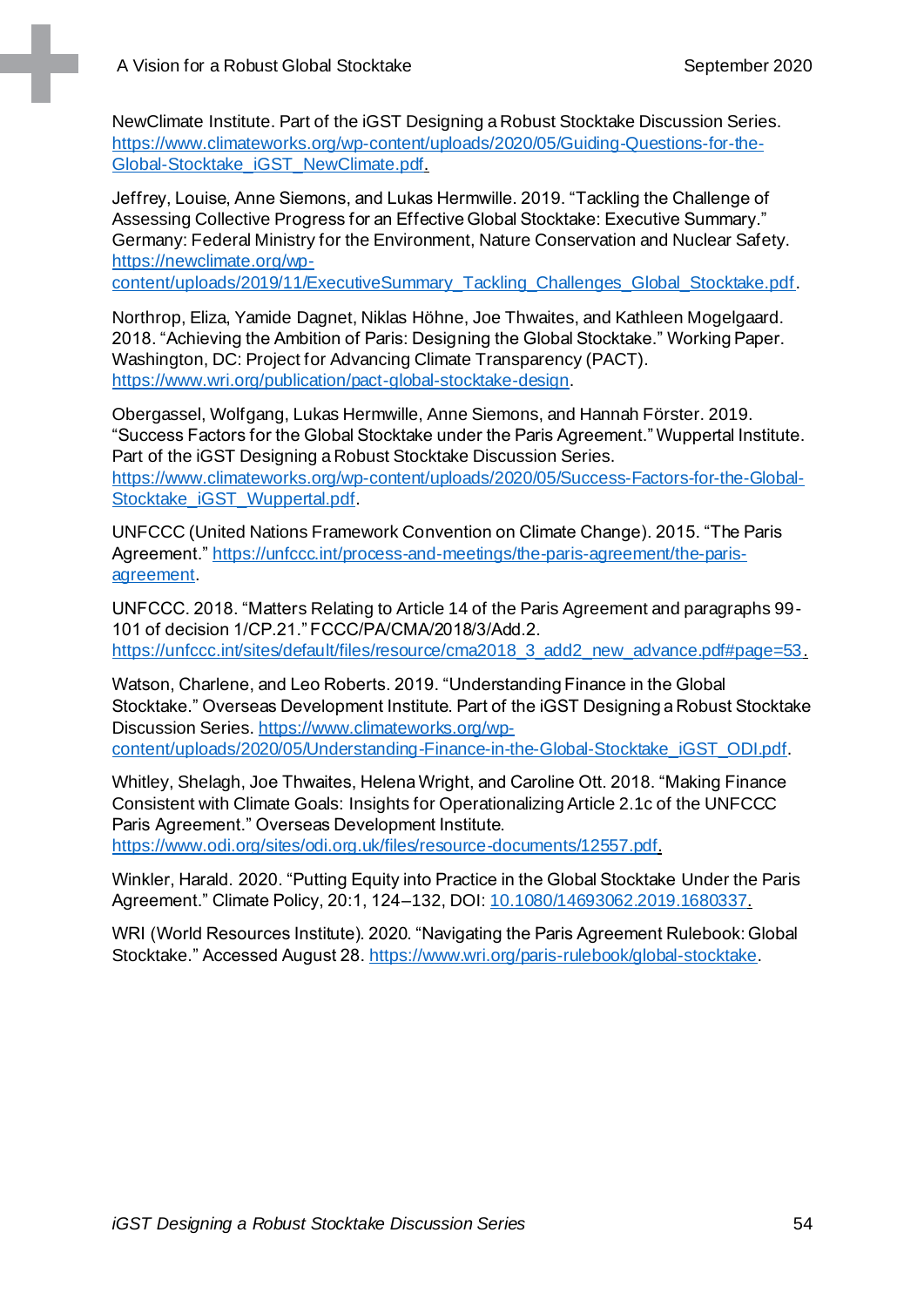NewClimate Institute. Part of the iGST Designing a Robust Stocktake Discussion Series. [https://www.climateworks.org/wp-content/uploads/2020/05/Guiding-Questions-for-the-](https://www.climateworks.org/wp-content/uploads/2020/05/Guiding-Questions-for-the-Global-Stocktake_iGST_NewClimate.pdf)[Global-Stocktake\\_iGST\\_NewClimate.pdf](https://www.climateworks.org/wp-content/uploads/2020/05/Guiding-Questions-for-the-Global-Stocktake_iGST_NewClimate.pdf).

Jeffrey, Louise, Anne Siemons, and Lukas Hermwille. 2019. "Tackling the Challenge of Assessing Collective Progress for an Effective Global Stocktake: Executive Summary." Germany: Federal Ministry for the Environment, Nature Conservation and Nuclear Safety. [https://newclimate.org/wp-](https://newclimate.org/wp-content/uploads/2019/11/ExecutiveSummary_Tackling_Challenges_Global_Stocktake.pdf)

[content/uploads/2019/11/ExecutiveSummary\\_Tackling\\_Challenges\\_Global\\_Stocktake.pdf](https://newclimate.org/wp-content/uploads/2019/11/ExecutiveSummary_Tackling_Challenges_Global_Stocktake.pdf).

Northrop, Eliza, Yamide Dagnet, Niklas Höhne, Joe Thwaites, and Kathleen Mogelgaard. 2018. "Achieving the Ambition of Paris: Designing the Global Stocktake." Working Paper. Washington, DC: Project for Advancing Climate Transparency (PACT). <https://www.wri.org/publication/pact-global-stocktake-design>.

Obergassel, Wolfgang, Lukas Hermwille, Anne Siemons, and Hannah Förster. 2019. "Success Factors for the Global Stocktake under the Paris Agreement." Wuppertal Institute. Part of the iGST Designing a Robust Stocktake Discussion Series.

[https://www.climateworks.org/wp-content/uploads/2020/05/Success-Factors-for-the-Global-](https://www.climateworks.org/wp-content/uploads/2020/05/Success-Factors-for-the-Global-Stocktake_iGST_Wuppertal.pdf)[Stocktake\\_iGST\\_Wuppertal.pdf](https://www.climateworks.org/wp-content/uploads/2020/05/Success-Factors-for-the-Global-Stocktake_iGST_Wuppertal.pdf).

UNFCCC (United Nations Framework Convention on Climate Change). 2015. "The Paris Agreement.[" https://unfccc.int/process-and-meetings/the-paris-agreement/the-paris](https://unfccc.int/process-and-meetings/the-paris-agreement/the-paris-agreement)[agreement.](https://unfccc.int/process-and-meetings/the-paris-agreement/the-paris-agreement)

UNFCCC. 2018. "Matters Relating to Article 14 of the Paris Agreement and paragraphs 99- 101 of decision 1/CP.21." FCCC/PA/CMA/2018/3/Add.2. [https://unfccc.int/sites/default/files/resource/cma2018\\_3\\_add2\\_new\\_advance.pdf#page=53](https://unfccc.int/sites/default/files/resource/cma2018_3_add2_new_advance.pdf#page=53).

Watson, Charlene, and Leo Roberts. 2019. "Understanding Finance in the Global Stocktake." Overseas Development Institute. Part of the iGST Designing a Robust Stocktake Discussion Series[. https://www.climateworks.org/wp](https://www.climateworks.org/wp-content/uploads/2020/05/Understanding-Finance-in-the-Global-Stocktake_iGST_ODI.pdf)[content/uploads/2020/05/Understanding-Finance-in-the-Global-Stocktake\\_iGST\\_ODI.pdf](https://www.climateworks.org/wp-content/uploads/2020/05/Understanding-Finance-in-the-Global-Stocktake_iGST_ODI.pdf).

Whitley, Shelagh, Joe Thwaites, Helena Wright, and Caroline Ott. 2018. "Making Finance Consistent with Climate Goals: Insights for Operationalizing Article 2.1c of the UNFCCC Paris Agreement." Overseas Development Institute. <https://www.odi.org/sites/odi.org.uk/files/resource-documents/12557.pdf>.

Winkler, Harald. 2020. "Putting Equity into Practice in the Global Stocktake Under the Paris Agreement." Climate Policy, 20:1, 124-132, DOI[: 10.1080/14693062.2019.1680337](https://doi.org/10.1080/14693062.2019.1680337).

WRI (World Resources Institute). 2020. "Navigating the Paris Agreement Rulebook: Global Stocktake." Accessed August 28[. https://www.wri.org/paris-rulebook/global-stocktake](https://www.wri.org/paris-rulebook/global-stocktake).